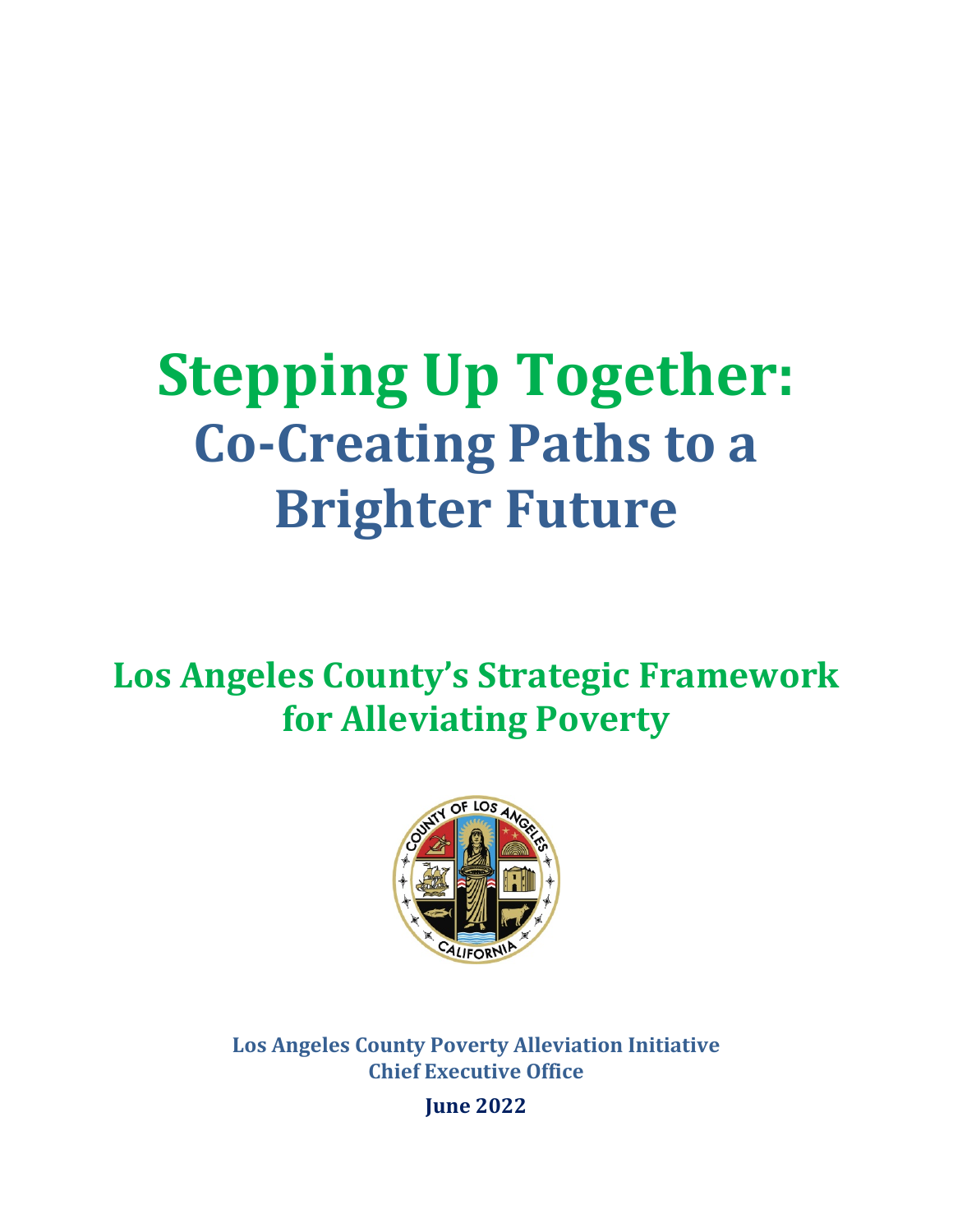# **Stepping Up Together: Co-Creating Paths to a Brighter Future**

**Los Angeles County's Strategic Framework for Alleviating Poverty**



**Los Angeles County Poverty Alleviation Initiative Chief Executive Office**

**June 2022**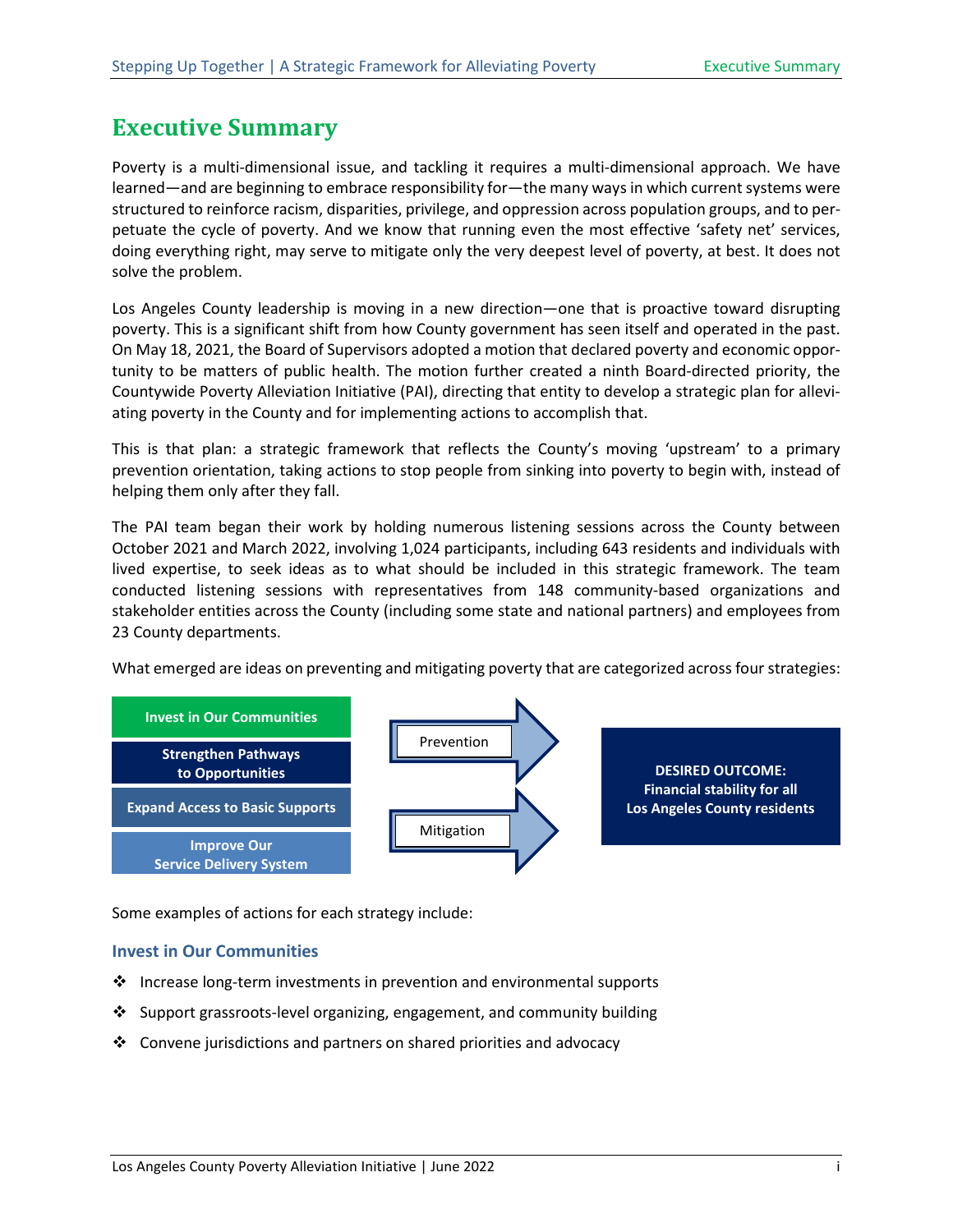## <span id="page-2-0"></span>**Executive Summary**

Poverty is a multi-dimensional issue, and tackling it requires a multi-dimensional approach. We have learned—and are beginning to embrace responsibility for—the many ways in which current systems were structured to reinforce racism, disparities, privilege, and oppression across population groups, and to perpetuate the cycle of poverty. And we know that running even the most effective 'safety net' services, doing everything right, may serve to mitigate only the very deepest level of poverty, at best. It does not solve the problem.

Los Angeles County leadership is moving in a new direction—one that is proactive toward disrupting poverty. This is a significant shift from how County government has seen itself and operated in the past. On May 18, 2021, the Board of Supervisors adopted a motion that declared poverty and economic opportunity to be matters of public health. The motion further created a ninth Board-directed priority, the Countywide Poverty Alleviation Initiative (PAI), directing that entity to develop a strategic plan for alleviating poverty in the County and for implementing actions to accomplish that.

This is that plan: a strategic framework that reflects the County's moving 'upstream' to a primary prevention orientation, taking actions to stop people from sinking into poverty to begin with, instead of helping them only after they fall.

The PAI team began their work by holding numerous listening sessions across the County between October 2021 and March 2022, involving 1,024 participants, including 643 residents and individuals with lived expertise, to seek ideas as to what should be included in this strategic framework. The team conducted listening sessions with representatives from 148 community-based organizations and stakeholder entities across the County (including some state and national partners) and employees from 23 County departments.

What emerged are ideas on preventing and mitigating poverty that are categorized across four strategies:



Some examples of actions for each strategy include:

#### **Invest in Our Communities**

- ❖ Increase long-term investments in prevention and environmental supports
- $\div$  Support grassroots-level organizing, engagement, and community building
- $\cdot$  Convene jurisdictions and partners on shared priorities and advocacy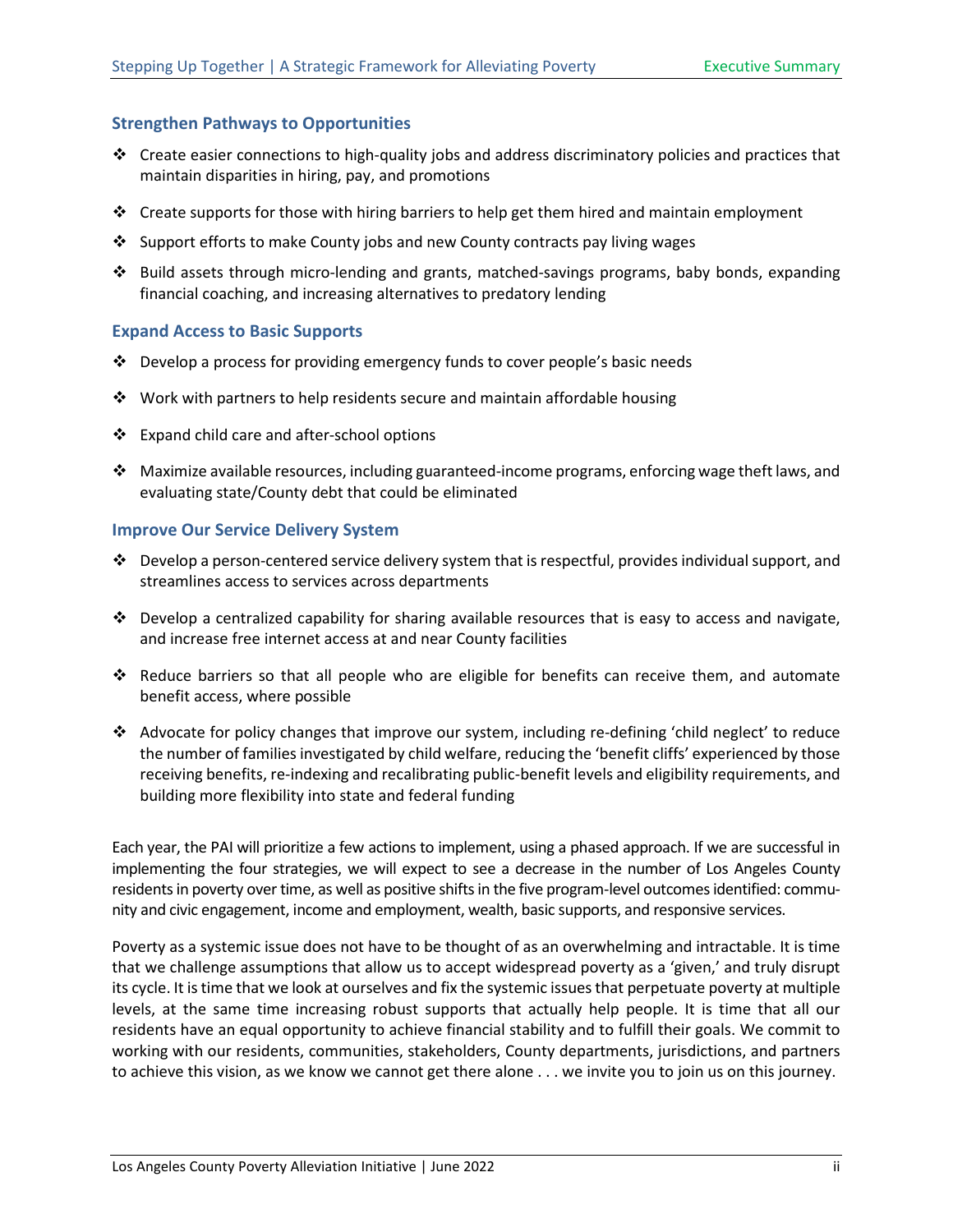#### **Strengthen Pathways to Opportunities**

- $\cdot \cdot$  Create easier connections to high-quality jobs and address discriminatory policies and practices that maintain disparities in hiring, pay, and promotions
- $\cdot \cdot$  Create supports for those with hiring barriers to help get them hired and maintain employment
- Support efforts to make County jobs and new County contracts pay living wages
- Build assets through micro-lending and grants, matched-savings programs, baby bonds, expanding financial coaching, and increasing alternatives to predatory lending

#### **Expand Access to Basic Supports**

- Develop a process for providing emergency funds to cover people's basic needs
- $\cdot \cdot$  Work with partners to help residents secure and maintain affordable housing
- ❖ Expand child care and after-school options
- $\cdot$  Maximize available resources, including guaranteed-income programs, enforcing wage theft laws, and evaluating state/County debt that could be eliminated

#### **Improve Our Service Delivery System**

- $\cdot \cdot$  Develop a person-centered service delivery system that is respectful, provides individual support, and streamlines access to services across departments
- $\bullet$  Develop a centralized capability for sharing available resources that is easy to access and navigate, and increase free internet access at and near County facilities
- Reduce barriers so that all people who are eligible for benefits can receive them, and automate benefit access, where possible
- Advocate for policy changes that improve our system, including re-defining 'child neglect' to reduce the number of families investigated by child welfare, reducing the 'benefit cliffs' experienced by those receiving benefits, re-indexing and recalibrating public-benefit levels and eligibility requirements, and building more flexibility into state and federal funding

Each year, the PAI will prioritize a few actions to implement, using a phased approach. If we are successful in implementing the four strategies, we will expect to see a decrease in the number of Los Angeles County residents in poverty over time, as well as positive shifts in the five program-level outcomes identified: community and civic engagement, income and employment, wealth, basic supports, and responsive services.

Poverty as a systemic issue does not have to be thought of as an overwhelming and intractable. It is time that we challenge assumptions that allow us to accept widespread poverty as a 'given,' and truly disrupt its cycle. It is time that we look at ourselves and fix the systemic issues that perpetuate poverty at multiple levels, at the same time increasing robust supports that actually help people. It is time that all our residents have an equal opportunity to achieve financial stability and to fulfill their goals. We commit to working with our residents, communities, stakeholders, County departments, jurisdictions, and partners to achieve this vision, as we know we cannot get there alone . . . we invite you to join us on this journey.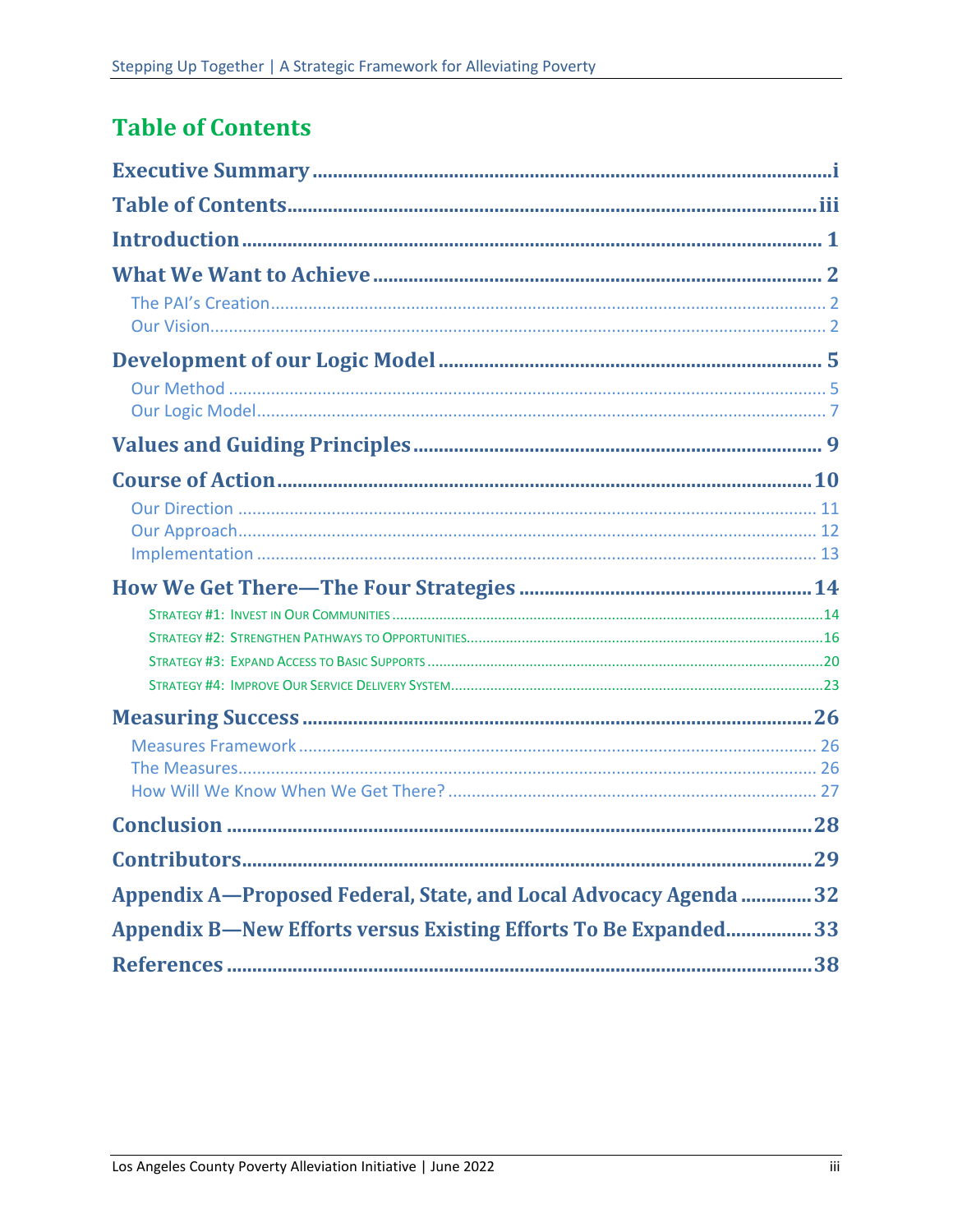# <span id="page-4-0"></span>**Table of Contents**

| Appendix A-Proposed Federal, State, and Local Advocacy Agenda  32      |  |
|------------------------------------------------------------------------|--|
| <b>Appendix B—New Efforts versus Existing Efforts To Be Expanded33</b> |  |
|                                                                        |  |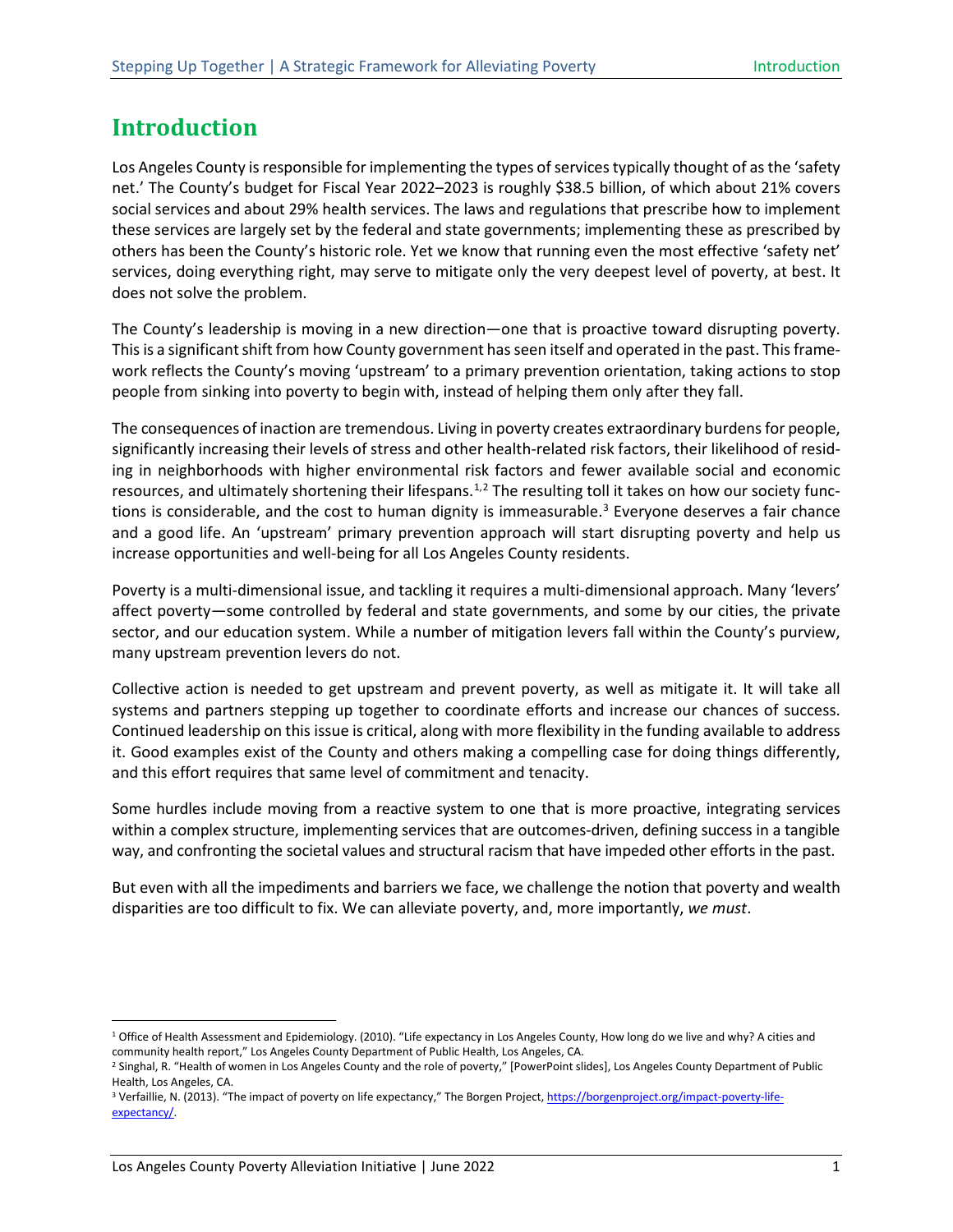## <span id="page-5-0"></span>**Introduction**

Los Angeles County is responsible for implementing the types of services typically thought of as the 'safety net.' The County's budget for Fiscal Year 2022–2023 is roughly \$38.5 billion, of which about 21% covers social services and about 29% health services. The laws and regulations that prescribe how to implement these services are largely set by the federal and state governments; implementing these as prescribed by others has been the County's historic role. Yet we know that running even the most effective 'safety net' services, doing everything right, may serve to mitigate only the very deepest level of poverty, at best. It does not solve the problem.

The County's leadership is moving in a new direction—one that is proactive toward disrupting poverty. This is a significant shift from how County government has seen itself and operated in the past. This framework reflects the County's moving 'upstream' to a primary prevention orientation, taking actions to stop people from sinking into poverty to begin with, instead of helping them only after they fall.

The consequences of inaction are tremendous. Living in poverty creates extraordinary burdens for people, significantly increasing their levels of stress and other health-related risk factors, their likelihood of residing in neighborhoods with higher environmental risk factors and fewer available social and economic resources, and ultimately shortening their lifespans.<sup>[1](#page-5-1),[2](#page-5-2)</sup> The resulting toll it takes on how our society functions is considerable, and the cost to human dignity is immeasurable. $3$  Everyone deserves a fair chance and a good life. An 'upstream' primary prevention approach will start disrupting poverty and help us increase opportunities and well-being for all Los Angeles County residents.

Poverty is a multi-dimensional issue, and tackling it requires a multi-dimensional approach. Many 'levers' affect poverty—some controlled by federal and state governments, and some by our cities, the private sector, and our education system. While a number of mitigation levers fall within the County's purview, many upstream prevention levers do not.

Collective action is needed to get upstream and prevent poverty, as well as mitigate it. It will take all systems and partners stepping up together to coordinate efforts and increase our chances of success. Continued leadership on this issue is critical, along with more flexibility in the funding available to address it. Good examples exist of the County and others making a compelling case for doing things differently, and this effort requires that same level of commitment and tenacity.

Some hurdles include moving from a reactive system to one that is more proactive, integrating services within a complex structure, implementing services that are outcomes-driven, defining success in a tangible way, and confronting the societal values and structural racism that have impeded other efforts in the past.

But even with all the impediments and barriers we face, we challenge the notion that poverty and wealth disparities are too difficult to fix. We can alleviate poverty, and, more importantly, *we must*.

<span id="page-5-1"></span><sup>&</sup>lt;sup>1</sup> Office of Health Assessment and Epidemiology. (2010). "Life expectancy in Los Angeles County, How long do we live and why? A cities and community health report," Los Angeles County Department of Public Health, Los Ange

<span id="page-5-2"></span><sup>&</sup>lt;sup>2</sup> Singhal, R. "Health of women in Los Angeles County and the role of poverty," [PowerPoint slides], Los Angeles County Department of Public Health, Los Angeles, CA.

<span id="page-5-3"></span><sup>&</sup>lt;sup>3</sup> Verfaillie, N. (2013). "The impact of poverty on life expectancy," The Borgen Project[, https://borgenproject.org/impact-poverty-life](https://borgenproject.org/impact-poverty-life-expectancy/)[expectancy/.](https://borgenproject.org/impact-poverty-life-expectancy/)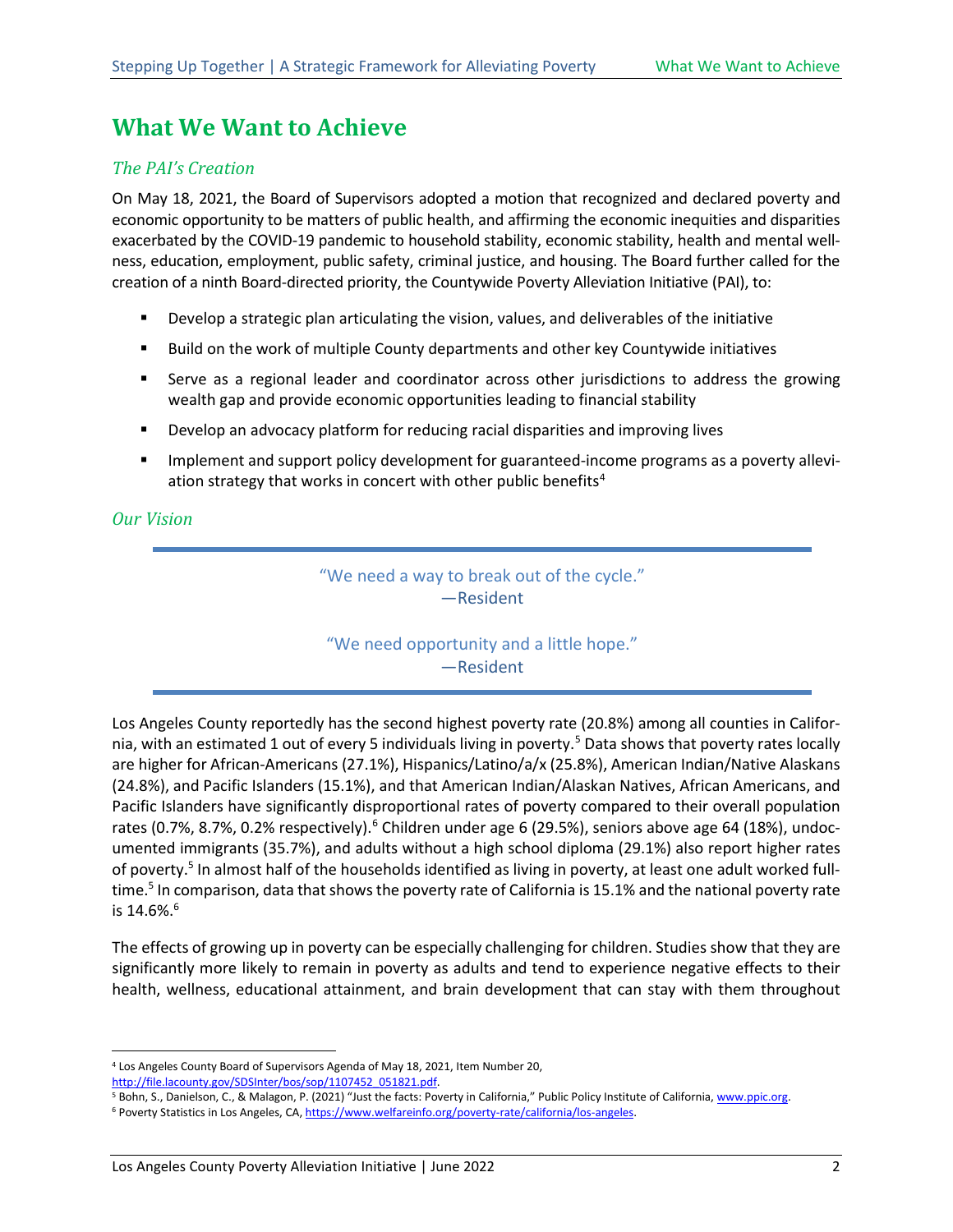## <span id="page-6-0"></span>**What We Want to Achieve**

#### <span id="page-6-1"></span>*The PAI's Creation*

On May 18, 2021, the Board of Supervisors adopted a motion that recognized and declared poverty and economic opportunity to be matters of public health, and affirming the economic inequities and disparities exacerbated by the COVID-19 pandemic to household stability, economic stability, health and mental wellness, education, employment, public safety, criminal justice, and housing. The Board further called for the creation of a ninth Board-directed priority, the Countywide Poverty Alleviation Initiative (PAI), to:

- Develop a strategic plan articulating the vision, values, and deliverables of the initiative
- **Build on the work of multiple County departments and other key Countywide initiatives**
- Serve as a regional leader and coordinator across other jurisdictions to address the growing wealth gap and provide economic opportunities leading to financial stability
- Develop an advocacy platform for reducing racial disparities and improving lives
- Implement and support policy development for guaranteed-income programs as a poverty allevi-ation strategy that works in concert with other public benefits<sup>[4](#page-6-5)</sup>

#### <span id="page-6-2"></span>*Our Vision*

#### "We need a way to break out of the cycle." —Resident

#### <span id="page-6-4"></span><span id="page-6-3"></span>"We need opportunity and a little hope." —Resident

Los Angeles County reportedly has the second highest poverty rate (20.8%) among all counties in Califor-nia, with an estimated 1 out of every [5](#page-6-6) individuals living in poverty.<sup>5</sup> Data shows that poverty rates locally are higher for African-Americans (27.1%), Hispanics/Latino/a/x (25.8%), American Indian/Native Alaskans (24.8%), and Pacific Islanders (15.1%), and that American Indian/Alaskan Natives, African Americans, and Pacific Islanders have significantly disproportional rates of poverty compared to their overall population rates (0.7%, 8.7%, 0.2% respectively).<sup>6</sup> Children under age 6 (29.5%), seniors above age 64 (18%), undocumented immigrants (35.7%), and adults without a high school diploma (29.1%) also report higher rates of poverty[.5](#page-6-3) In almost half of the households identified as living in poverty, at least one adult worked fulltime.<sup>5</sup> In comparison, data that shows the poverty rate of California is 15.1% and the national poverty rate is 14[.6](#page-6-4)%.<sup>6</sup>

The effects of growing up in poverty can be especially challenging for children. Studies show that they are significantly more likely to remain in poverty as adults and tend to experience negative effects to their health, wellness, educational attainment, and brain development that can stay with them throughout

<span id="page-6-5"></span><sup>4</sup> Los Angeles County Board of Supervisors Agenda of May 18, 2021, Item Number 20,

<span id="page-6-6"></span>[http://file.lacounty.gov/SDSInter/bos/sop/1107452\\_051821.pdf.](http://file.lacounty.gov/SDSInter/bos/sop/1107452_051821.pdf) **1.1. 2008.** 7 Bublic Policy Institute of California[, www.ppic.org.](http://www.ppic.org/) 5 Bohn, S., Danielson, C., & Malagon, P. (2021) "Just the facts: Poverty in California," Pub

<span id="page-6-7"></span><sup>&</sup>lt;sup>6</sup> Poverty Statistics in Los Angeles, CA[, https://www.welfareinfo.org/poverty-rate/california/los-angeles.](https://www.welfareinfo.org/poverty-rate/california/los-angeles)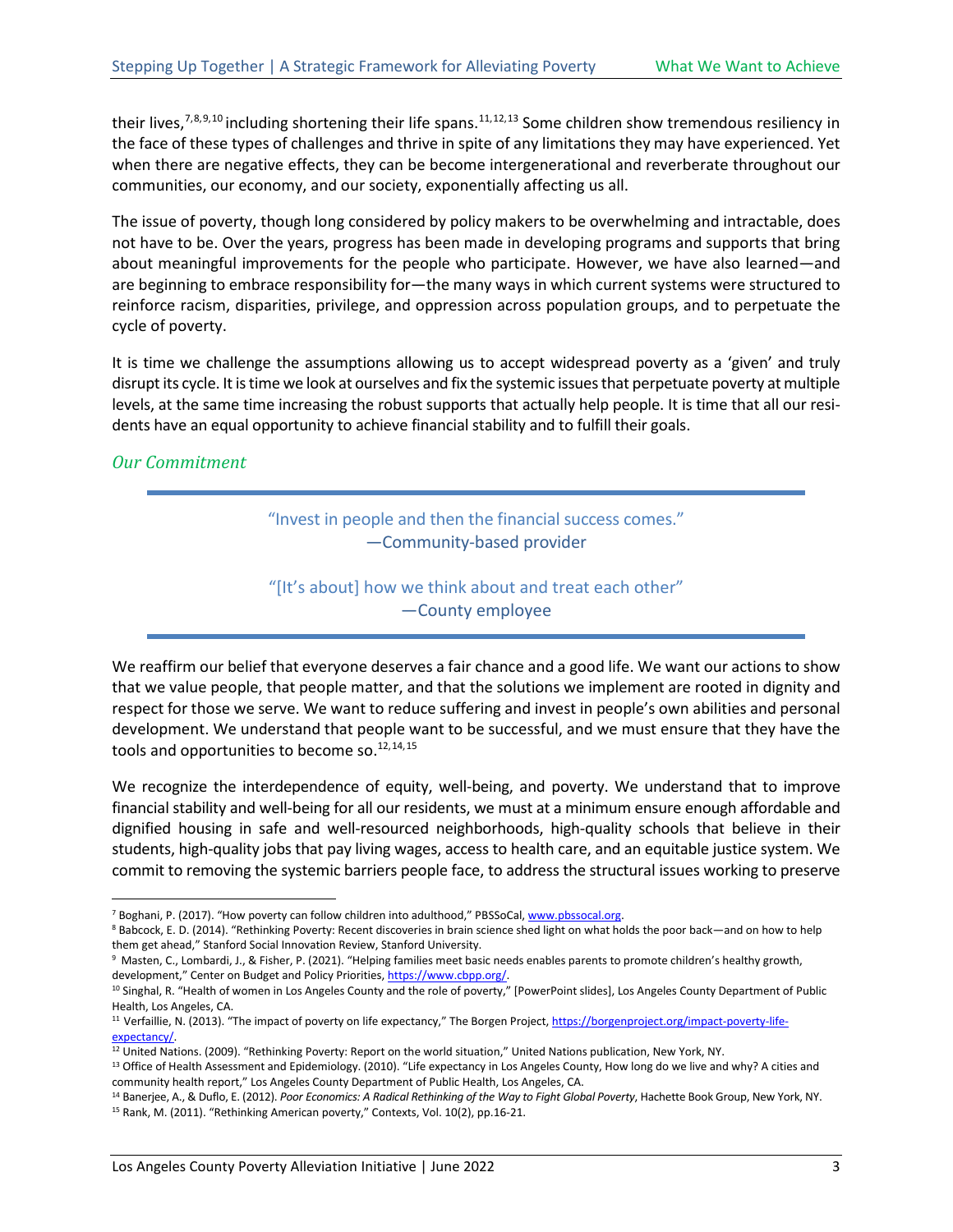<span id="page-7-0"></span>their lives,<sup>[7](#page-7-1),[8](#page-7-2),[9,](#page-7-3)[10](#page-7-4)</sup> including shortening their life spans.<sup>[11,](#page-7-5)[12](#page-7-6),[13](#page-7-7)</sup> Some children show tremendous resiliency in the face of these types of challenges and thrive in spite of any limitations they may have experienced. Yet when there are negative effects, they can be become intergenerational and reverberate throughout our communities, our economy, and our society, exponentially affecting us all.

The issue of poverty, though long considered by policy makers to be overwhelming and intractable, does not have to be. Over the years, progress has been made in developing programs and supports that bring about meaningful improvements for the people who participate. However, we have also learned—and are beginning to embrace responsibility for—the many ways in which current systems were structured to reinforce racism, disparities, privilege, and oppression across population groups, and to perpetuate the cycle of poverty.

It is time we challenge the assumptions allowing us to accept widespread poverty as a 'given' and truly disrupt its cycle. It is time we look at ourselves and fix the systemic issues that perpetuate poverty at multiple levels, at the same time increasing the robust supports that actually help people. It is time that all our residents have an equal opportunity to achieve financial stability and to fulfill their goals.

#### *Our Commitment*

"Invest in people and then the financial success comes." —Community-based provider

"[It's about] how we think about and treat each other" —County employee

We reaffirm our belief that everyone deserves a fair chance and a good life. We want our actions to show that we value people, that people matter, and that the solutions we implement are rooted in dignity and respect for those we serve. We want to reduce suffering and invest in people's own abilities and personal development. We understand that people want to be successful, and we must ensure that they have the tools and opportunities to become so. $12,14,15$  $12,14,15$  $12,14,15$ 

We recognize the interdependence of equity, well-being, and poverty. We understand that to improve financial stability and well-being for all our residents, we must at a minimum ensure enough affordable and dignified housing in safe and well-resourced neighborhoods, high-quality schools that believe in their students, high-quality jobs that pay living wages, access to health care, and an equitable justice system. We commit to removing the systemic barriers people face, to address the structural issues working to preserve

<span id="page-7-3"></span><sup>9</sup> Masten, C., Lombardi, J., & Fisher, P. (2021). "Helping families meet basic needs enables parents to promote children's healthy growth, development," Center on Budget and Policy Priorities[, https://www.cbpp.org/.](https://www.cbpp.org/)

<span id="page-7-1"></span><sup>&</sup>lt;sup>7</sup> Boghani, P. (2017). "How poverty can follow children into adulthood," PBSSoCal[, www.pbssocal.org.](http://www.pbssocal.org/)

<span id="page-7-2"></span><sup>8</sup> Babcock, E. D. (2014). "Rethinking Poverty: Recent discoveries in brain science shed light on what holds the poor back—and on how to help them get ahead," Stanford Social Innovation Review, Stanford University.

<span id="page-7-4"></span><sup>&</sup>lt;sup>10</sup> Singhal, R. "Health of women in Los Angeles County and the role of poverty," [PowerPoint slides], Los Angeles County Department of Public Health, Los Angeles, CA.

<span id="page-7-5"></span><sup>&</sup>lt;sup>11</sup> Verfaillie, N. (2013). "The impact of poverty on life expectancy," The Borgen Project, [https://borgenproject.org/impact-poverty-life](https://borgenproject.org/impact-poverty-life-expectancy/)[expectancy/.](https://borgenproject.org/impact-poverty-life-expectancy/)

<sup>&</sup>lt;sup>12</sup> United Nations. (2009). "Rethinking Poverty: Report on the world situation," United Nations publication, New York, NY.

<span id="page-7-7"></span><span id="page-7-6"></span><sup>&</sup>lt;sup>13</sup> Office of Health Assessment and Epidemiology. (2010). "Life expectancy in Los Angeles County, How long do we live and why? A cities and community health report," Los Angeles County Department of Public Health, Los Angeles, CA.

<span id="page-7-9"></span><span id="page-7-8"></span><sup>14</sup> Banerjee, A., & Duflo, E. (2012). *Poor Economics: A Radical Rethinking of the Way to Fight Global Poverty*, Hachette Book Group, New York, NY. <sup>15</sup> Rank, M. (2011). "Rethinking American poverty," Contexts, Vol. 10(2), pp.16-21.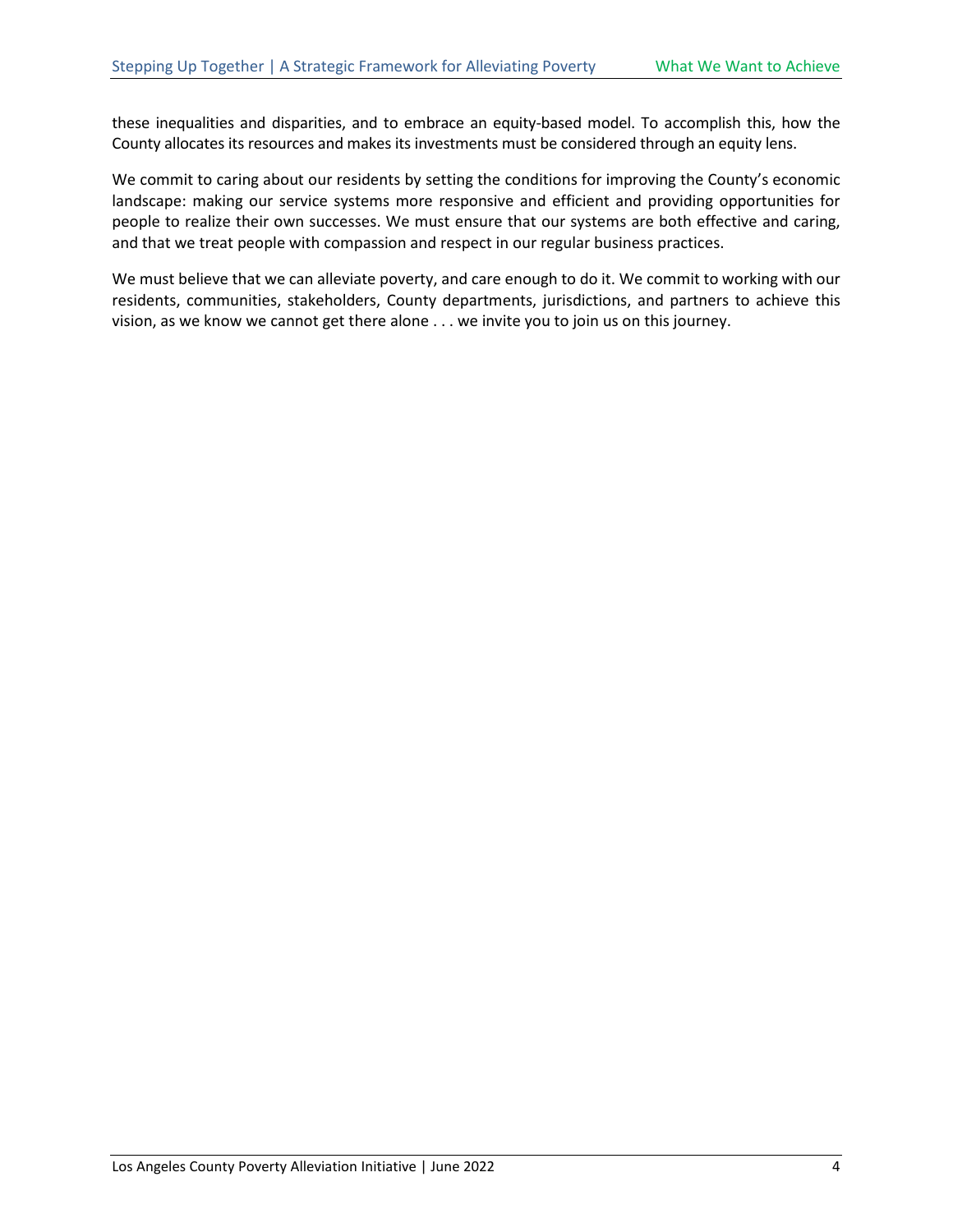these inequalities and disparities, and to embrace an equity-based model. To accomplish this, how the County allocates its resources and makes its investments must be considered through an equity lens.

We commit to caring about our residents by setting the conditions for improving the County's economic landscape: making our service systems more responsive and efficient and providing opportunities for people to realize their own successes. We must ensure that our systems are both effective and caring, and that we treat people with compassion and respect in our regular business practices.

We must believe that we can alleviate poverty, and care enough to do it. We commit to working with our residents, communities, stakeholders, County departments, jurisdictions, and partners to achieve this vision, as we know we cannot get there alone . . . we invite you to join us on this journey.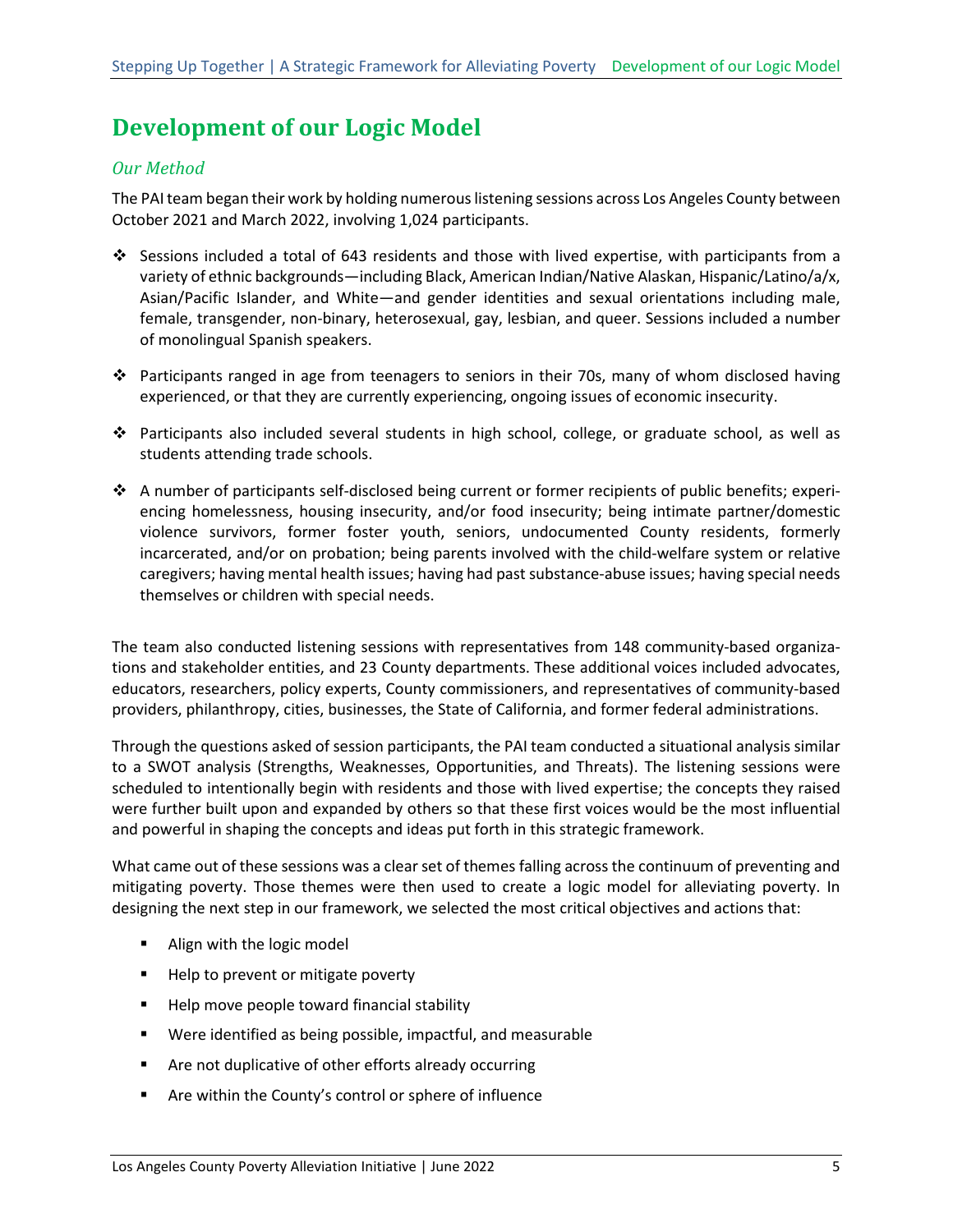# <span id="page-9-0"></span>**Development of our Logic Model**

#### <span id="page-9-1"></span>*Our Method*

The PAI team began their work by holding numerous listening sessions across Los Angeles County between October 2021 and March 2022, involving 1,024 participants.

- Sessions included a total of 643 residents and those with lived expertise, with participants from a variety of ethnic backgrounds—including Black, American Indian/Native Alaskan, Hispanic/Latino/a/x, Asian/Pacific Islander, and White—and gender identities and sexual orientations including male, female, transgender, non-binary, heterosexual, gay, lesbian, and queer. Sessions included a number of monolingual Spanish speakers.
- Participants ranged in age from teenagers to seniors in their 70s, many of whom disclosed having experienced, or that they are currently experiencing, ongoing issues of economic insecurity.
- Participants also included several students in high school, college, or graduate school, as well as students attending trade schools.
- A number of participants self-disclosed being current or former recipients of public benefits; experiencing homelessness, housing insecurity, and/or food insecurity; being intimate partner/domestic violence survivors, former foster youth, seniors, undocumented County residents, formerly incarcerated, and/or on probation; being parents involved with the child-welfare system or relative caregivers; having mental health issues; having had past substance-abuse issues; having special needs themselves or children with special needs.

The team also conducted listening sessions with representatives from 148 community-based organizations and stakeholder entities, and 23 County departments. These additional voices included advocates, educators, researchers, policy experts, County commissioners, and representatives of community-based providers, philanthropy, cities, businesses, the State of California, and former federal administrations.

Through the questions asked of session participants, the PAI team conducted a situational analysis similar to a SWOT analysis (Strengths, Weaknesses, Opportunities, and Threats). The listening sessions were scheduled to intentionally begin with residents and those with lived expertise; the concepts they raised were further built upon and expanded by others so that these first voices would be the most influential and powerful in shaping the concepts and ideas put forth in this strategic framework.

What came out of these sessions was a clear set of themes falling across the continuum of preventing and mitigating poverty. Those themes were then used to create a logic model for alleviating poverty. In designing the next step in our framework, we selected the most critical objectives and actions that:

- Align with the logic model
- Help to prevent or mitigate poverty
- Help move people toward financial stability
- Were identified as being possible, impactful, and measurable
- **Are not duplicative of other efforts already occurring**
- Are within the County's control or sphere of influence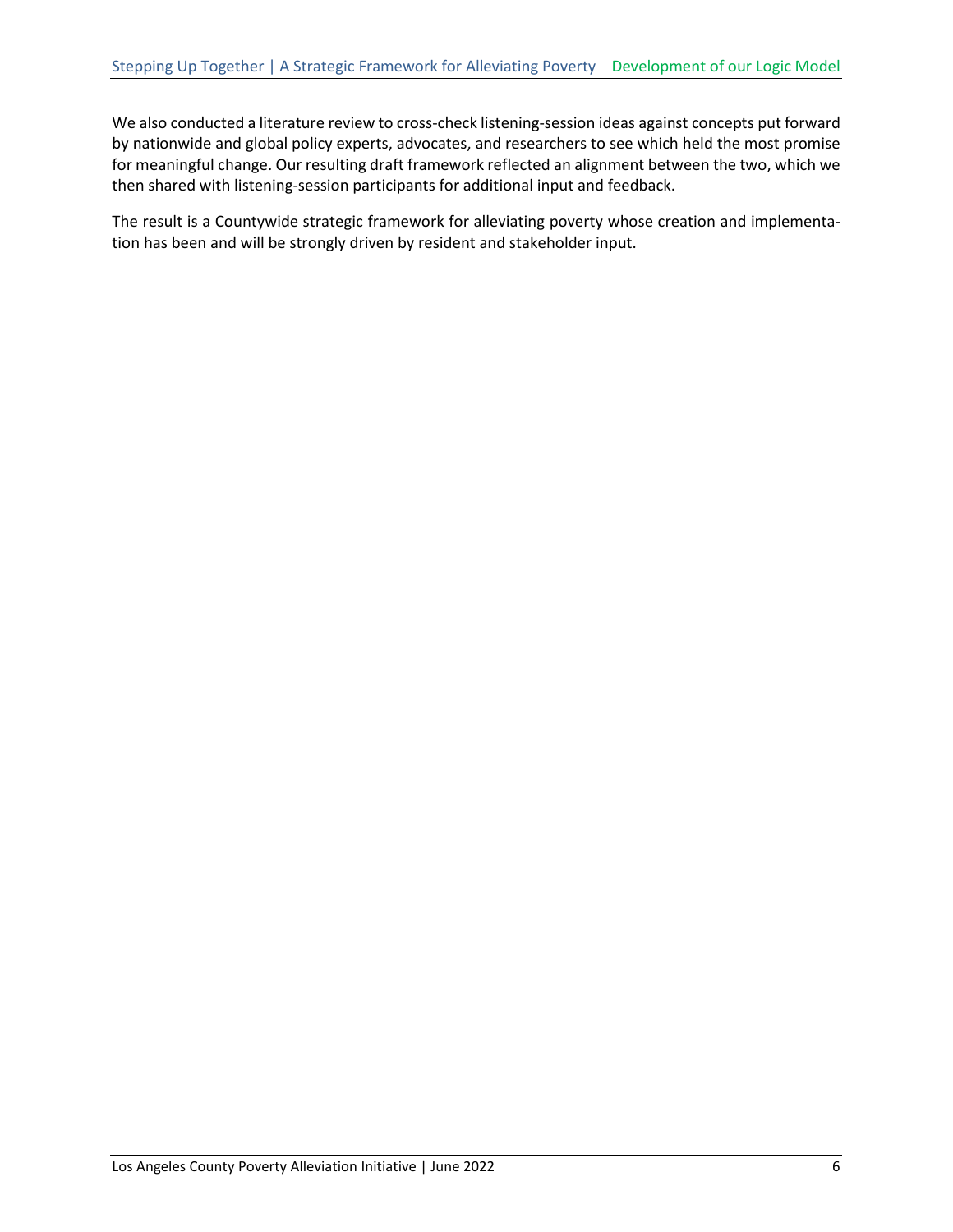We also conducted a literature review to cross-check listening-session ideas against concepts put forward by nationwide and global policy experts, advocates, and researchers to see which held the most promise for meaningful change. Our resulting draft framework reflected an alignment between the two, which we then shared with listening-session participants for additional input and feedback.

The result is a Countywide strategic framework for alleviating poverty whose creation and implementation has been and will be strongly driven by resident and stakeholder input.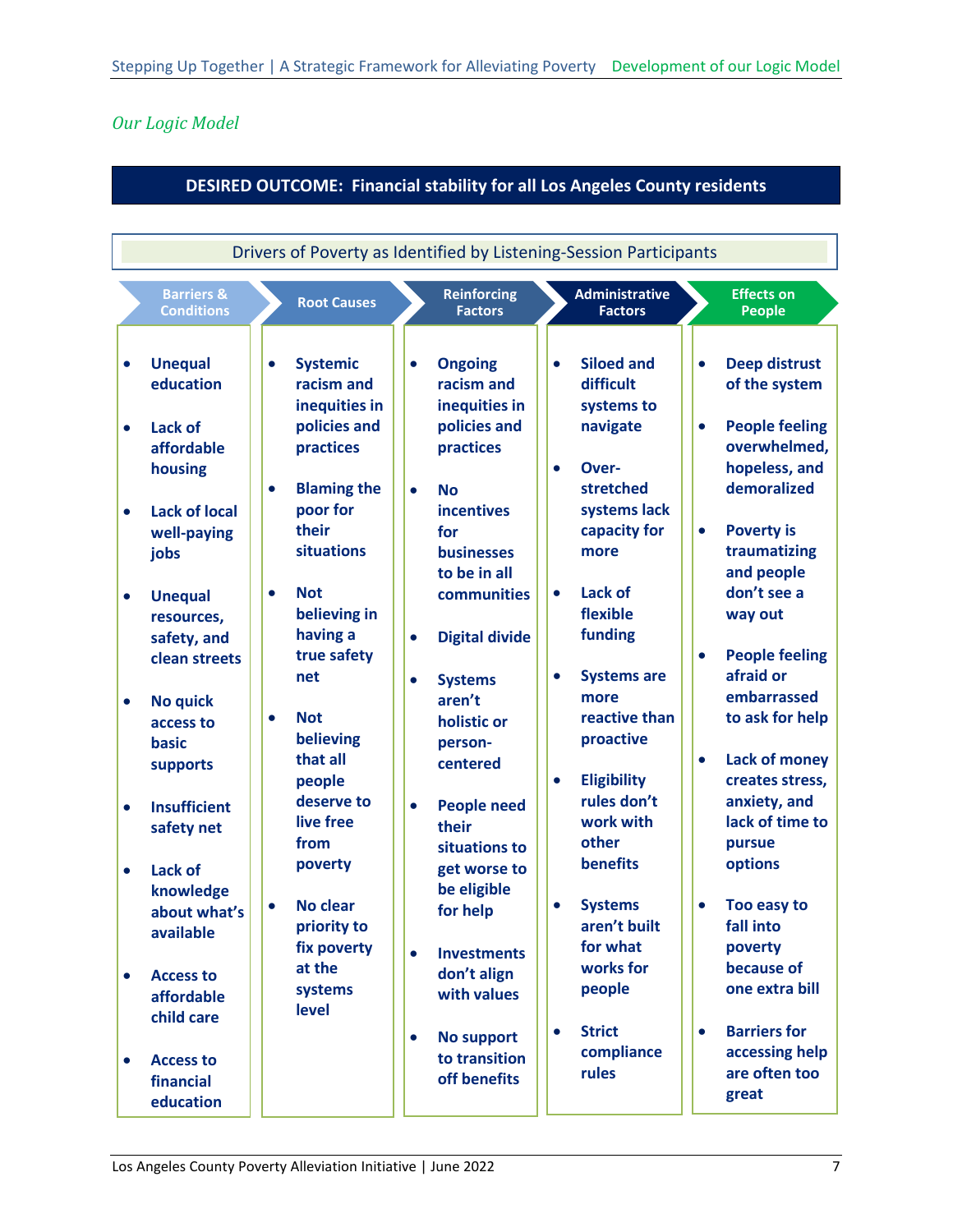### <span id="page-11-0"></span>*Our Logic Model*

#### **DESIRED OUTCOME: Financial stability for all Los Angeles County residents**

| <b>Barriers &amp;</b><br><b>Reinforcing</b><br><b>Administrative</b><br><b>Root Causes</b><br><b>Conditions</b><br><b>Factors</b><br><b>Factors</b><br><b>Unequal</b><br><b>Systemic</b><br><b>Siloed and</b><br><b>Ongoing</b><br>$\bullet$<br>$\bullet$<br>$\bullet$<br>$\bullet$<br>education<br>racism and<br>difficult<br>racism and<br>inequities in<br>inequities in<br>systems to<br>policies and<br>policies and<br>navigate<br><b>Lack of</b><br>$\bullet$                                                                                                                                                                                                                                                                                                                                                                                                                                                                                                                                                                                                                                                                                                                                                                                                                                                                                                                                                                                                                                                                                                                                                                                                                                                                                    | <b>Effects on</b><br><b>People</b><br><b>Deep distrust</b><br>$\bullet$<br>of the system                                                                                                                                                                                                                                                                                                                                                                                                                                                     |
|---------------------------------------------------------------------------------------------------------------------------------------------------------------------------------------------------------------------------------------------------------------------------------------------------------------------------------------------------------------------------------------------------------------------------------------------------------------------------------------------------------------------------------------------------------------------------------------------------------------------------------------------------------------------------------------------------------------------------------------------------------------------------------------------------------------------------------------------------------------------------------------------------------------------------------------------------------------------------------------------------------------------------------------------------------------------------------------------------------------------------------------------------------------------------------------------------------------------------------------------------------------------------------------------------------------------------------------------------------------------------------------------------------------------------------------------------------------------------------------------------------------------------------------------------------------------------------------------------------------------------------------------------------------------------------------------------------------------------------------------------------|----------------------------------------------------------------------------------------------------------------------------------------------------------------------------------------------------------------------------------------------------------------------------------------------------------------------------------------------------------------------------------------------------------------------------------------------------------------------------------------------------------------------------------------------|
|                                                                                                                                                                                                                                                                                                                                                                                                                                                                                                                                                                                                                                                                                                                                                                                                                                                                                                                                                                                                                                                                                                                                                                                                                                                                                                                                                                                                                                                                                                                                                                                                                                                                                                                                                         |                                                                                                                                                                                                                                                                                                                                                                                                                                                                                                                                              |
| practices<br>practices<br>affordable<br>housing<br>Over-<br>$\bullet$<br><b>Blaming the</b><br>stretched<br>$\bullet$<br><b>No</b><br>$\bullet$<br>poor for<br>systems lack<br><b>incentives</b><br><b>Lack of local</b><br>$\bullet$<br>their<br>capacity for<br>for<br>well-paying<br>situations<br><b>businesses</b><br>more<br>jobs<br>to be in all<br><b>Not</b><br><b>Lack of</b><br>$\bullet$<br>communities<br>$\bullet$<br><b>Unequal</b><br>$\bullet$<br>flexible<br>believing in<br>resources,<br>funding<br>having a<br><b>Digital divide</b><br>safety, and<br>$\bullet$<br>true safety<br>clean streets<br>net<br><b>Systems are</b><br>$\bullet$<br><b>Systems</b><br>$\bullet$<br>more<br>aren't<br><b>No quick</b><br>$\bullet$<br>reactive than<br><b>Not</b><br>$\bullet$<br>holistic or<br>access to<br>believing<br>proactive<br>basic<br>person-<br>that all<br>centered<br>supports<br><b>Eligibility</b><br>people<br>$\bullet$<br>rules don't<br>deserve to<br><b>People need</b><br><b>Insufficient</b><br>$\bullet$<br>$\bullet$<br>live free<br>work with<br>their<br>safety net<br>other<br>from<br>situations to<br>benefits<br>poverty<br>get worse to<br>Lack of<br>$\bullet$<br>be eligible<br>knowledge<br><b>No clear</b><br><b>Systems</b><br>$\bullet$<br>$\bullet$<br>for help<br>about what's<br>aren't built<br>priority to<br>available<br>for what<br>fix poverty<br><b>Investments</b><br>$\bullet$<br>works for<br>at the<br>don't align<br><b>Access to</b><br>$\bullet$<br>people<br>systems<br>with values<br>affordable<br>level<br>child care<br><b>Strict</b><br>$\bullet$<br><b>No support</b><br>$\bullet$<br>compliance<br>to transition<br><b>Access to</b><br>$\bullet$<br>rules<br>off benefits | <b>People feeling</b><br>$\bullet$<br>overwhelmed,<br>hopeless, and<br>demoralized<br><b>Poverty is</b><br>$\bullet$<br>traumatizing<br>and people<br>don't see a<br>way out<br><b>People feeling</b><br>$\bullet$<br>afraid or<br>embarrassed<br>to ask for help<br><b>Lack of money</b><br>$\bullet$<br>creates stress,<br>anxiety, and<br>lack of time to<br>pursue<br>options<br>Too easy to<br>$\bullet$<br>fall into<br>poverty<br>because of<br>one extra bill<br><b>Barriers for</b><br>$\bullet$<br>accessing help<br>are often too |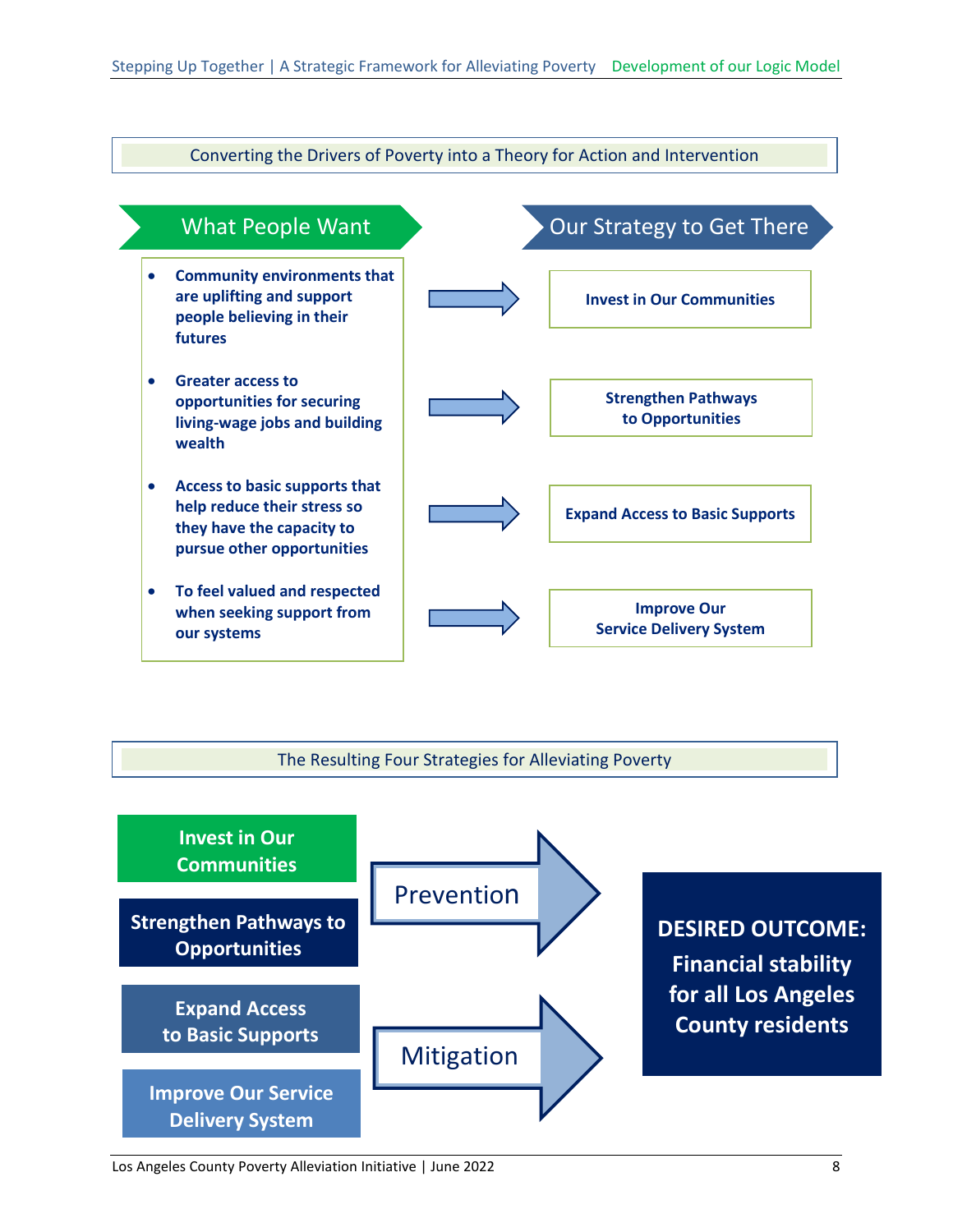

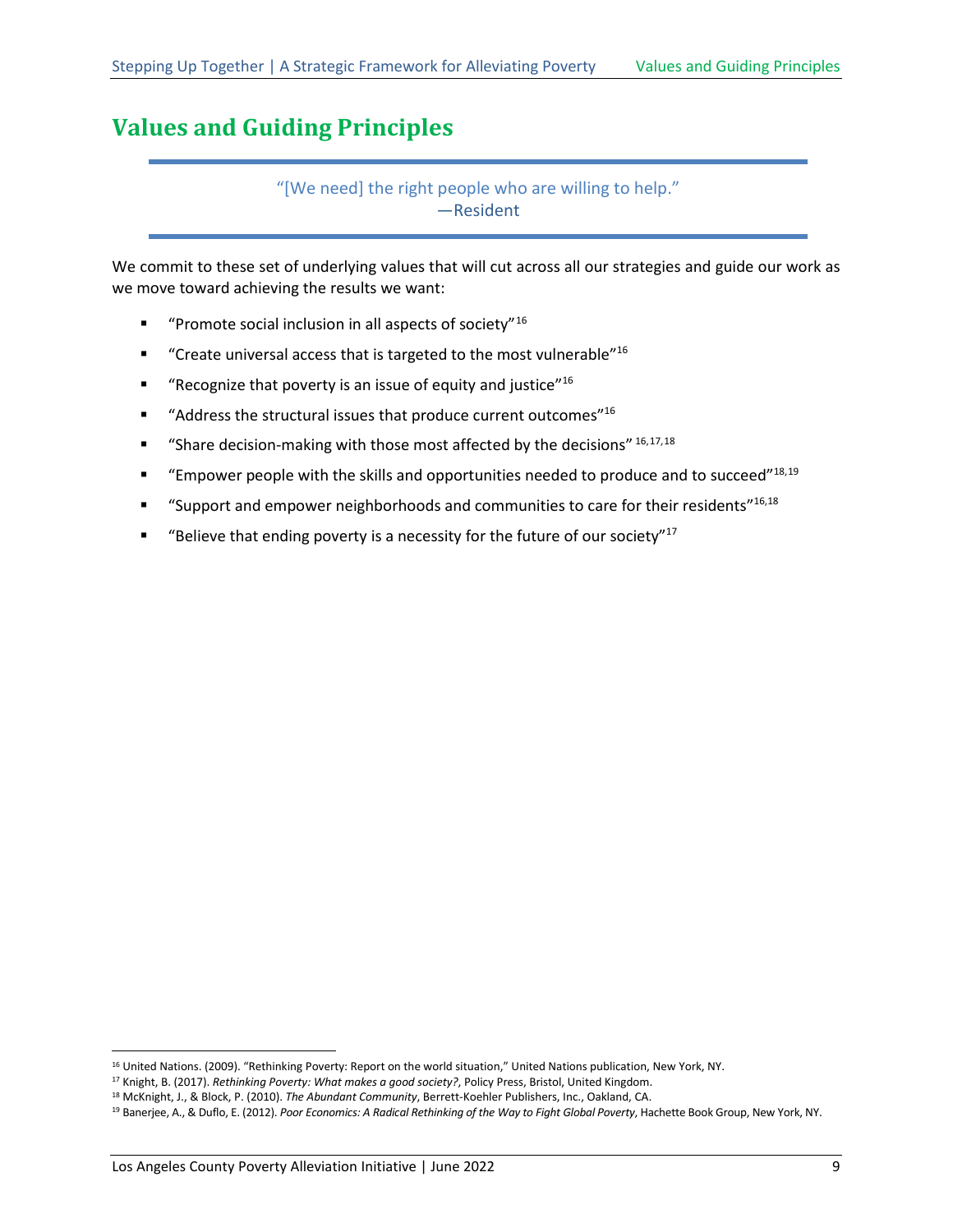## <span id="page-13-0"></span>**Values and Guiding Principles**

<span id="page-13-3"></span><span id="page-13-2"></span><span id="page-13-1"></span>"[We need] the right people who are willing to help." —Resident

We commit to these set of underlying values that will cut across all our strategies and guide our work as we move toward achieving the results we want:

- **"** "Promote social inclusion in all aspects of society"<sup>[16](#page-13-4)</sup>
- " "Create universal access that is targeted to the most vulnerable"<sup>16</sup>
- **"** "Recognize that poverty is an issue of equity and justice"<sup>16</sup>
- $\blacksquare$  "Address the structural issues that produce current outcomes"<sup>16</sup>
- " "Share decision-making with those most affected by the decisions"  $16,17,18$  $16,17,18$  $16,17,18$
- **"** "Empower people with the skills and opportunities needed to produce and to succeed"<sup>18,[19](#page-13-7)</sup>
- " "Support and empower neighborhoods and communities to care for their residents"<sup>16,[18](#page-13-2)</sup>
- **"** "Believe that ending poverty is a necessity for the future of our society"<sup>17</sup>

<span id="page-13-4"></span><sup>16</sup> United Nations. (2009). "Rethinking Poverty: Report on the world situation," United Nations publication, New York, NY.

<span id="page-13-5"></span><sup>17</sup> Knight, B. (2017). *Rethinking Poverty: What makes a good society?*, Policy Press, Bristol, United Kingdom.

<span id="page-13-6"></span><sup>18</sup> McKnight, J., & Block, P. (2010). *The Abundant Community*, Berrett-Koehler Publishers, Inc., Oakland, CA.

<span id="page-13-7"></span><sup>&</sup>lt;sup>19</sup> Banerjee, A., & Duflo, E. (2012). Poor Economics: A Radical Rethinking of the Way to Fight Global Poverty, Hachette Book Group, New York, NY.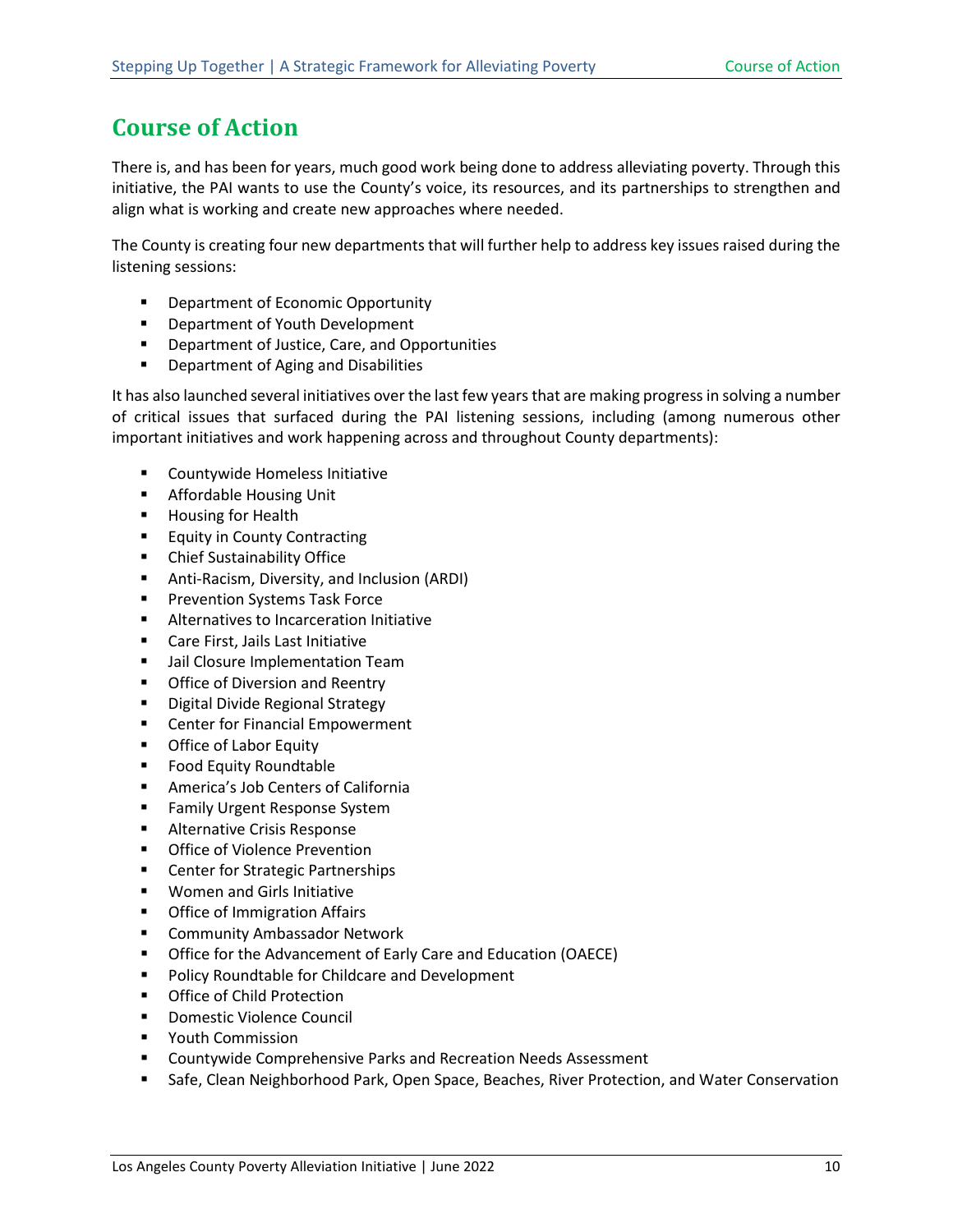# <span id="page-14-0"></span>**Course of Action**

There is, and has been for years, much good work being done to address alleviating poverty. Through this initiative, the PAI wants to use the County's voice, its resources, and its partnerships to strengthen and align what is working and create new approaches where needed.

The County is creating four new departments that will further help to address key issues raised during the listening sessions:

- **•** Department of Economic Opportunity
- **•** Department of Youth Development
- **•** Department of Justice, Care, and Opportunities
- **•** Department of Aging and Disabilities

It has also launched several initiatives over the last few years that are making progress in solving a number of critical issues that surfaced during the PAI listening sessions, including (among numerous other important initiatives and work happening across and throughout County departments):

- **EXECOUNTY COUNTY COUNTY** Countywide Homeless Initiative
- **Affordable Housing Unit**
- **Housing for Health**
- **Equity in County Contracting**
- Chief Sustainability Office
- Anti-Racism, Diversity, and Inclusion (ARDI)
- **Prevention Systems Task Force**
- **Alternatives to Incarceration Initiative**
- **Care First, Jails Last Initiative**
- **Jail Closure Implementation Team**
- **•** Office of Diversion and Reentry
- **Digital Divide Regional Strategy**
- **EXEC** Center for Financial Empowerment
- **•** Office of Labor Equity
- **Food Equity Roundtable**
- America's Job Centers of California
- **Family Urgent Response System**
- **Alternative Crisis Response**
- **Office of Violence Prevention**
- **EXEC** Center for Strategic Partnerships
- **Women and Girls Initiative**
- **•** Office of Immigration Affairs
- **EXECOMMUNITY Ambassador Network**
- **Office for the Advancement of Early Care and Education (OAECE)**
- **Policy Roundtable for Childcare and Development**
- **•** Office of Child Protection
- **Domestic Violence Council**
- **•** Youth Commission
- Countywide Comprehensive Parks and Recreation Needs Assessment
- Safe, Clean Neighborhood Park, Open Space, Beaches, River Protection, and Water Conservation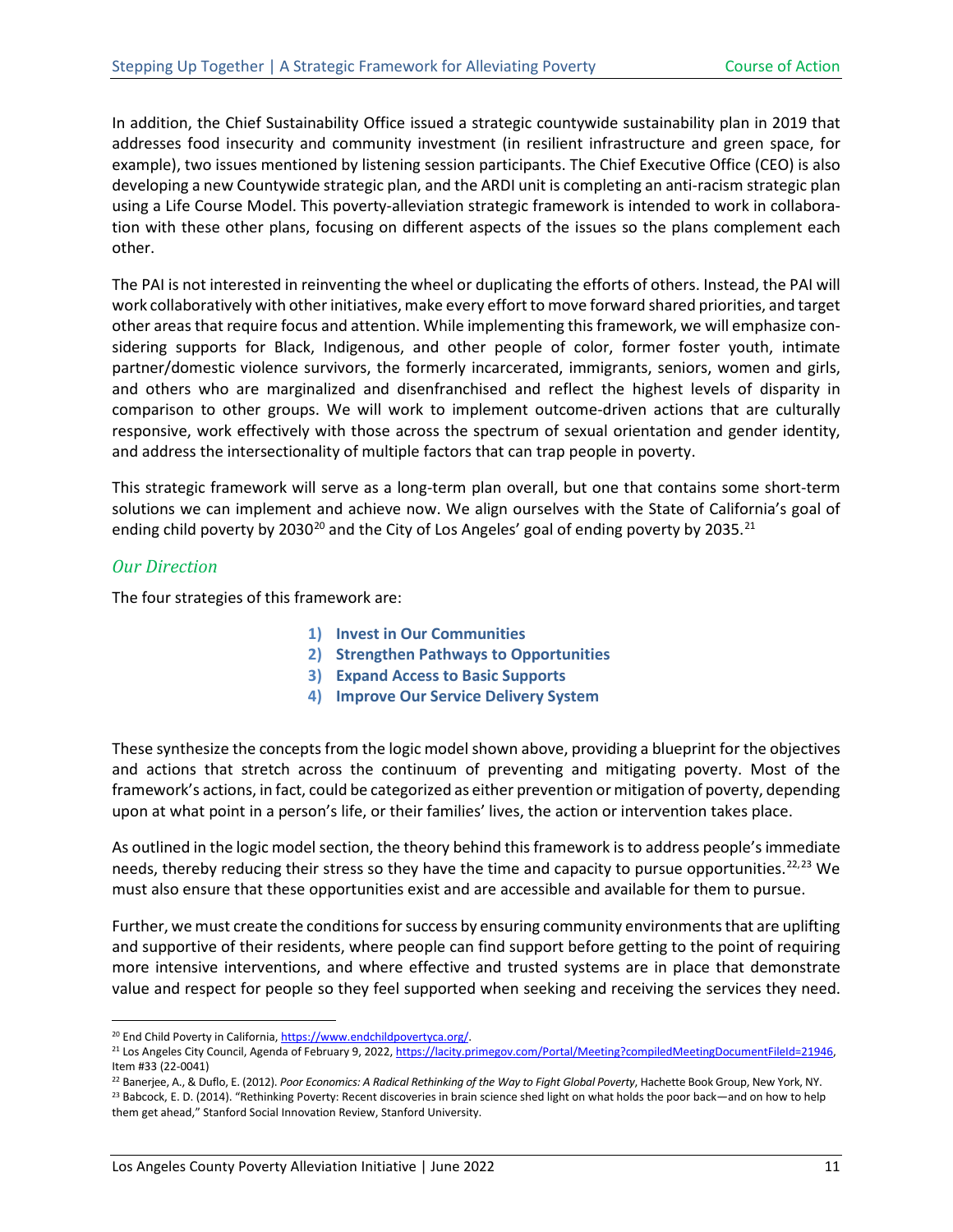In addition, the Chief Sustainability Office issued a strategic countywide sustainability plan in 2019 that addresses food insecurity and community investment (in resilient infrastructure and green space, for example), two issues mentioned by listening session participants. The Chief Executive Office (CEO) is also developing a new Countywide strategic plan, and the ARDI unit is completing an anti-racism strategic plan using a Life Course Model. This poverty-alleviation strategic framework is intended to work in collaboration with these other plans, focusing on different aspects of the issues so the plans complement each other.

The PAI is not interested in reinventing the wheel or duplicating the efforts of others. Instead, the PAI will work collaboratively with other initiatives, make every effort to move forward shared priorities, and target other areas that require focus and attention. While implementing this framework, we will emphasize considering supports for Black, Indigenous, and other people of color, former foster youth, intimate partner/domestic violence survivors, the formerly incarcerated, immigrants, seniors, women and girls, and others who are marginalized and disenfranchised and reflect the highest levels of disparity in comparison to other groups. We will work to implement outcome-driven actions that are culturally responsive, work effectively with those across the spectrum of sexual orientation and gender identity, and address the intersectionality of multiple factors that can trap people in poverty.

This strategic framework will serve as a long-term plan overall, but one that contains some short-term solutions we can implement and achieve now. We align ourselves with the State of California's goal of ending child poverty by [20](#page-15-1)30<sup>20</sup> and the City of Los Angeles' goal of ending poverty by 2035.<sup>[21](#page-15-2)</sup>

#### <span id="page-15-0"></span>*Our Direction*

The four strategies of this framework are:

- **1) Invest in Our Communities**
- **2) Strengthen Pathways to Opportunities**
- **3) Expand Access to Basic Supports**
- **4) Improve Our Service Delivery System**

These synthesize the concepts from the logic model shown above, providing a blueprint for the objectives and actions that stretch across the continuum of preventing and mitigating poverty. Most of the framework's actions, in fact, could be categorized as either prevention or mitigation of poverty, depending upon at what point in a person's life, or their families' lives, the action or intervention takes place.

As outlined in the logic model section, the theory behind this framework is to address people's immediate needs, thereby reducing their stress so they have the time and capacity to pursue opportunities.<sup>[22,](#page-15-3)[23](#page-15-4)</sup> We must also ensure that these opportunities exist and are accessible and available for them to pursue.

Further, we must create the conditions for success by ensuring community environments that are uplifting and supportive of their residents, where people can find support before getting to the point of requiring more intensive interventions, and where effective and trusted systems are in place that demonstrate value and respect for people so they feel supported when seeking and receiving the services they need.

<span id="page-15-1"></span><sup>&</sup>lt;sup>20</sup> End Child Poverty in California[, https://www.endchildpovertyca.org/.](https://www.endchildpovertyca.org/)

<span id="page-15-2"></span><sup>&</sup>lt;sup>21</sup> Los Angeles City Council, Agenda of February 9, 2022, https://lacity.primegov.com/Portal/Meeting?compiledMeetingDocumentFileId=21946, Item #33 (22-0041)

<span id="page-15-4"></span><span id="page-15-3"></span><sup>22</sup> Banerjee, A., & Duflo, E. (2012). *Poor Economics: A Radical Rethinking of the Way to Fight Global Poverty*, Hachette Book Group, New York, NY. <sup>23</sup> Babcock, E. D. (2014). "Rethinking Poverty: Recent discoveries in brain science shed light on what holds the poor back—and on how to help them get ahead," Stanford Social Innovation Review, Stanford University.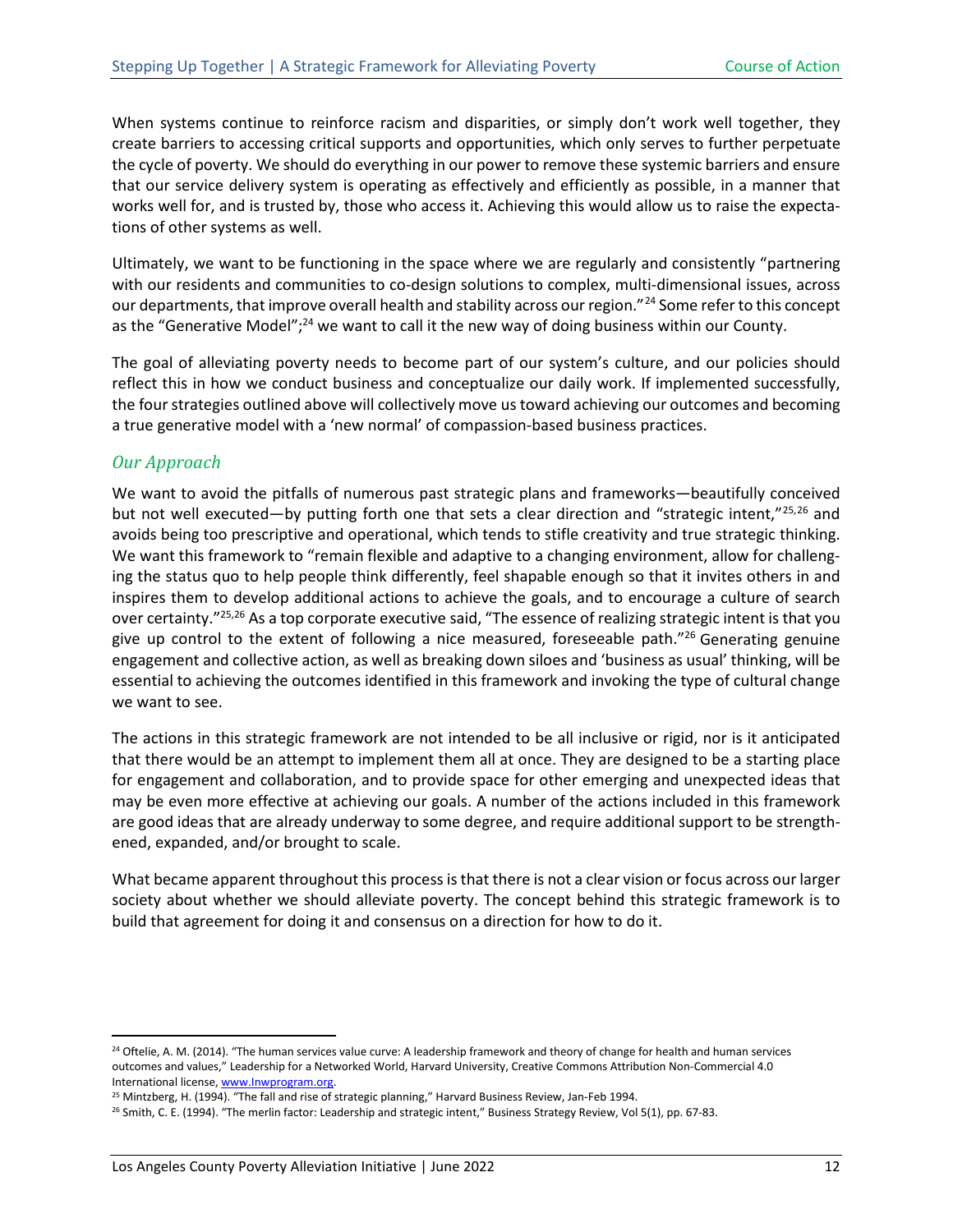When systems continue to reinforce racism and disparities, or simply don't work well together, they create barriers to accessing critical supports and opportunities, which only serves to further perpetuate the cycle of poverty. We should do everything in our power to remove these systemic barriers and ensure that our service delivery system is operating as effectively and efficiently as possible, in a manner that works well for, and is trusted by, those who access it. Achieving this would allow us to raise the expectations of other systems as well.

<span id="page-16-1"></span>Ultimately, we want to be functioning in the space where we are regularly and consistently "partnering with our residents and communities to co-design solutions to complex, multi-dimensional issues, across our departments, that improve overall health and stability across our region."<sup>[24](#page-16-4)</sup> Some refer to this concept as the "Generative Model";<sup>24</sup> we want to call it the new way of doing business within our County.

The goal of alleviating poverty needs to become part of our system's culture, and our policies should reflect this in how we conduct business and conceptualize our daily work. If implemented successfully, the four strategies outlined above will collectively move us toward achieving our outcomes and becoming a true generative model with a 'new normal' of compassion-based business practices.

#### <span id="page-16-0"></span>*Our Approach*

<span id="page-16-3"></span><span id="page-16-2"></span>We want to avoid the pitfalls of numerous past strategic plans and frameworks—beautifully conceived but not well executed—by putting forth one that sets a clear direction and "strategic intent,"[25](#page-16-5),[26](#page-16-6) and avoids being too prescriptive and operational, which tends to stifle creativity and true strategic thinking. We want this framework to "remain flexible and adaptive to a changing environment, allow for challenging the status quo to help people think differently, feel shapable enough so that it invites others in and inspires them to develop additional actions to achieve the goals, and to encourage a culture of search over certainty.["25,](#page-16-2)[26](#page-16-3) As a top corporate executive said, "The essence of realizing strategic intent is that you give up control to the extent of following a nice measured, foreseeable path."<sup>26</sup> Generating genuine engagement and collective action, as well as breaking down siloes and 'business as usual' thinking, will be essential to achieving the outcomes identified in this framework and invoking the type of cultural change we want to see.

The actions in this strategic framework are not intended to be all inclusive or rigid, nor is it anticipated that there would be an attempt to implement them all at once. They are designed to be a starting place for engagement and collaboration, and to provide space for other emerging and unexpected ideas that may be even more effective at achieving our goals. A number of the actions included in this framework are good ideas that are already underway to some degree, and require additional support to be strengthened, expanded, and/or brought to scale.

What became apparent throughout this process is that there is not a clear vision or focus across our larger society about whether we should alleviate poverty. The concept behind this strategic framework is to build that agreement for doing it and consensus on a direction for how to do it.

<span id="page-16-4"></span><sup>&</sup>lt;sup>24</sup> Oftelie, A. M. (2014). "The human services value curve: A leadership framework and theory of change for health and human services outcomes and values," Leadership for a Networked World, Harvard University, Creative Commons Attribution Non-Commercial 4.0 International license[, www.Inwprogram.org.](http://www.inwprogram.org/)<br><sup>25</sup> Mintzberg, H. (1994). "The fall and rise of strategic planning," Harvard Business Review, Jan-Feb 1994.

<span id="page-16-5"></span>

<span id="page-16-6"></span><sup>&</sup>lt;sup>26</sup> Smith, C. E. (1994). "The merlin factor: Leadership and strategic intent," Business Strategy Review, Vol 5(1), pp. 67-83.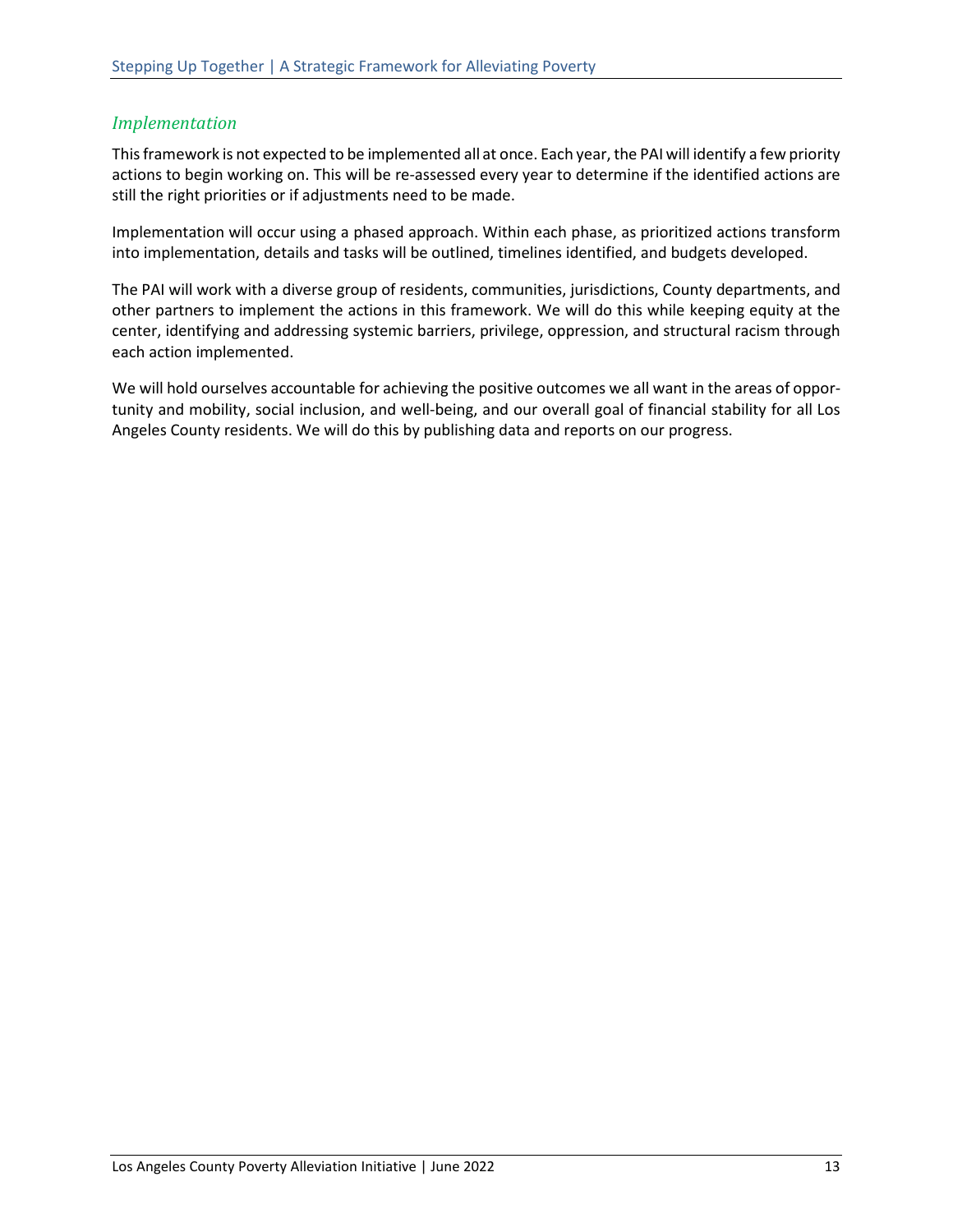#### <span id="page-17-0"></span>*Implementation*

This framework is not expected to be implemented all at once. Each year, the PAI will identify a few priority actions to begin working on. This will be re-assessed every year to determine if the identified actions are still the right priorities or if adjustments need to be made.

Implementation will occur using a phased approach. Within each phase, as prioritized actions transform into implementation, details and tasks will be outlined, timelines identified, and budgets developed.

The PAI will work with a diverse group of residents, communities, jurisdictions, County departments, and other partners to implement the actions in this framework. We will do this while keeping equity at the center, identifying and addressing systemic barriers, privilege, oppression, and structural racism through each action implemented.

We will hold ourselves accountable for achieving the positive outcomes we all want in the areas of opportunity and mobility, social inclusion, and well-being, and our overall goal of financial stability for all Los Angeles County residents. We will do this by publishing data and reports on our progress.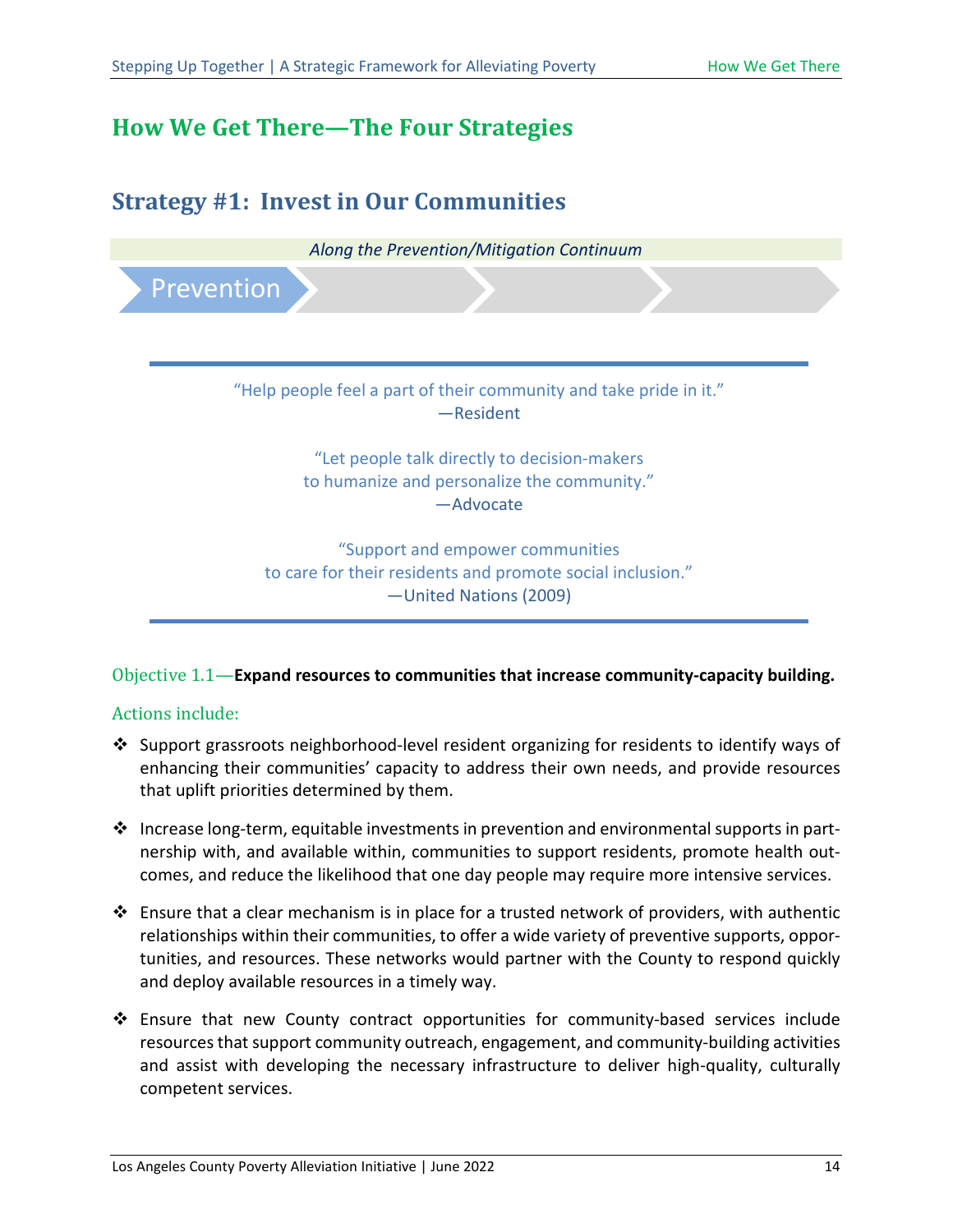## <span id="page-18-0"></span>**How We Get There—The Four Strategies**

<span id="page-18-1"></span>

#### Objective 1.1—**Expand resources to communities that increase community-capacity building.**

- Support grassroots neighborhood-level resident organizing for residents to identify ways of enhancing their communities' capacity to address their own needs, and provide resources that uplift priorities determined by them.
- ❖ Increase long-term, equitable investments in prevention and environmental supports in partnership with, and available within, communities to support residents, promote health outcomes, and reduce the likelihood that one day people may require more intensive services.
- $\clubsuit$  Ensure that a clear mechanism is in place for a trusted network of providers, with authentic relationships within their communities, to offer a wide variety of preventive supports, opportunities, and resources. These networks would partner with the County to respond quickly and deploy available resources in a timely way.
- Ensure that new County contract opportunities for community-based services include resources that support community outreach, engagement, and community-building activities and assist with developing the necessary infrastructure to deliver high-quality, culturally competent services.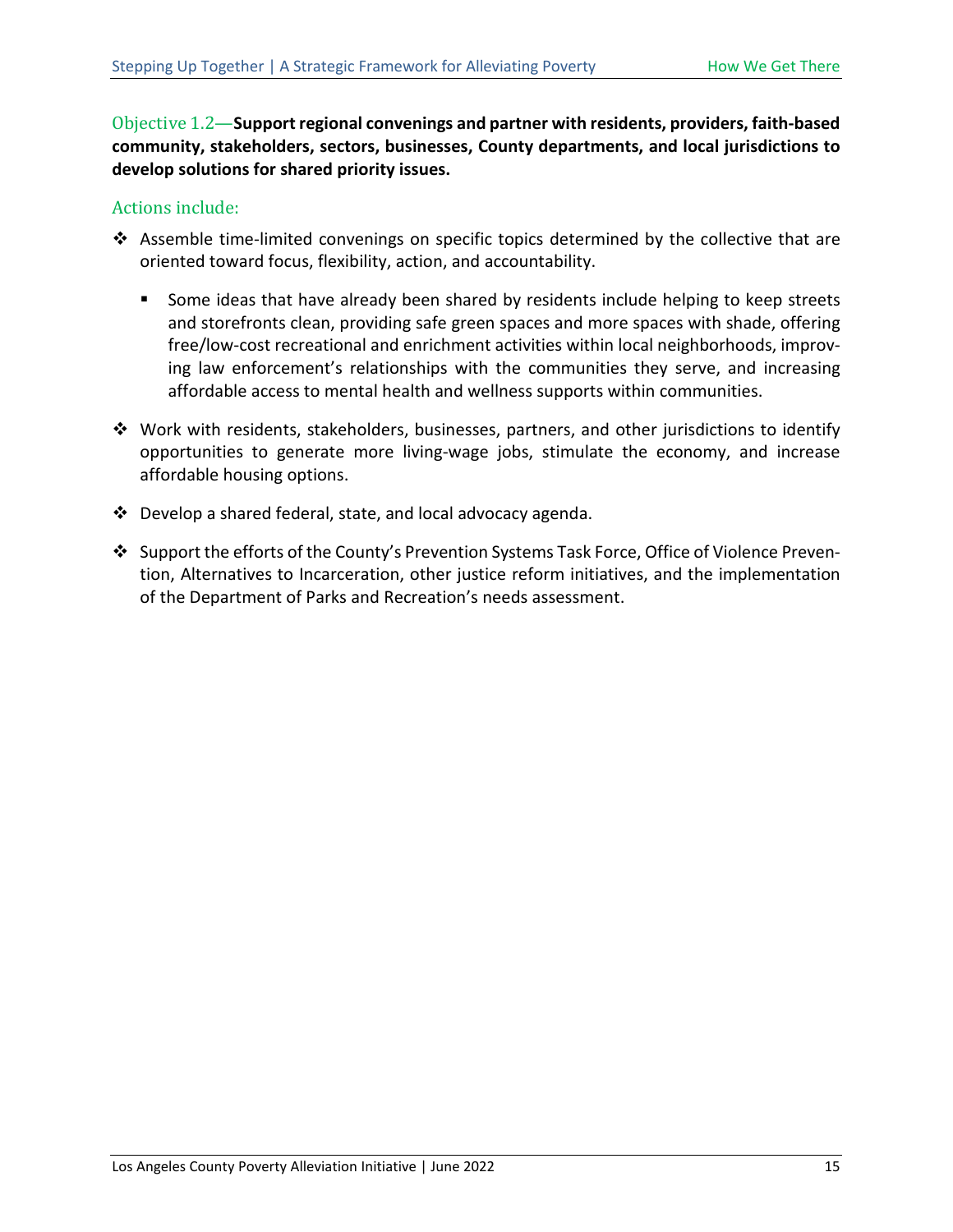Objective 1.2—**Support regional convenings and partner with residents, providers, faith-based community, stakeholders, sectors, businesses, County departments, and local jurisdictions to develop solutions for shared priority issues.**

- Assemble time-limited convenings on specific topics determined by the collective that are oriented toward focus, flexibility, action, and accountability.
	- **Some ideas that have already been shared by residents include helping to keep streets** and storefronts clean, providing safe green spaces and more spaces with shade, offering free/low-cost recreational and enrichment activities within local neighborhoods, improving law enforcement's relationships with the communities they serve, and increasing affordable access to mental health and wellness supports within communities.
- $\clubsuit$  Work with residents, stakeholders, businesses, partners, and other jurisdictions to identify opportunities to generate more living-wage jobs, stimulate the economy, and increase affordable housing options.
- Develop a shared federal, state, and local advocacy agenda.
- Support the efforts of the County's Prevention Systems Task Force, Office of Violence Prevention, Alternatives to Incarceration, other justice reform initiatives, and the implementation of the Department of Parks and Recreation's needs assessment.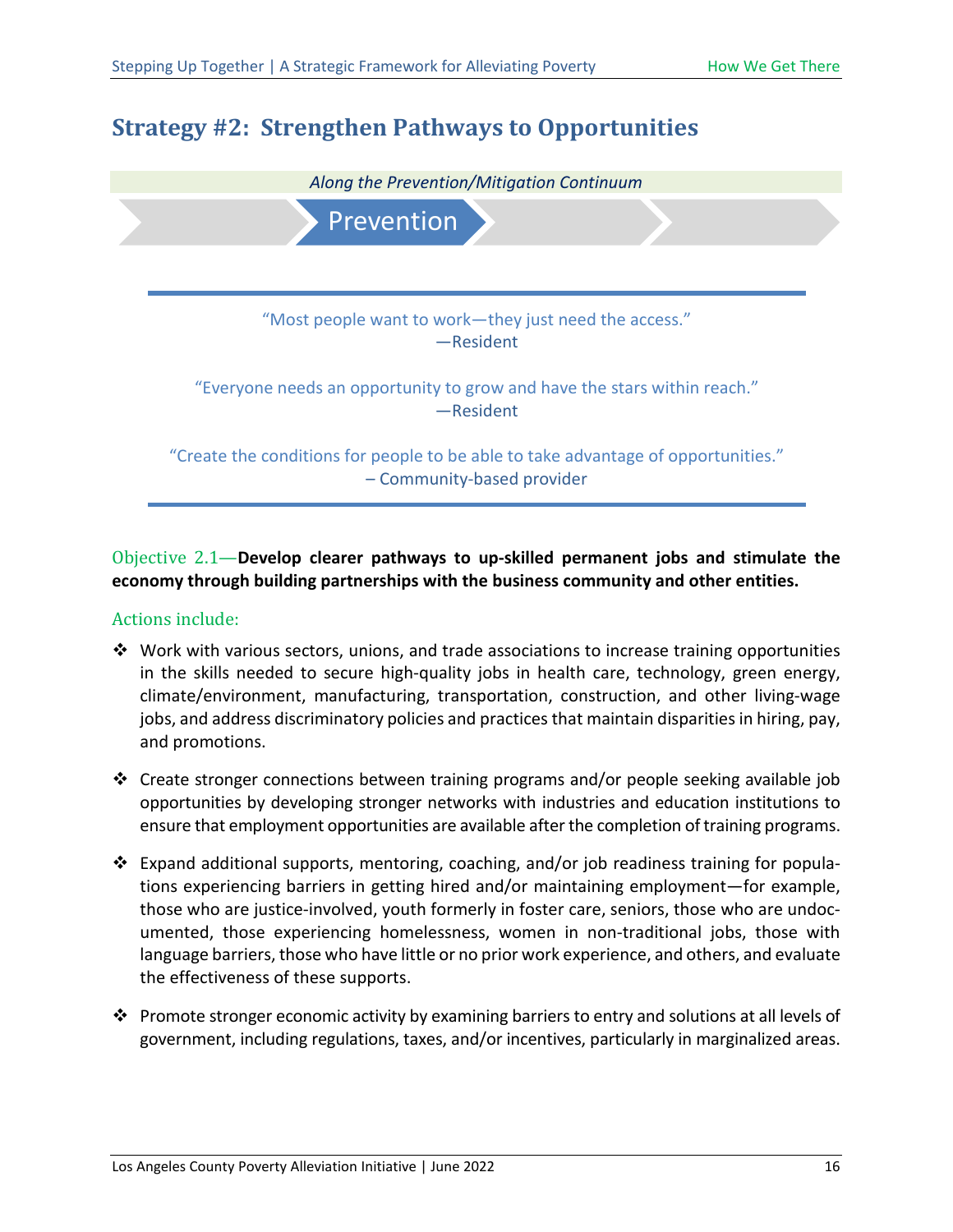## <span id="page-20-0"></span>**Strategy #2: Strengthen Pathways to Opportunities**



#### Objective 2.1—**Develop clearer pathways to up-skilled permanent jobs and stimulate the economy through building partnerships with the business community and other entities.**

- $\cdot \cdot$  Work with various sectors, unions, and trade associations to increase training opportunities in the skills needed to secure high-quality jobs in health care, technology, green energy, climate/environment, manufacturing, transportation, construction, and other living-wage jobs, and address discriminatory policies and practices that maintain disparities in hiring, pay, and promotions.
- $\div$  Create stronger connections between training programs and/or people seeking available job opportunities by developing stronger networks with industries and education institutions to ensure that employment opportunities are available after the completion of training programs.
- Expand additional supports, mentoring, coaching, and/or job readiness training for populations experiencing barriers in getting hired and/or maintaining employment—for example, those who are justice-involved, youth formerly in foster care, seniors, those who are undocumented, those experiencing homelessness, women in non-traditional jobs, those with language barriers, those who have little or no prior work experience, and others, and evaluate the effectiveness of these supports.
- $\clubsuit$  Promote stronger economic activity by examining barriers to entry and solutions at all levels of government, including regulations, taxes, and/or incentives, particularly in marginalized areas.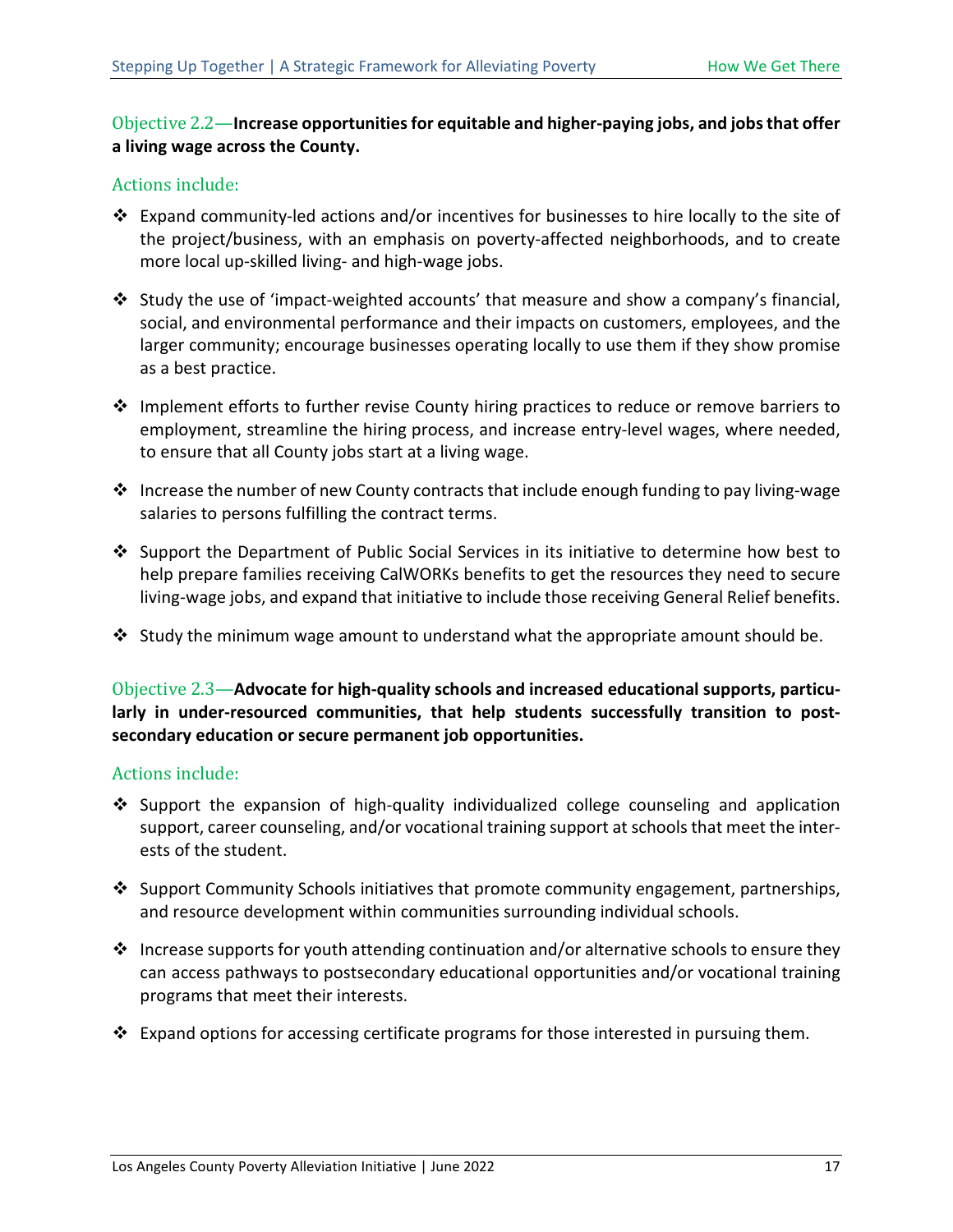#### Objective 2.2—**Increase opportunities for equitable and higher-paying jobs, and jobs that offer a living wage across the County.**

#### Actions include:

- Expand community-led actions and/or incentives for businesses to hire locally to the site of the project/business, with an emphasis on poverty-affected neighborhoods, and to create more local up-skilled living- and high-wage jobs.
- Study the use of 'impact-weighted accounts' that measure and show a company's financial, social, and environmental performance and their impacts on customers, employees, and the larger community; encourage businesses operating locally to use them if they show promise as a best practice.
- $\cdot \cdot$  Implement efforts to further revise County hiring practices to reduce or remove barriers to employment, streamline the hiring process, and increase entry-level wages, where needed, to ensure that all County jobs start at a living wage.
- $\cdot \cdot$  Increase the number of new County contracts that include enough funding to pay living-wage salaries to persons fulfilling the contract terms.
- ❖ Support the Department of Public Social Services in its initiative to determine how best to help prepare families receiving CalWORKs benefits to get the resources they need to secure living-wage jobs, and expand that initiative to include those receiving General Relief benefits.
- Study the minimum wage amount to understand what the appropriate amount should be.

#### Objective 2.3—**Advocate for high-quality schools and increased educational supports, particularly in under-resourced communities, that help students successfully transition to postsecondary education or secure permanent job opportunities.**

- $\cdot$  Support the expansion of high-quality individualized college counseling and application support, career counseling, and/or vocational training support at schools that meet the interests of the student.
- ❖ Support Community Schools initiatives that promote community engagement, partnerships, and resource development within communities surrounding individual schools.
- $\cdot$  Increase supports for youth attending continuation and/or alternative schools to ensure they can access pathways to postsecondary educational opportunities and/or vocational training programs that meet their interests.
- $\clubsuit$  Expand options for accessing certificate programs for those interested in pursuing them.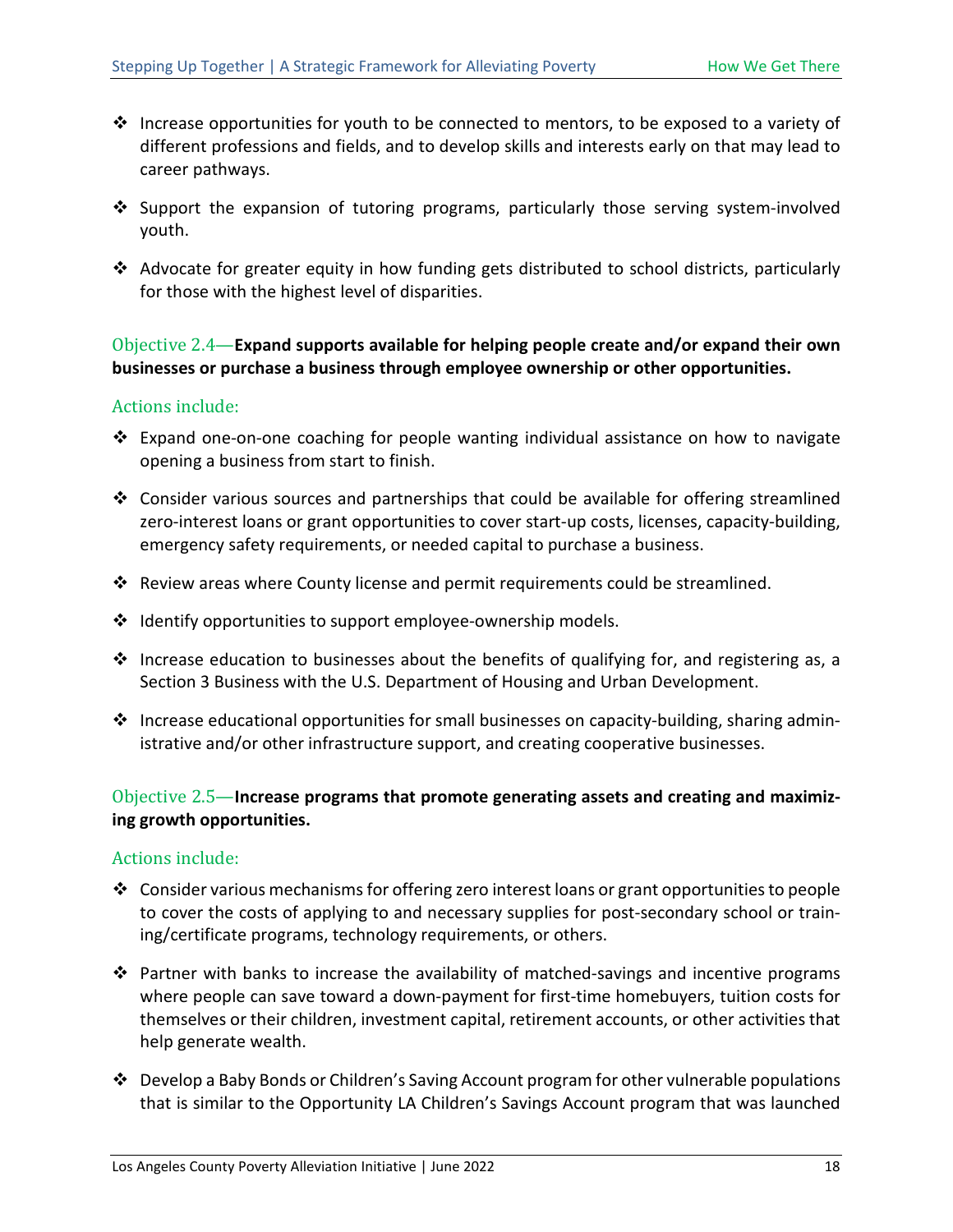- $\cdot$  Increase opportunities for youth to be connected to mentors, to be exposed to a variety of different professions and fields, and to develop skills and interests early on that may lead to career pathways.
- $\cdot$  Support the expansion of tutoring programs, particularly those serving system-involved youth.
- Advocate for greater equity in how funding gets distributed to school districts, particularly for those with the highest level of disparities.

#### Objective 2.4—**Expand supports available for helping people create and/or expand their own businesses or purchase a business through employee ownership or other opportunities.**

#### Actions include:

- $\cdot \cdot$  Expand one-on-one coaching for people wanting individual assistance on how to navigate opening a business from start to finish.
- $\cdot$  Consider various sources and partnerships that could be available for offering streamlined zero-interest loans or grant opportunities to cover start-up costs, licenses, capacity-building, emergency safety requirements, or needed capital to purchase a business.
- Review areas where County license and permit requirements could be streamlined.
- $\cdot \cdot$  Identify opportunities to support employee-ownership models.
- $\cdot$  Increase education to businesses about the benefits of qualifying for, and registering as, a Section 3 Business with the U.S. Department of Housing and Urban Development.
- $\cdot \cdot$  Increase educational opportunities for small businesses on capacity-building, sharing administrative and/or other infrastructure support, and creating cooperative businesses.

#### Objective 2.5—**Increase programs that promote generating assets and creating and maximizing growth opportunities.**

- Consider various mechanisms for offering zero interest loans or grant opportunities to people to cover the costs of applying to and necessary supplies for post-secondary school or training/certificate programs, technology requirements, or others.
- Partner with banks to increase the availability of matched-savings and incentive programs where people can save toward a down-payment for first-time homebuyers, tuition costs for themselves or their children, investment capital, retirement accounts, or other activities that help generate wealth.
- Develop a Baby Bonds or Children's Saving Account program for other vulnerable populations that is similar to the Opportunity LA Children's Savings Account program that was launched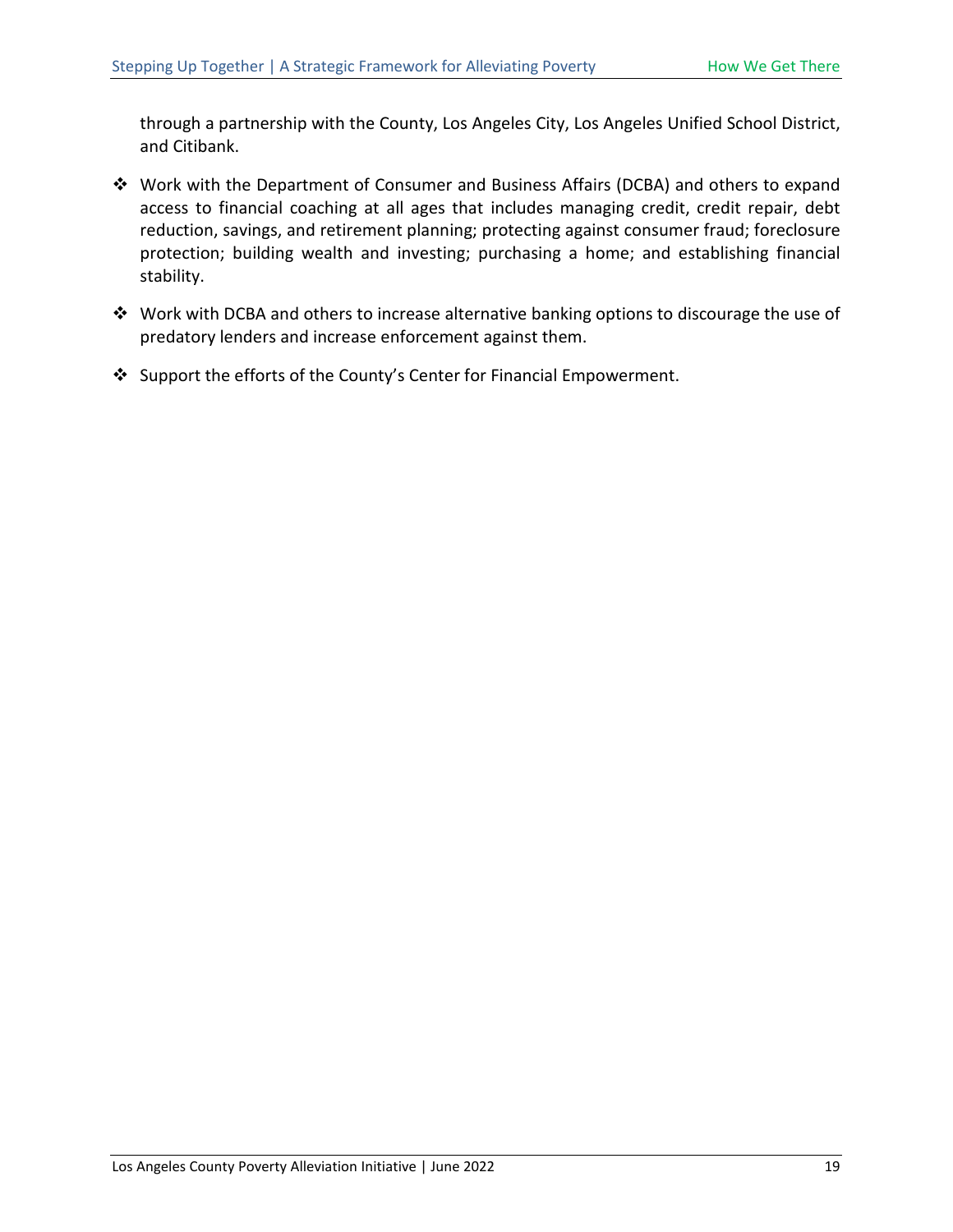through a partnership with the County, Los Angeles City, Los Angeles Unified School District, and Citibank.

- Work with the Department of Consumer and Business Affairs (DCBA) and others to expand access to financial coaching at all ages that includes managing credit, credit repair, debt reduction, savings, and retirement planning; protecting against consumer fraud; foreclosure protection; building wealth and investing; purchasing a home; and establishing financial stability.
- Work with DCBA and others to increase alternative banking options to discourage the use of predatory lenders and increase enforcement against them.
- Support the efforts of the County's Center for Financial Empowerment.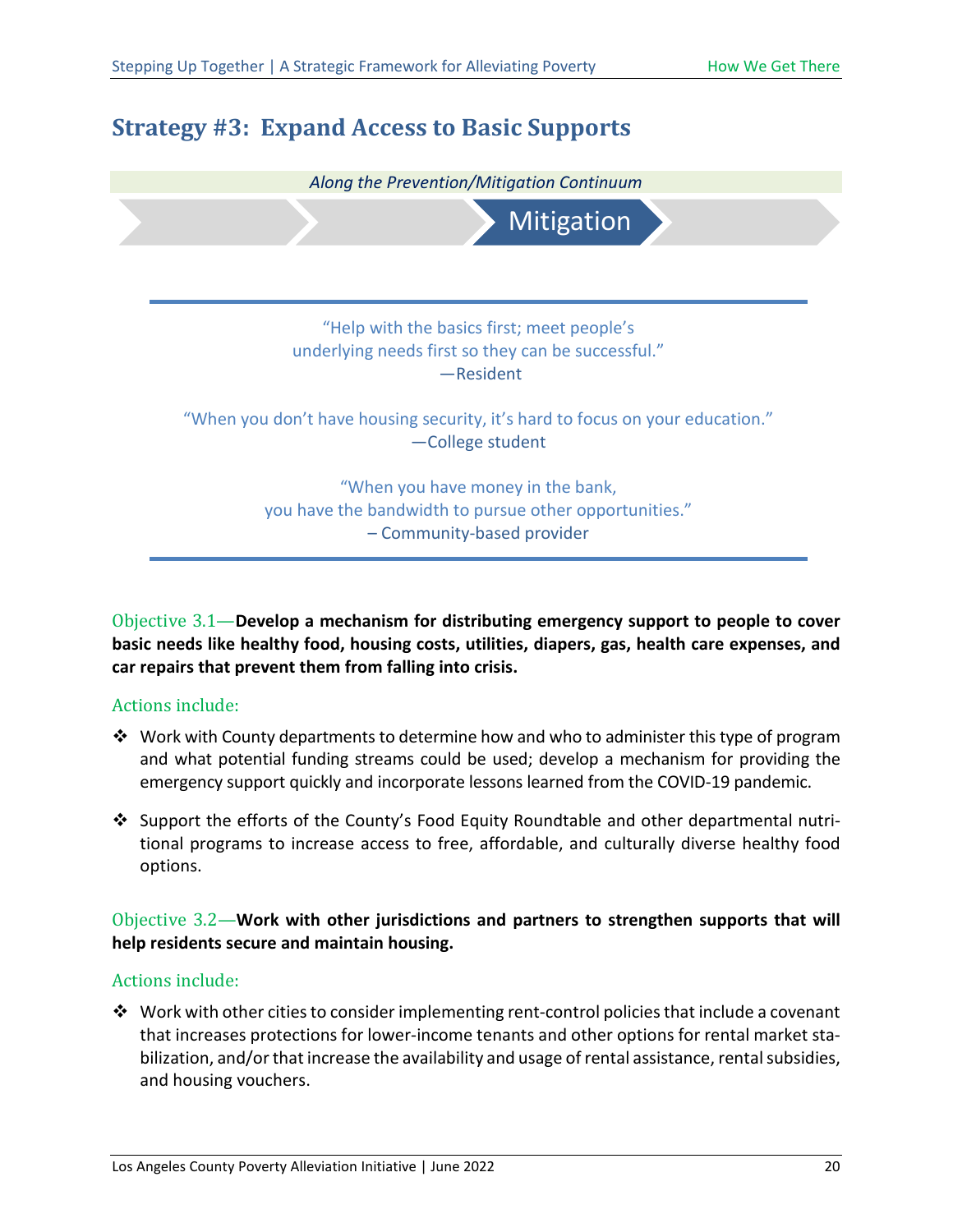## <span id="page-24-0"></span>**Strategy #3: Expand Access to Basic Supports**



Objective 3.1—**Develop a mechanism for distributing emergency support to people to cover basic needs like healthy food, housing costs, utilities, diapers, gas, health care expenses, and car repairs that prevent them from falling into crisis.**

#### Actions include:

- \* Work with County departments to determine how and who to administer this type of program and what potential funding streams could be used; develop a mechanism for providing the emergency support quickly and incorporate lessons learned from the COVID-19 pandemic.
- \* Support the efforts of the County's Food Equity Roundtable and other departmental nutritional programs to increase access to free, affordable, and culturally diverse healthy food options.

Objective 3.2—**Work with other jurisdictions and partners to strengthen supports that will help residents secure and maintain housing.**

#### Actions include:

 $\clubsuit$  Work with other cities to consider implementing rent-control policies that include a covenant that increases protections for lower-income tenants and other options for rental market stabilization, and/or that increase the availability and usage of rental assistance, rental subsidies, and housing vouchers.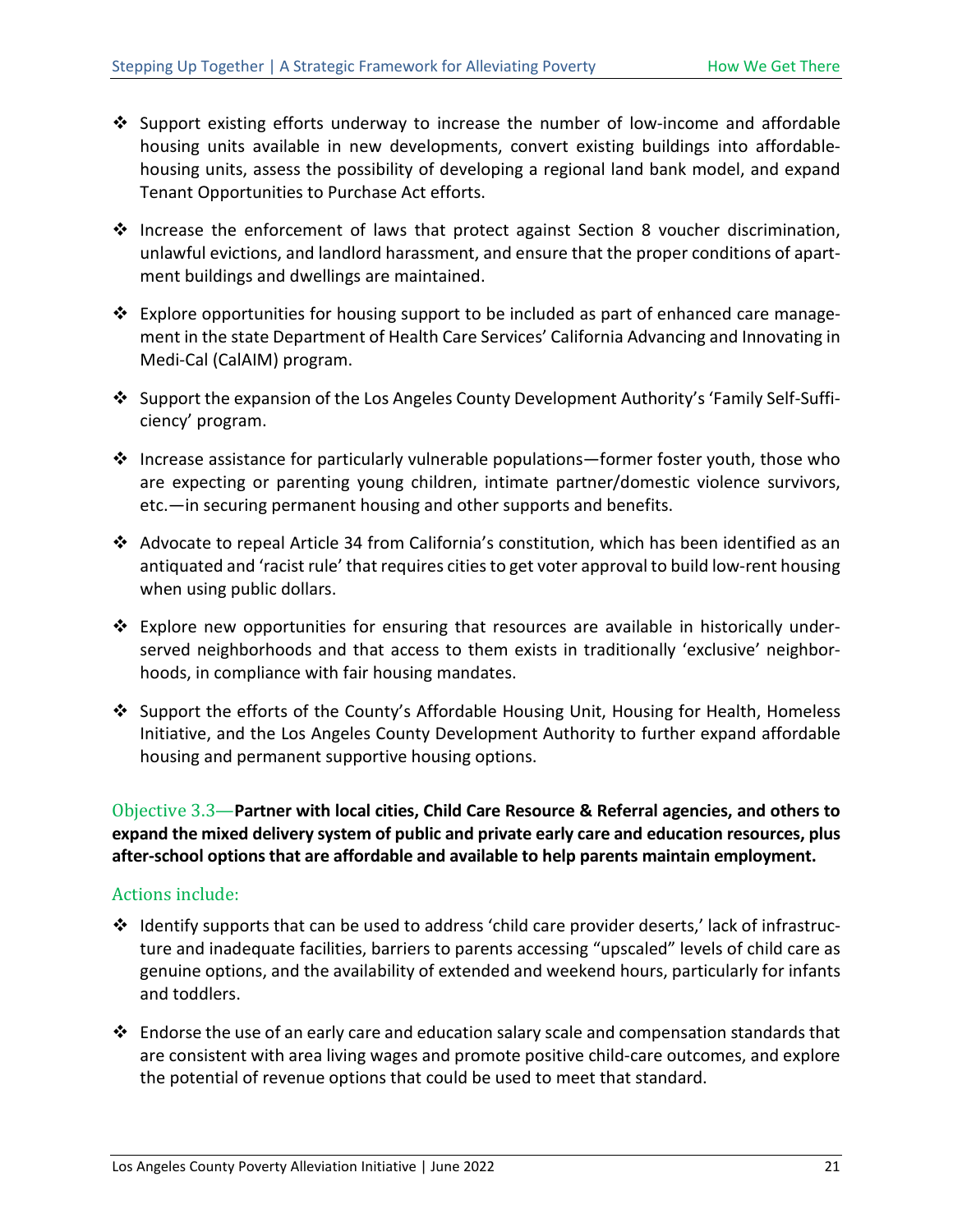- Support existing efforts underway to increase the number of low-income and affordable housing units available in new developments, convert existing buildings into affordablehousing units, assess the possibility of developing a regional land bank model, and expand Tenant Opportunities to Purchase Act efforts.
- $\cdot$  Increase the enforcement of laws that protect against Section 8 voucher discrimination, unlawful evictions, and landlord harassment, and ensure that the proper conditions of apartment buildings and dwellings are maintained.
- \* Explore opportunities for housing support to be included as part of enhanced care management in the state Department of Health Care Services' California Advancing and Innovating in Medi-Cal (CalAIM) program.
- Support the expansion of the Los Angeles County Development Authority's 'Family Self-Sufficiency' program.
- $\cdot \cdot$  Increase assistance for particularly vulnerable populations—former foster youth, those who are expecting or parenting young children, intimate partner/domestic violence survivors, etc.—in securing permanent housing and other supports and benefits.
- Advocate to repeal Article 34 from California's constitution, which has been identified as an antiquated and 'racist rule' that requires cities to get voter approval to build low-rent housing when using public dollars.
- $\cdot \cdot$  Explore new opportunities for ensuring that resources are available in historically underserved neighborhoods and that access to them exists in traditionally 'exclusive' neighborhoods, in compliance with fair housing mandates.
- Support the efforts of the County's Affordable Housing Unit, Housing for Health, Homeless Initiative, and the Los Angeles County Development Authority to further expand affordable housing and permanent supportive housing options.

Objective 3.3—**Partner with local cities, Child Care Resource & Referral agencies, and others to expand the mixed delivery system of public and private early care and education resources, plus after-school options that are affordable and available to help parents maintain employment.**

- $\cdot \cdot$  Identify supports that can be used to address 'child care provider deserts,' lack of infrastructure and inadequate facilities, barriers to parents accessing "upscaled" levels of child care as genuine options, and the availability of extended and weekend hours, particularly for infants and toddlers.
- $\clubsuit$  Endorse the use of an early care and education salary scale and compensation standards that are consistent with area living wages and promote positive child-care outcomes, and explore the potential of revenue options that could be used to meet that standard.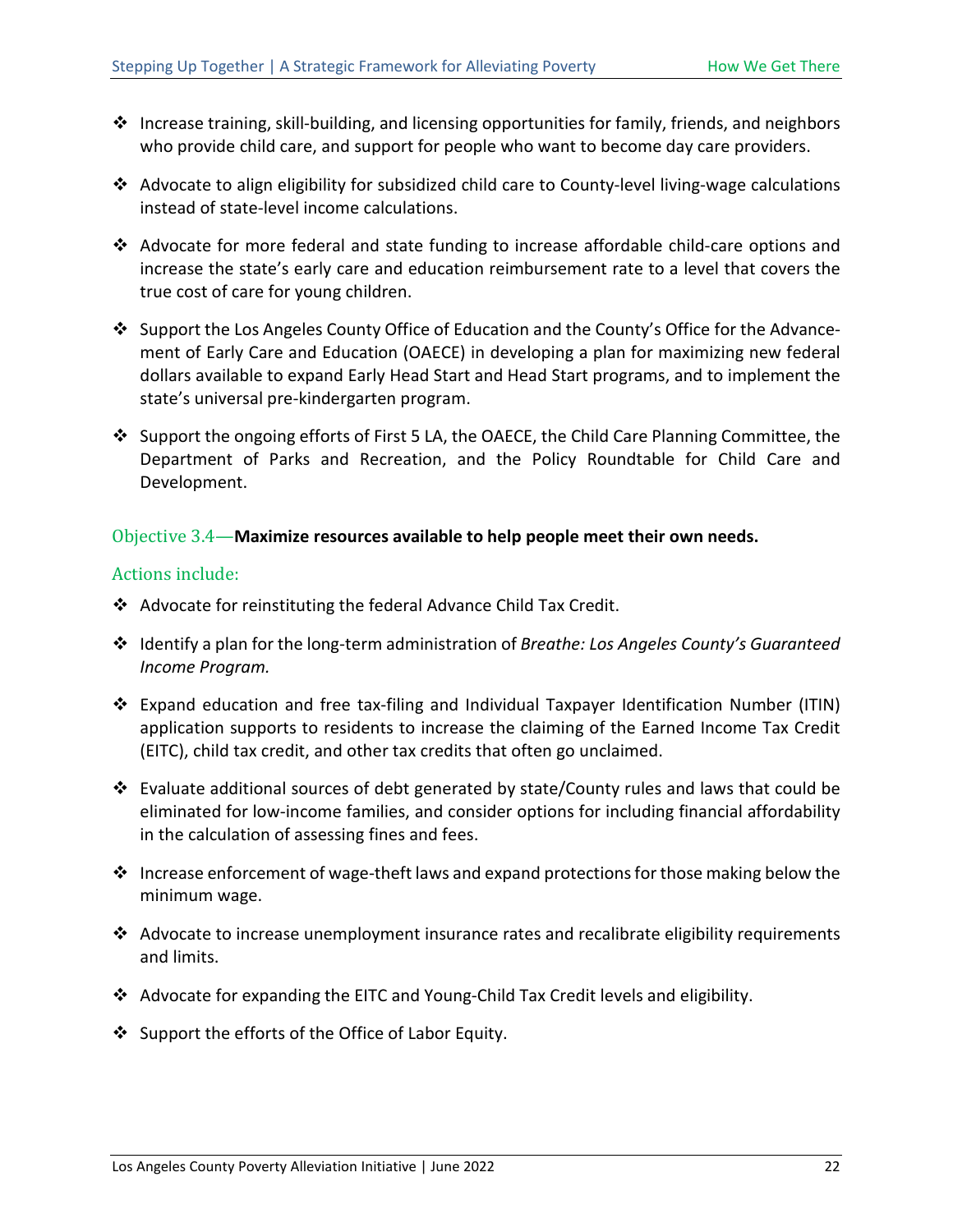- ❖ Increase training, skill-building, and licensing opportunities for family, friends, and neighbors who provide child care, and support for people who want to become day care providers.
- Advocate to align eligibility for subsidized child care to County-level living-wage calculations instead of state-level income calculations.
- Advocate for more federal and state funding to increase affordable child-care options and increase the state's early care and education reimbursement rate to a level that covers the true cost of care for young children.
- ❖ Support the Los Angeles County Office of Education and the County's Office for the Advancement of Early Care and Education (OAECE) in developing a plan for maximizing new federal dollars available to expand Early Head Start and Head Start programs, and to implement the state's universal pre-kindergarten program.
- Support the ongoing efforts of First 5 LA, the OAECE, the Child Care Planning Committee, the Department of Parks and Recreation, and the Policy Roundtable for Child Care and Development.

#### Objective 3.4—**Maximize resources available to help people meet their own needs.**

- Advocate for reinstituting the federal Advance Child Tax Credit.
- Identify a plan for the long-term administration of *Breathe: Los Angeles County's Guaranteed Income Program.*
- Expand education and free tax-filing and Individual Taxpayer Identification Number (ITIN) application supports to residents to increase the claiming of the Earned Income Tax Credit (EITC), child tax credit, and other tax credits that often go unclaimed.
- Evaluate additional sources of debt generated by state/County rules and laws that could be eliminated for low-income families, and consider options for including financial affordability in the calculation of assessing fines and fees.
- $\cdot$  Increase enforcement of wage-theft laws and expand protections for those making below the minimum wage.
- Advocate to increase unemployment insurance rates and recalibrate eligibility requirements and limits.
- Advocate for expanding the EITC and Young-Child Tax Credit levels and eligibility.
- ❖ Support the efforts of the Office of Labor Equity.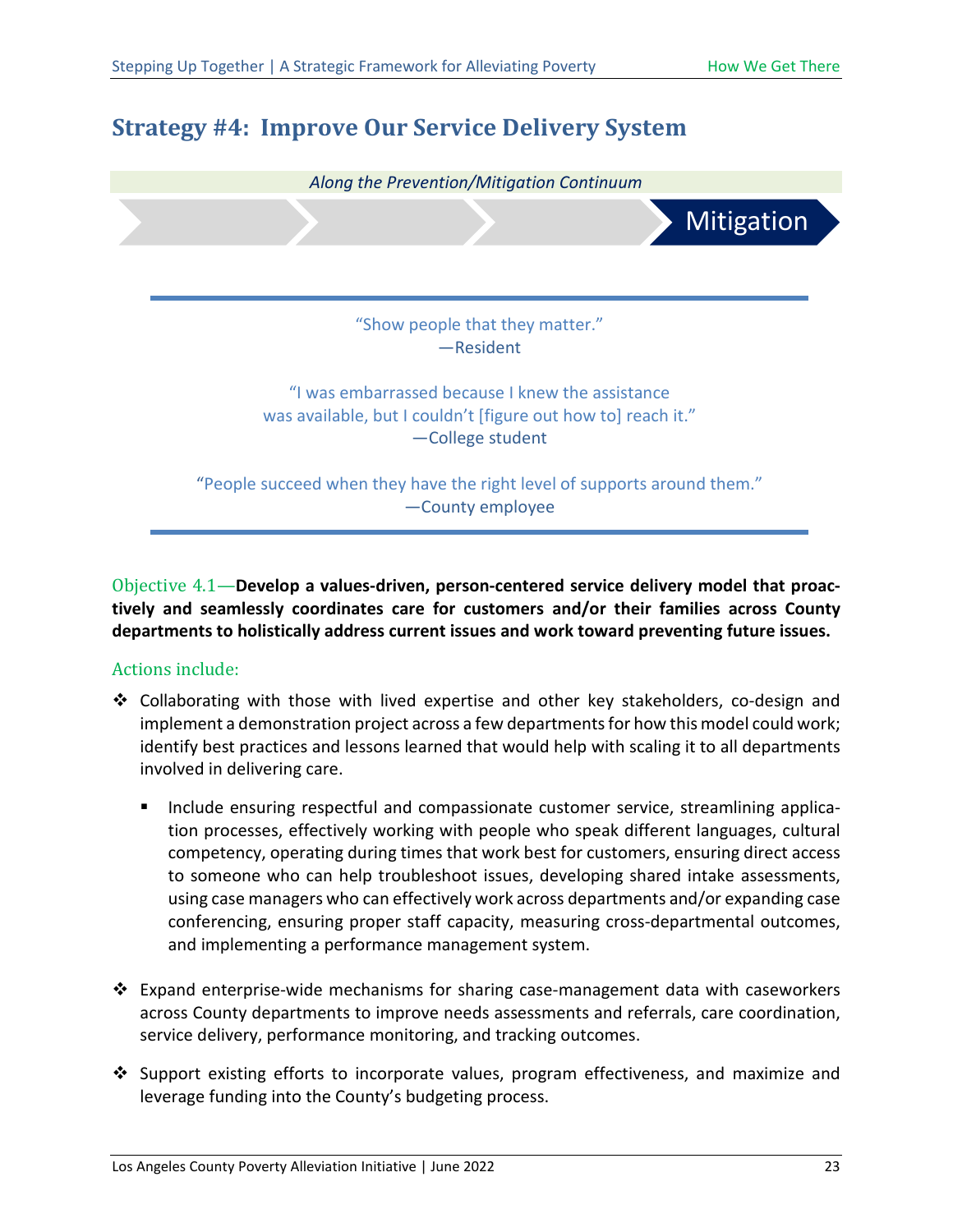## <span id="page-27-0"></span>**Strategy #4: Improve Our Service Delivery System**



Objective 4.1—**Develop a values-driven, person-centered service delivery model that proactively and seamlessly coordinates care for customers and/or their families across County departments to holistically address current issues and work toward preventing future issues.**

- Collaborating with those with lived expertise and other key stakeholders, co-design and implement a demonstration project across a few departments for how this model could work; identify best practices and lessons learned that would help with scaling it to all departments involved in delivering care.
	- **Include ensuring respectful and compassionate customer service, streamlining applica**tion processes, effectively working with people who speak different languages, cultural competency, operating during times that work best for customers, ensuring direct access to someone who can help troubleshoot issues, developing shared intake assessments, using case managers who can effectively work across departments and/or expanding case conferencing, ensuring proper staff capacity, measuring cross-departmental outcomes, and implementing a performance management system.
- $\clubsuit$  Expand enterprise-wide mechanisms for sharing case-management data with caseworkers across County departments to improve needs assessments and referrals, care coordination, service delivery, performance monitoring, and tracking outcomes.
- $\cdot$  Support existing efforts to incorporate values, program effectiveness, and maximize and leverage funding into the County's budgeting process.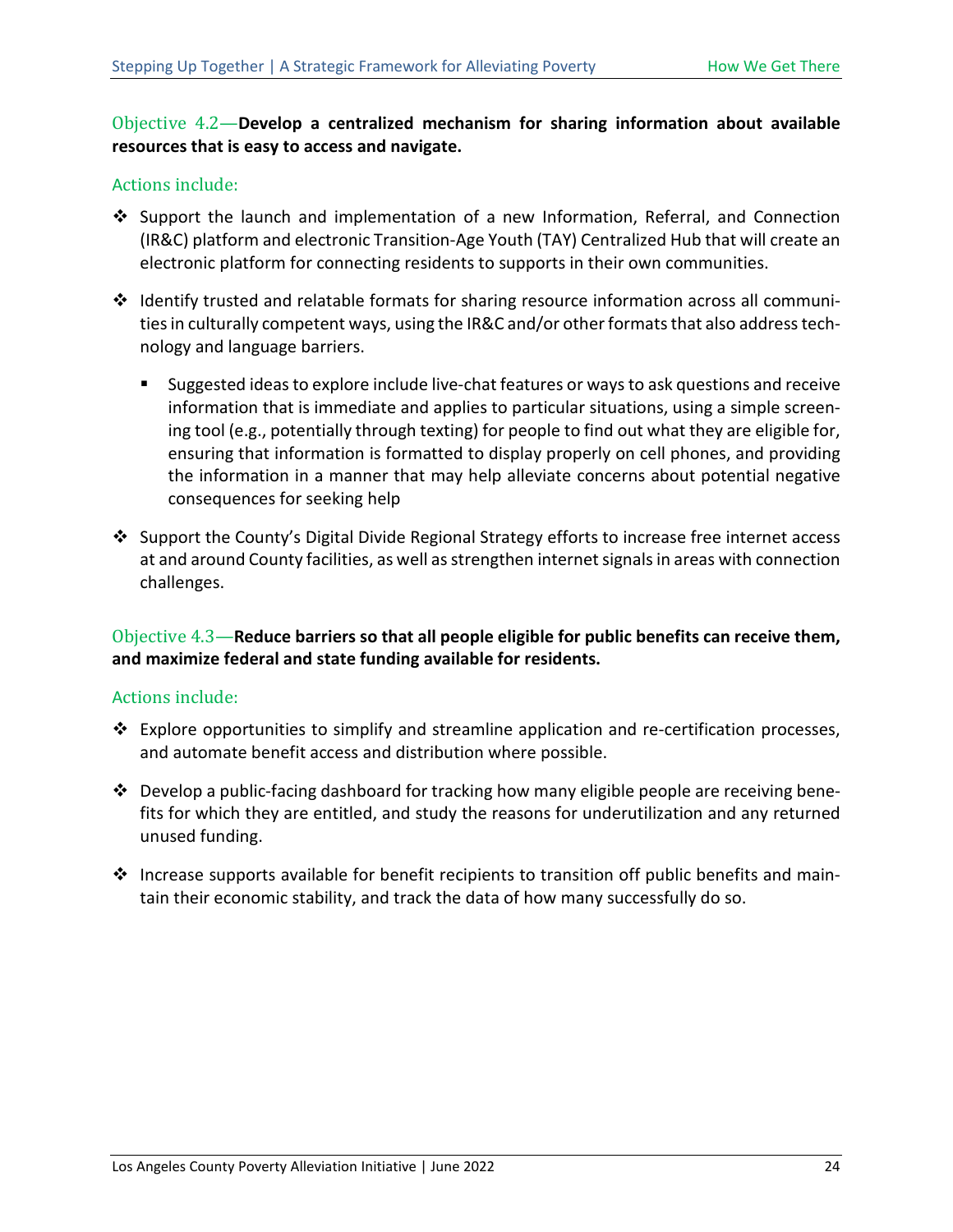#### Objective 4.2—**Develop a centralized mechanism for sharing information about available resources that is easy to access and navigate.**

#### Actions include:

- $\clubsuit$  Support the launch and implementation of a new Information, Referral, and Connection (IR&C) platform and electronic Transition-Age Youth (TAY) Centralized Hub that will create an electronic platform for connecting residents to supports in their own communities.
- \* Identify trusted and relatable formats for sharing resource information across all communities in culturally competent ways, using the IR&C and/or other formats that also address technology and language barriers.
	- **Suggested ideas to explore include live-chat features or ways to ask questions and receive** information that is immediate and applies to particular situations, using a simple screening tool (e.g., potentially through texting) for people to find out what they are eligible for, ensuring that information is formatted to display properly on cell phones, and providing the information in a manner that may help alleviate concerns about potential negative consequences for seeking help
- $\div$  Support the County's Digital Divide Regional Strategy efforts to increase free internet access at and around County facilities, as well as strengthen internet signals in areas with connection challenges.

Objective 4.3—**Reduce barriers so that all people eligible for public benefits can receive them, and maximize federal and state funding available for residents.**

- $\div$  Explore opportunities to simplify and streamline application and re-certification processes, and automate benefit access and distribution where possible.
- Develop a public-facing dashboard for tracking how many eligible people are receiving benefits for which they are entitled, and study the reasons for underutilization and any returned unused funding.
- $\clubsuit$  Increase supports available for benefit recipients to transition off public benefits and maintain their economic stability, and track the data of how many successfully do so.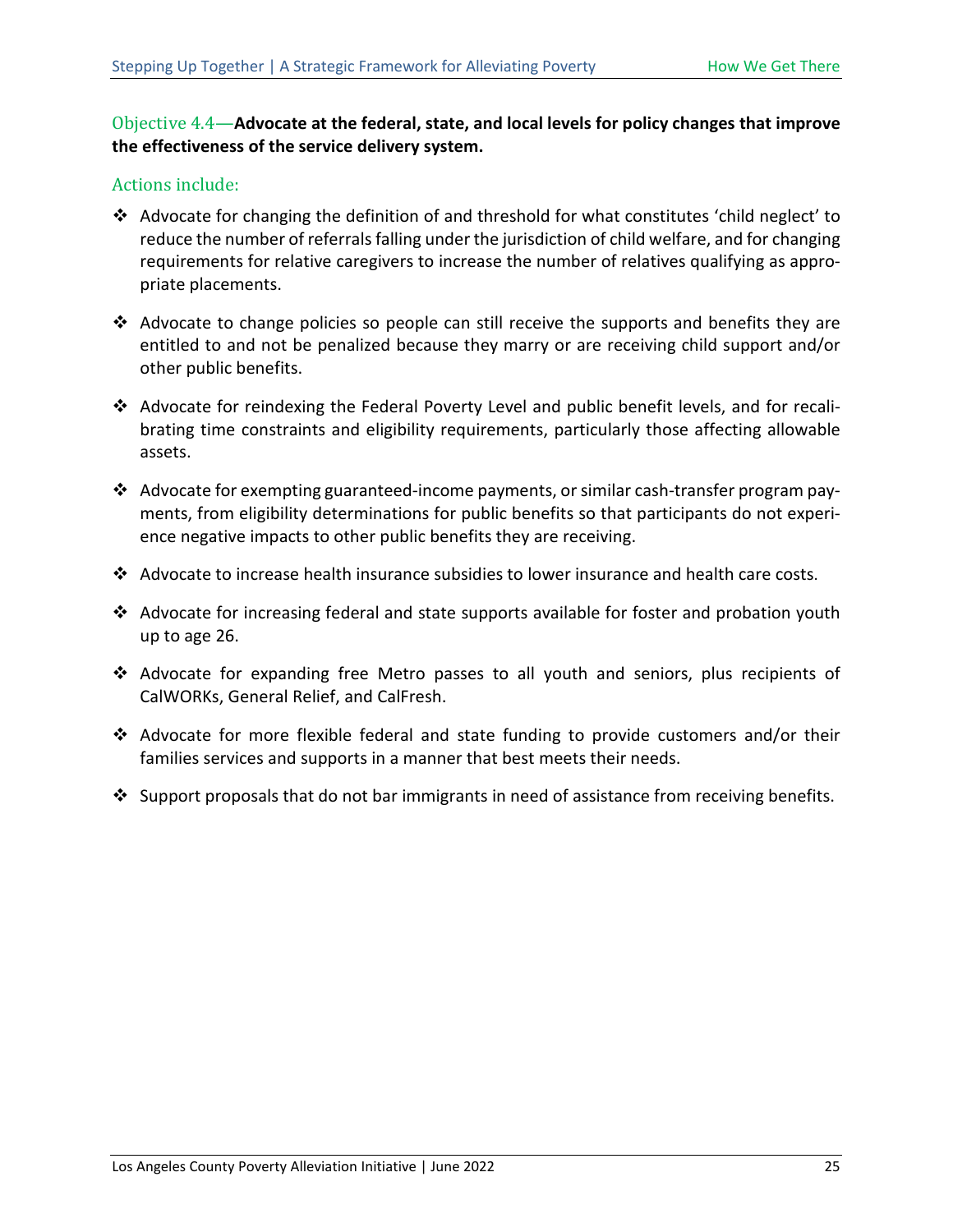#### Objective 4.4—**Advocate at the federal, state, and local levels for policy changes that improve the effectiveness of the service delivery system.**

- Advocate for changing the definition of and threshold for what constitutes 'child neglect' to reduce the number of referrals falling under the jurisdiction of child welfare, and for changing requirements for relative caregivers to increase the number of relatives qualifying as appropriate placements.
- $\clubsuit$  Advocate to change policies so people can still receive the supports and benefits they are entitled to and not be penalized because they marry or are receiving child support and/or other public benefits.
- Advocate for reindexing the Federal Poverty Level and public benefit levels, and for recalibrating time constraints and eligibility requirements, particularly those affecting allowable assets.
- Advocate for exempting guaranteed-income payments, or similar cash-transfer program payments, from eligibility determinations for public benefits so that participants do not experience negative impacts to other public benefits they are receiving.
- Advocate to increase health insurance subsidies to lower insurance and health care costs.
- Advocate for increasing federal and state supports available for foster and probation youth up to age 26.
- Advocate for expanding free Metro passes to all youth and seniors, plus recipients of CalWORKs, General Relief, and CalFresh.
- Advocate for more flexible federal and state funding to provide customers and/or their families services and supports in a manner that best meets their needs.
- $\div$  Support proposals that do not bar immigrants in need of assistance from receiving benefits.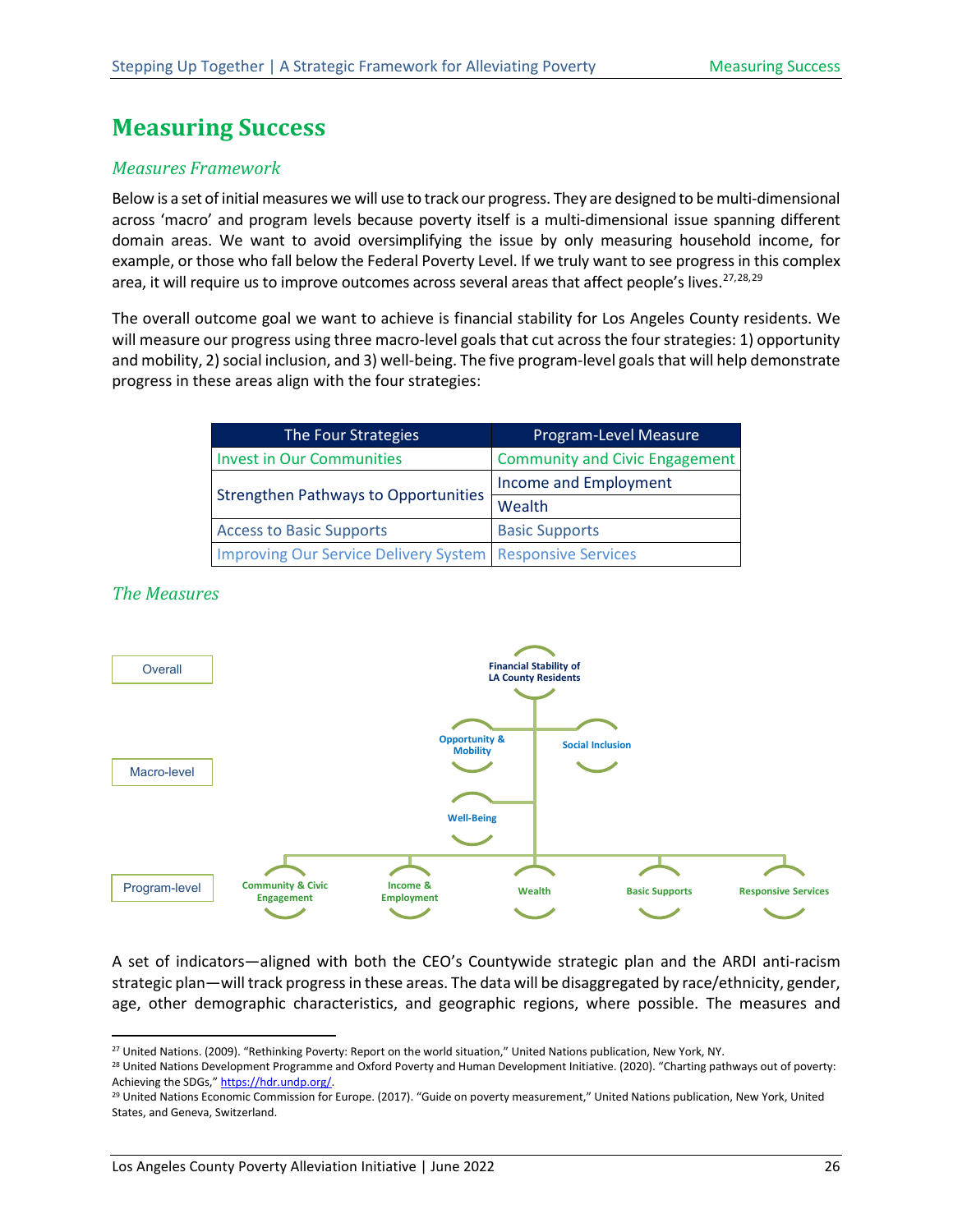## <span id="page-30-0"></span>**Measuring Success**

#### <span id="page-30-1"></span>*Measures Framework*

Below is a set of initial measures we will use to track our progress. They are designed to be multi-dimensional across 'macro' and program levels because poverty itself is a multi-dimensional issue spanning different domain areas. We want to avoid oversimplifying the issue by only measuring household income, for example, or those who fall below the Federal Poverty Level. If we truly want to see progress in this complex area, it will require us to improve outcomes across several areas that affect people's lives.<sup>[27,](#page-30-3)[28,](#page-30-4)[29](#page-30-5)</sup>

The overall outcome goal we want to achieve is financial stability for Los Angeles County residents. We will measure our progress using three macro-level goals that cut across the four strategies: 1) opportunity and mobility, 2) social inclusion, and 3) well-being. The five program-level goals that will help demonstrate progress in these areas align with the four strategies:

| The Four Strategies                                         | Program-Level Measure                 |
|-------------------------------------------------------------|---------------------------------------|
| <b>Invest in Our Communities</b>                            | <b>Community and Civic Engagement</b> |
|                                                             | Income and Employment                 |
| <b>Strengthen Pathways to Opportunities</b>                 | Wealth                                |
| <b>Access to Basic Supports</b>                             | <b>Basic Supports</b>                 |
| Improving Our Service Delivery System   Responsive Services |                                       |

#### <span id="page-30-2"></span>*The Measures*



A set of indicators—aligned with both the CEO's Countywide strategic plan and the ARDI anti-racism strategic plan—will track progress in these areas. The data will be disaggregated by race/ethnicity, gender, age, other demographic characteristics, and geographic regions, where possible. The measures and

<span id="page-30-3"></span><sup>27</sup> United Nations. (2009). "Rethinking Poverty: Report on the world situation," United Nations publication, New York, NY.

<span id="page-30-4"></span><sup>&</sup>lt;sup>28</sup> United Nations Development Programme and Oxford Poverty and Human Development Initiative. (2020). "Charting pathways out of poverty: Achieving the SDGs," https://hdr.undp.org/

<span id="page-30-5"></span><sup>&</sup>lt;sup>29</sup> United Nations Economic Commission for Europe. (2017). "Guide on poverty measurement," United Nations publication, New York, United States, and Geneva, Switzerland.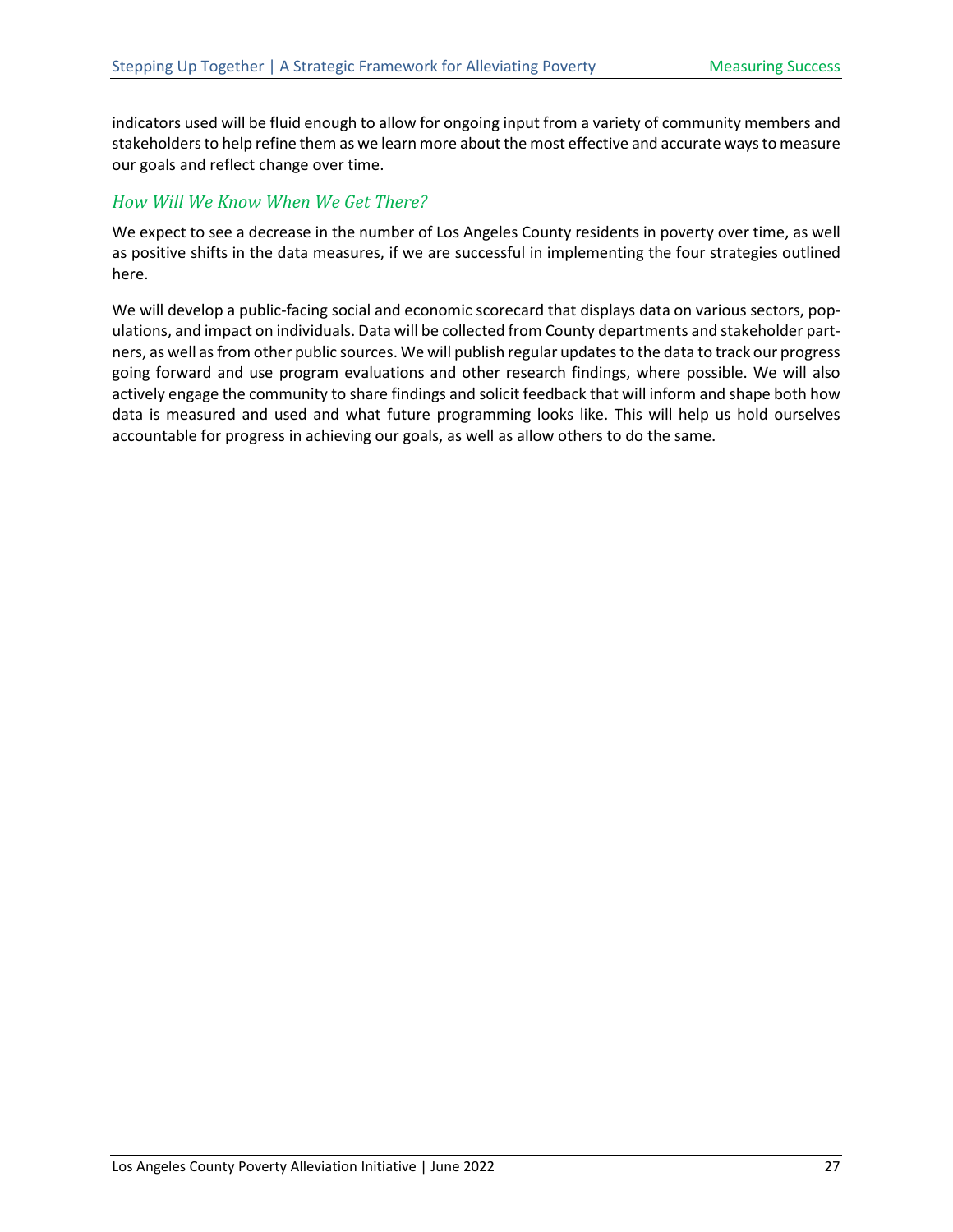indicators used will be fluid enough to allow for ongoing input from a variety of community members and stakeholders to help refine them as we learn more about the most effective and accurate ways to measure our goals and reflect change over time.

#### <span id="page-31-0"></span>*How Will We Know When We Get There?*

We expect to see a decrease in the number of Los Angeles County residents in poverty over time, as well as positive shifts in the data measures, if we are successful in implementing the four strategies outlined here.

We will develop a public-facing social and economic scorecard that displays data on various sectors, populations, and impact on individuals. Data will be collected from County departments and stakeholder partners, as well as from other public sources. We will publish regular updates to the data to track our progress going forward and use program evaluations and other research findings, where possible. We will also actively engage the community to share findings and solicit feedback that will inform and shape both how data is measured and used and what future programming looks like. This will help us hold ourselves accountable for progress in achieving our goals, as well as allow others to do the same.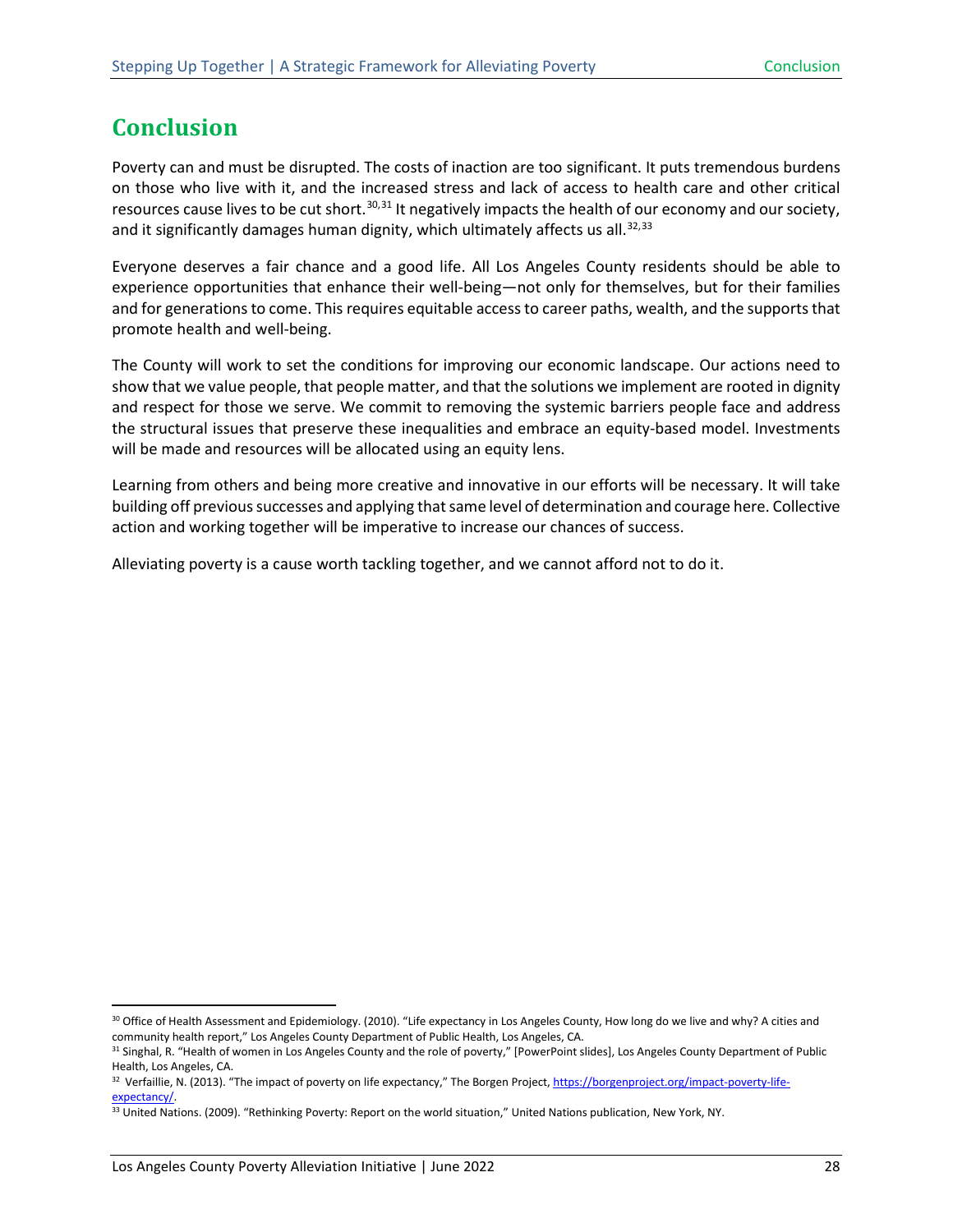# <span id="page-32-0"></span>**Conclusion**

Poverty can and must be disrupted. The costs of inaction are too significant. It puts tremendous burdens on those who live with it, and the increased stress and lack of access to health care and other critical resources cause lives to be cut short.<sup>[30,](#page-32-1)[31](#page-32-2)</sup> It negatively impacts the health of our economy and our society, and it significantly damages human dignity, which ultimately affects us all.<sup>[32](#page-32-3),[33](#page-32-4)</sup>

Everyone deserves a fair chance and a good life. All Los Angeles County residents should be able to experience opportunities that enhance their well-being—not only for themselves, but for their families and for generations to come. This requires equitable access to career paths, wealth, and the supports that promote health and well-being.

The County will work to set the conditions for improving our economic landscape. Our actions need to show that we value people, that people matter, and that the solutions we implement are rooted in dignity and respect for those we serve. We commit to removing the systemic barriers people face and address the structural issues that preserve these inequalities and embrace an equity-based model. Investments will be made and resources will be allocated using an equity lens.

Learning from others and being more creative and innovative in our efforts will be necessary. It will take building off previous successes and applying that same level of determination and courage here. Collective action and working together will be imperative to increase our chances of success.

Alleviating poverty is a cause worth tackling together, and we cannot afford not to do it.

<span id="page-32-1"></span><sup>&</sup>lt;sup>30</sup> Office of Health Assessment and Epidemiology. (2010). "Life expectancy in Los Angeles County, How long do we live and why? A cities and community health report," Los Angeles County Department of Public Health, Los Angeles, CA.

<span id="page-32-2"></span><sup>31</sup> Singhal, R. "Health of women in Los Angeles County and the role of poverty," [PowerPoint slides], Los Angeles County Department of Public Health, Los Angeles, CA.

<span id="page-32-3"></span><sup>32</sup> Verfaillie, N. (2013). "The impact of poverty on life expectancy," The Borgen Project[, https://borgenproject.org/impact-poverty-life](https://borgenproject.org/impact-poverty-life-expectancy/)[expectancy/.](https://borgenproject.org/impact-poverty-life-expectancy/)

<span id="page-32-4"></span><sup>33</sup> United Nations. (2009). "Rethinking Poverty: Report on the world situation," United Nations publication, New York, NY.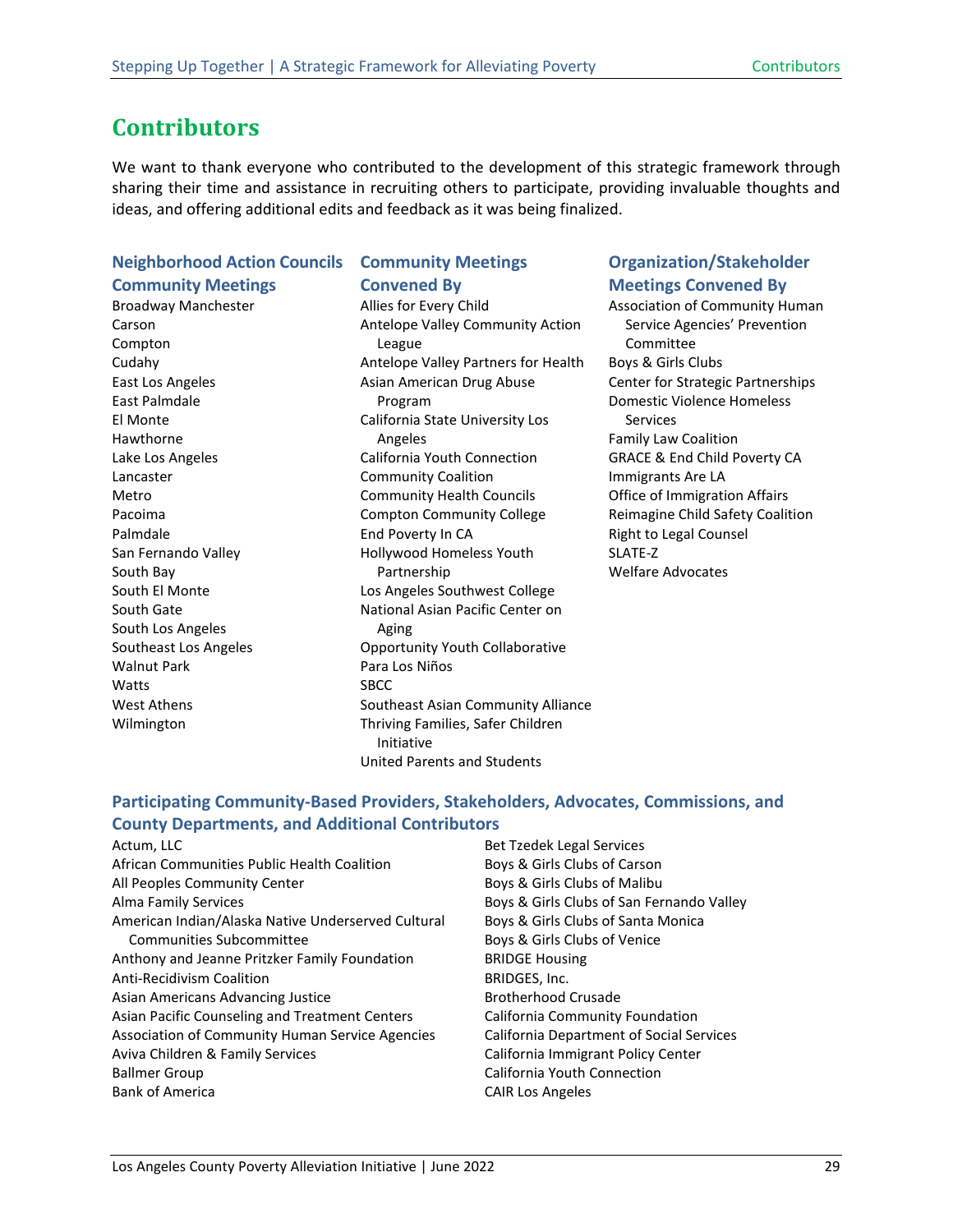## <span id="page-33-0"></span>**Contributors**

We want to thank everyone who contributed to the development of this strategic framework through sharing their time and assistance in recruiting others to participate, providing invaluable thoughts and ideas, and offering additional edits and feedback as it was being finalized.

#### **Neighborhood Action Councils Community Meetings**

Broadway Manchester Carson Compton Cudahy East Los Angeles East Palmdale El Monte Hawthorne Lake Los Angeles Lancaster Metro Pacoima Palmdale San Fernando Valley South Bay South El Monte South Gate South Los Angeles Southeast Los Angeles Walnut Park Watts West Athens Wilmington

#### **Community Meetings Convened By**

Allies for Every Child Antelope Valley Community Action League Antelope Valley Partners for Health Asian American Drug Abuse Program California State University Los Angeles California Youth Connection Community Coalition Community Health Councils Compton Community College End Poverty In CA Hollywood Homeless Youth Partnership Los Angeles Southwest College National Asian Pacific Center on Aging Opportunity Youth Collaborative Para Los Niños SBCC Southeast Asian Community Alliance Thriving Families, Safer Children Initiative United Parents and Students

#### **Organization/Stakeholder Meetings Convened By**

Association of Community Human Service Agencies' Prevention Committee Boys & Girls Clubs Center for Strategic Partnerships Domestic Violence Homeless Services Family Law Coalition GRACE & End Child Poverty CA Immigrants Are LA Office of Immigration Affairs Reimagine Child Safety Coalition Right to Legal Counsel SLATE-Z Welfare Advocates

#### **Participating Community-Based Providers, Stakeholders, Advocates, Commissions, and County Departments, and Additional Contributors**

Actum, LLC African Communities Public Health Coalition All Peoples Community Center Alma Family Services American Indian/Alaska Native Underserved Cultural Communities Subcommittee Anthony and Jeanne Pritzker Family Foundation Anti-Recidivism Coalition Asian Americans Advancing Justice Asian Pacific Counseling and Treatment Centers Association of Community Human Service Agencies Aviva Children & Family Services Ballmer Group Bank of America

Bet Tzedek Legal Services Boys & Girls Clubs of Carson Boys & Girls Clubs of Malibu Boys & Girls Clubs of San Fernando Valley Boys & Girls Clubs of Santa Monica Boys & Girls Clubs of Venice BRIDGE Housing BRIDGES, Inc. Brotherhood Crusade California Community Foundation California Department of Social Services California Immigrant Policy Center California Youth Connection CAIR Los Angeles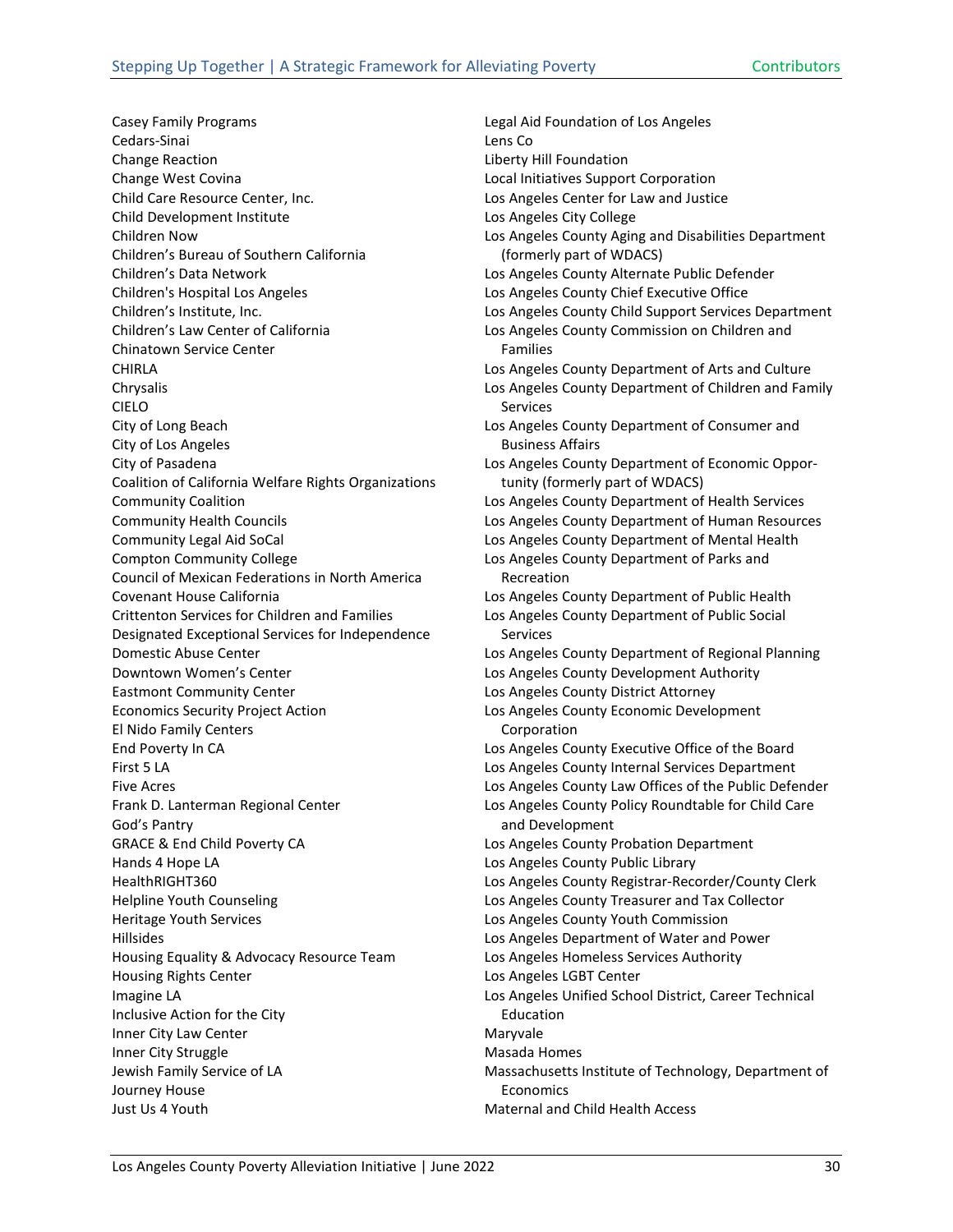Casey Family Programs Cedars-Sinai Change Reaction Change West Covina Child Care Resource Center, Inc. Child Development Institute Children Now Children's Bureau of Southern California Children's Data Network Children's Hospital Los Angeles Children's Institute, Inc. Children's Law Center of California Chinatown Service Center CHIRLA Chrysalis CIELO City of Long Beach City of Los Angeles City of Pasadena Coalition of California Welfare Rights Organizations Community Coalition Community Health Councils Community Legal Aid SoCal Compton Community College Council of Mexican Federations in North America Covenant House California Crittenton Services for Children and Families Designated Exceptional Services for Independence Domestic Abuse Center Downtown Women's Center Eastmont Community Center Economics Security Project Action El Nido Family Centers End Poverty In CA First 5 LA Five Acres Frank D. Lanterman Regional Center God's Pantry GRACE & End Child Poverty CA Hands 4 Hope LA HealthRIGHT360 Helpline Youth Counseling Heritage Youth Services Hillsides Housing Equality & Advocacy Resource Team Housing Rights Center Imagine LA Inclusive Action for the City Inner City Law Center Inner City Struggle Jewish Family Service of LA Journey House Just Us 4 Youth

Legal Aid Foundation of Los Angeles Lens Co Liberty Hill Foundation Local Initiatives Support Corporation Los Angeles Center for Law and Justice Los Angeles City College Los Angeles County Aging and Disabilities Department (formerly part of WDACS) Los Angeles County Alternate Public Defender Los Angeles County Chief Executive Office Los Angeles County Child Support Services Department Los Angeles County Commission on Children and Families Los Angeles County Department of Arts and Culture Los Angeles County Department of Children and Family Services Los Angeles County Department of Consumer and Business Affairs Los Angeles County Department of Economic Opportunity (formerly part of WDACS) Los Angeles County Department of Health Services Los Angeles County Department of Human Resources Los Angeles County Department of Mental Health Los Angeles County Department of Parks and Recreation Los Angeles County Department of Public Health Los Angeles County Department of Public Social Services Los Angeles County Department of Regional Planning Los Angeles County Development Authority Los Angeles County District Attorney Los Angeles County Economic Development Corporation Los Angeles County Executive Office of the Board Los Angeles County Internal Services Department Los Angeles County Law Offices of the Public Defender Los Angeles County Policy Roundtable for Child Care and Development Los Angeles County Probation Department Los Angeles County Public Library Los Angeles County Registrar-Recorder/County Clerk Los Angeles County Treasurer and Tax Collector Los Angeles County Youth Commission Los Angeles Department of Water and Power Los Angeles Homeless Services Authority Los Angeles LGBT Center Los Angeles Unified School District, Career Technical Education Maryvale Masada Homes Massachusetts Institute of Technology, Department of Economics

Maternal and Child Health Access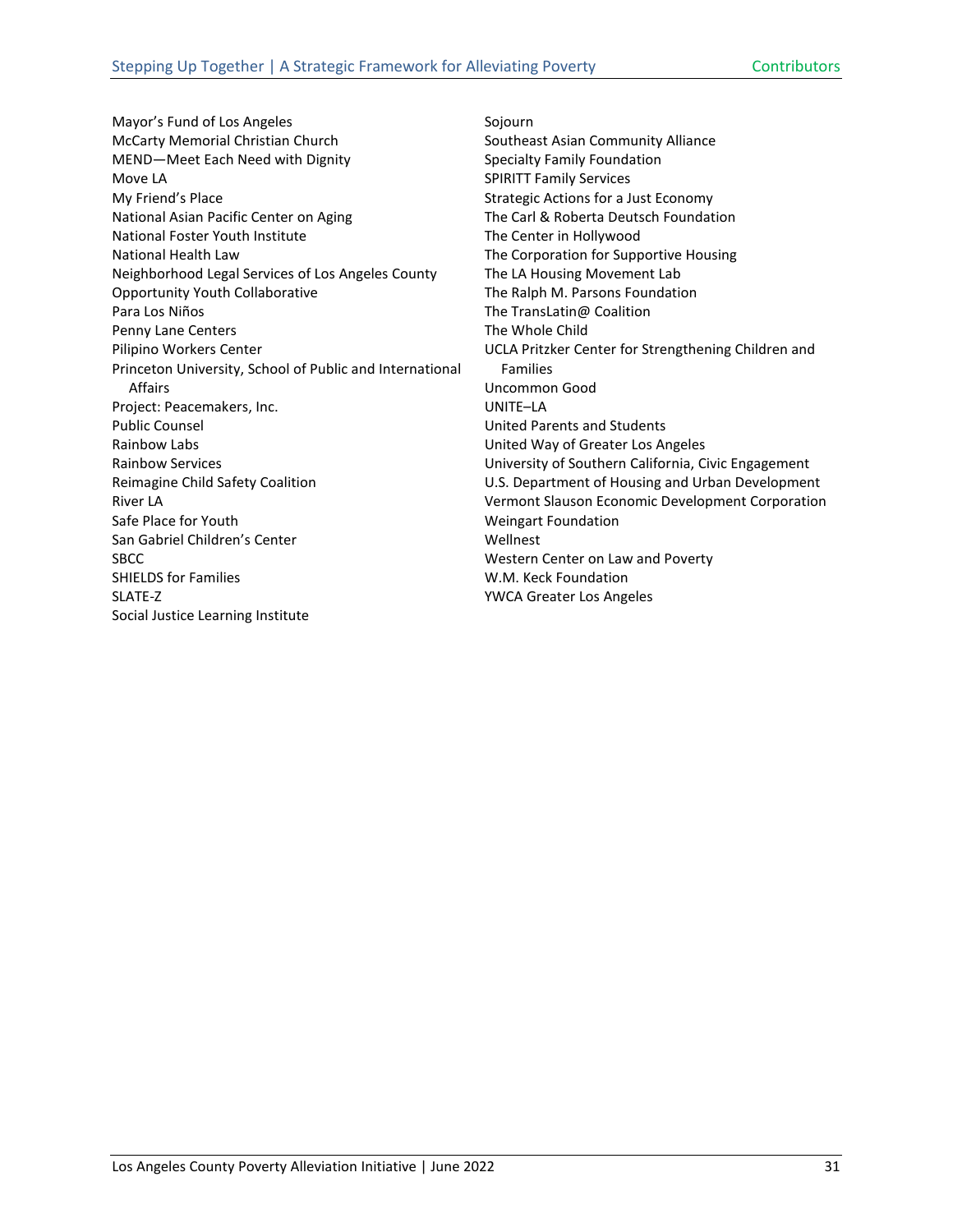Mayor's Fund of Los Angeles McCarty Memorial Christian Church MEND—Meet Each Need with Dignity Move LA My Friend's Place National Asian Pacific Center on Aging National Foster Youth Institute National Health Law Neighborhood Legal Services of Los Angeles County Opportunity Youth Collaborative Para Los Niños Penny Lane Centers Pilipino Workers Center Princeton University, School of Public and International Affairs Project: Peacemakers, Inc. Public Counsel Rainbow Labs Rainbow Services Reimagine Child Safety Coalition River LA Safe Place for Youth San Gabriel Children's Center **SBCC** SHIELDS for Families SLATE-Z Social Justice Learning Institute

Sojourn Southeast Asian Community Alliance Specialty Family Foundation SPIRITT Family Services Strategic Actions for a Just Economy The Carl & Roberta Deutsch Foundation The Center in Hollywood The Corporation for Supportive Housing The LA Housing Movement Lab The Ralph M. Parsons Foundation The TransLatin@ Coalition The Whole Child UCLA Pritzker Center for Strengthening Children and Families Uncommon Good UNITE–LA United Parents and Students United Way of Greater Los Angeles University of Southern California, Civic Engagement U.S. Department of Housing and Urban Development Vermont Slauson Economic Development Corporation Weingart Foundation Wellnest Western Center on Law and Poverty W.M. Keck Foundation YWCA Greater Los Angeles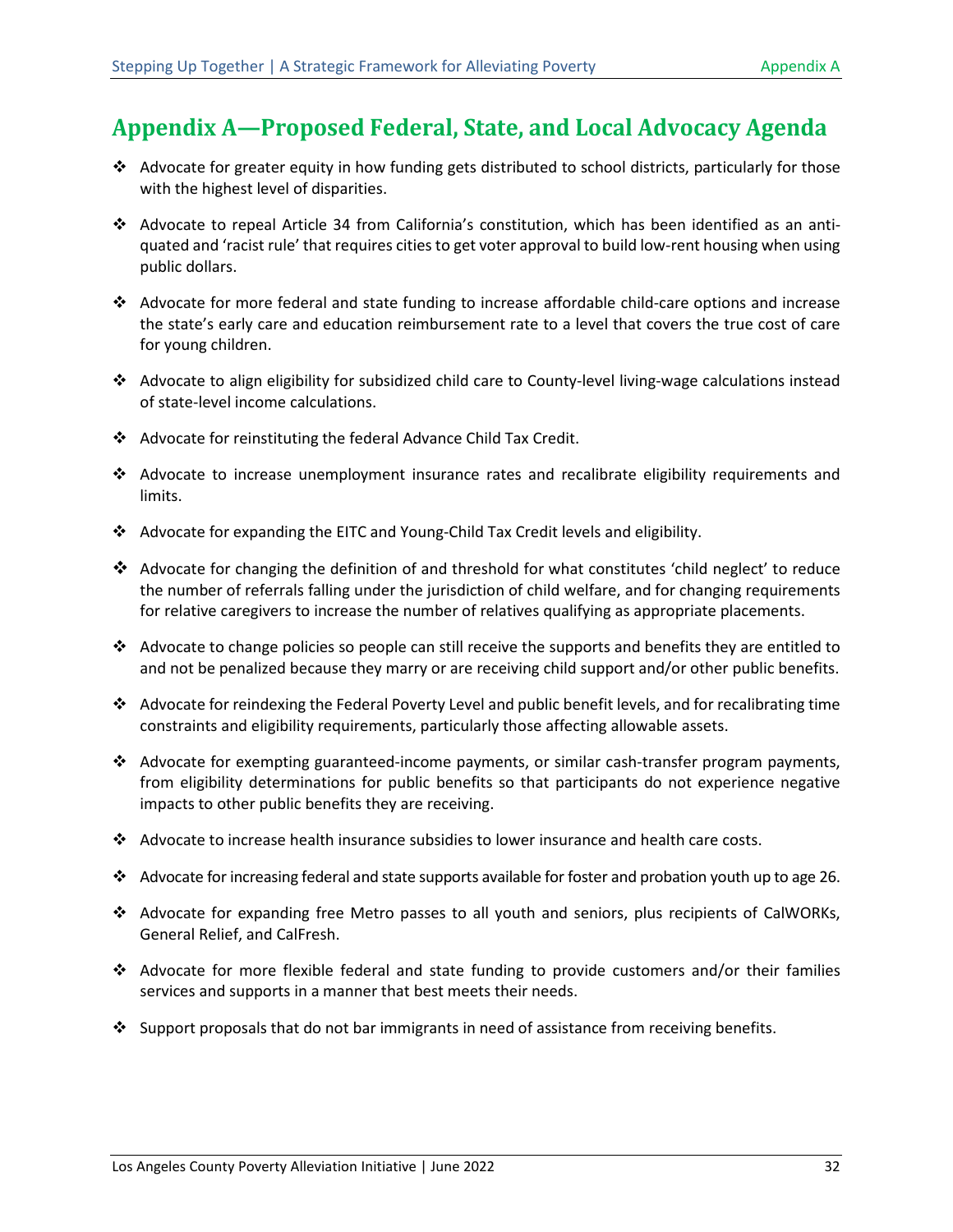## <span id="page-36-0"></span>**Appendix A—Proposed Federal, State, and Local Advocacy Agenda**

- Advocate for greater equity in how funding gets distributed to school districts, particularly for those with the highest level of disparities.
- Advocate to repeal Article 34 from California's constitution, which has been identified as an antiquated and 'racist rule' that requires cities to get voter approval to build low-rent housing when using public dollars.
- Advocate for more federal and state funding to increase affordable child-care options and increase the state's early care and education reimbursement rate to a level that covers the true cost of care for young children.
- Advocate to align eligibility for subsidized child care to County-level living-wage calculations instead of state-level income calculations.
- Advocate for reinstituting the federal Advance Child Tax Credit.
- $\div$  Advocate to increase unemployment insurance rates and recalibrate eligibility requirements and limits.
- Advocate for expanding the EITC and Young-Child Tax Credit levels and eligibility.
- Advocate for changing the definition of and threshold for what constitutes 'child neglect' to reduce the number of referrals falling under the jurisdiction of child welfare, and for changing requirements for relative caregivers to increase the number of relatives qualifying as appropriate placements.
- $\clubsuit$  Advocate to change policies so people can still receive the supports and benefits they are entitled to and not be penalized because they marry or are receiving child support and/or other public benefits.
- Advocate for reindexing the Federal Poverty Level and public benefit levels, and for recalibrating time constraints and eligibility requirements, particularly those affecting allowable assets.
- Advocate for exempting guaranteed-income payments, or similar cash-transfer program payments, from eligibility determinations for public benefits so that participants do not experience negative impacts to other public benefits they are receiving.
- Advocate to increase health insurance subsidies to lower insurance and health care costs.
- \* Advocate for increasing federal and state supports available for foster and probation youth up to age 26.
- Advocate for expanding free Metro passes to all youth and seniors, plus recipients of CalWORKs, General Relief, and CalFresh.
- Advocate for more flexible federal and state funding to provide customers and/or their families services and supports in a manner that best meets their needs.
- $\cdot$  Support proposals that do not bar immigrants in need of assistance from receiving benefits.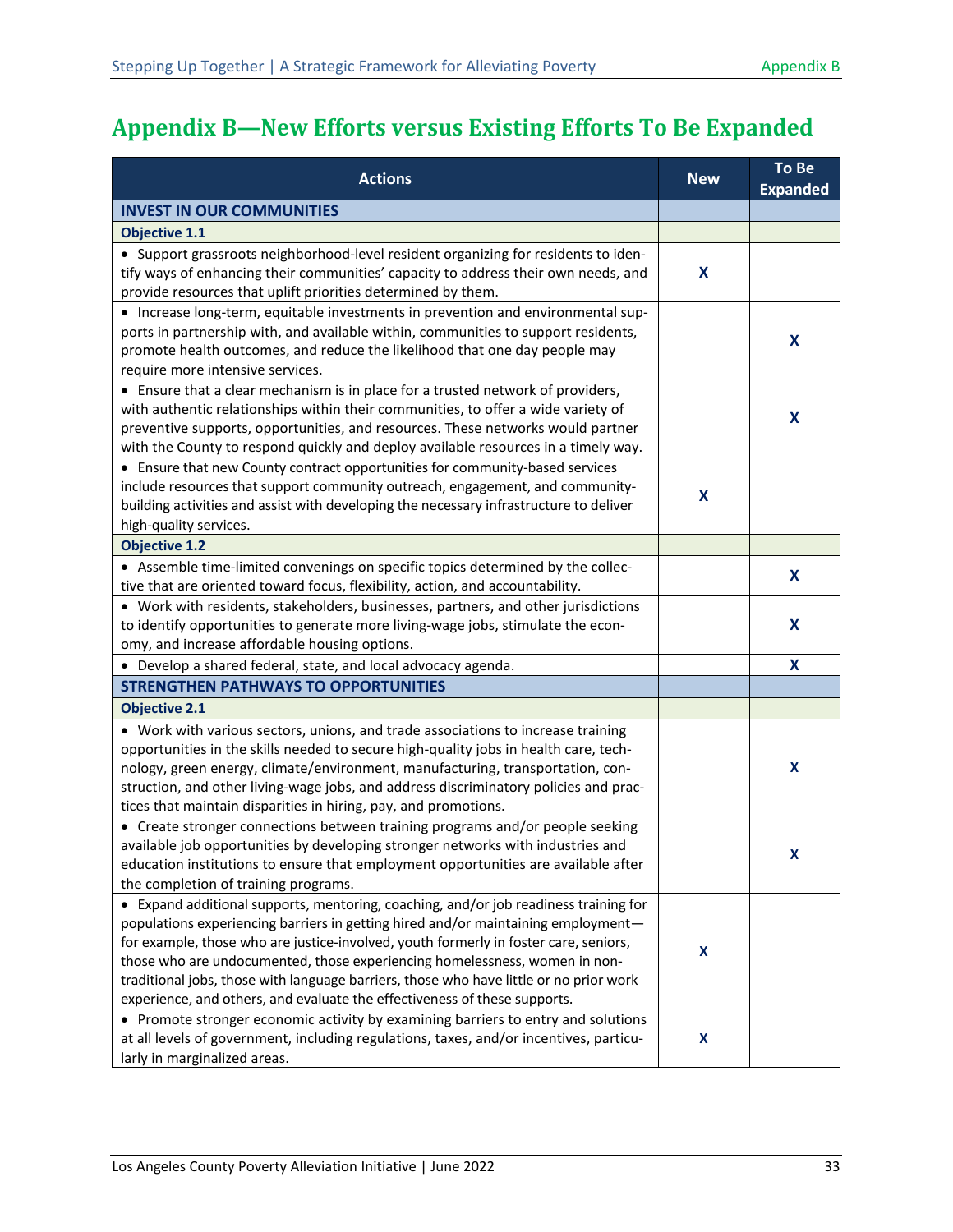# <span id="page-37-0"></span>**Appendix B—New Efforts versus Existing Efforts To Be Expanded**

| <b>Actions</b>                                                                                                                                                                                                                                                                                                                                                                                                                                                                                                                                                                                              | <b>New</b> | To Be<br><b>Expanded</b> |
|-------------------------------------------------------------------------------------------------------------------------------------------------------------------------------------------------------------------------------------------------------------------------------------------------------------------------------------------------------------------------------------------------------------------------------------------------------------------------------------------------------------------------------------------------------------------------------------------------------------|------------|--------------------------|
| <b>INVEST IN OUR COMMUNITIES</b>                                                                                                                                                                                                                                                                                                                                                                                                                                                                                                                                                                            |            |                          |
| <b>Objective 1.1</b>                                                                                                                                                                                                                                                                                                                                                                                                                                                                                                                                                                                        |            |                          |
| • Support grassroots neighborhood-level resident organizing for residents to iden-<br>tify ways of enhancing their communities' capacity to address their own needs, and<br>provide resources that uplift priorities determined by them.                                                                                                                                                                                                                                                                                                                                                                    | X          |                          |
| • Increase long-term, equitable investments in prevention and environmental sup-<br>ports in partnership with, and available within, communities to support residents,<br>promote health outcomes, and reduce the likelihood that one day people may<br>require more intensive services.                                                                                                                                                                                                                                                                                                                    |            | X                        |
| • Ensure that a clear mechanism is in place for a trusted network of providers,<br>with authentic relationships within their communities, to offer a wide variety of<br>preventive supports, opportunities, and resources. These networks would partner<br>with the County to respond quickly and deploy available resources in a timely way.                                                                                                                                                                                                                                                               |            | X                        |
| • Ensure that new County contract opportunities for community-based services<br>include resources that support community outreach, engagement, and community-<br>building activities and assist with developing the necessary infrastructure to deliver<br>high-quality services.                                                                                                                                                                                                                                                                                                                           | X          |                          |
| <b>Objective 1.2</b>                                                                                                                                                                                                                                                                                                                                                                                                                                                                                                                                                                                        |            |                          |
| • Assemble time-limited convenings on specific topics determined by the collec-<br>tive that are oriented toward focus, flexibility, action, and accountability.                                                                                                                                                                                                                                                                                                                                                                                                                                            |            | X                        |
| • Work with residents, stakeholders, businesses, partners, and other jurisdictions<br>to identify opportunities to generate more living-wage jobs, stimulate the econ-<br>omy, and increase affordable housing options.                                                                                                                                                                                                                                                                                                                                                                                     |            | X                        |
| • Develop a shared federal, state, and local advocacy agenda.                                                                                                                                                                                                                                                                                                                                                                                                                                                                                                                                               |            | X                        |
| <b>STRENGTHEN PATHWAYS TO OPPORTUNITIES</b>                                                                                                                                                                                                                                                                                                                                                                                                                                                                                                                                                                 |            |                          |
| <b>Objective 2.1</b>                                                                                                                                                                                                                                                                                                                                                                                                                                                                                                                                                                                        |            |                          |
| • Work with various sectors, unions, and trade associations to increase training<br>opportunities in the skills needed to secure high-quality jobs in health care, tech-<br>nology, green energy, climate/environment, manufacturing, transportation, con-<br>struction, and other living-wage jobs, and address discriminatory policies and prac-<br>tices that maintain disparities in hiring, pay, and promotions.                                                                                                                                                                                       |            | X                        |
| • Create stronger connections between training programs and/or people seeking<br>available job opportunities by developing stronger networks with industries and<br>education institutions to ensure that employment opportunities are available after<br>the completion of training programs.                                                                                                                                                                                                                                                                                                              |            | х                        |
| • Expand additional supports, mentoring, coaching, and/or job readiness training for<br>populations experiencing barriers in getting hired and/or maintaining employment-<br>for example, those who are justice-involved, youth formerly in foster care, seniors,<br>those who are undocumented, those experiencing homelessness, women in non-<br>traditional jobs, those with language barriers, those who have little or no prior work<br>experience, and others, and evaluate the effectiveness of these supports.<br>• Promote stronger economic activity by examining barriers to entry and solutions | X          |                          |
| at all levels of government, including regulations, taxes, and/or incentives, particu-<br>larly in marginalized areas.                                                                                                                                                                                                                                                                                                                                                                                                                                                                                      | X          |                          |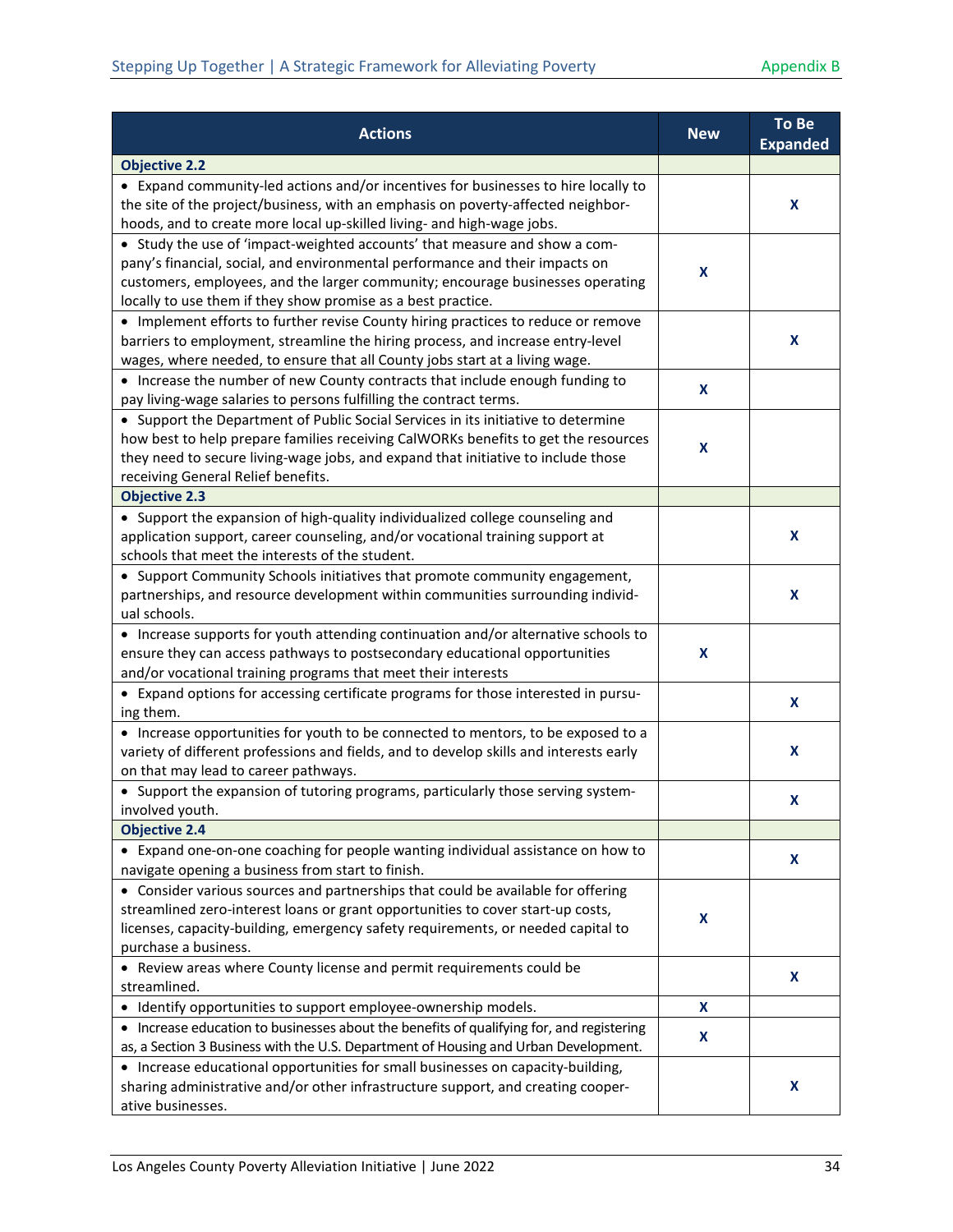| <b>Actions</b>                                                                                                                                                                                                                                                                                               | <b>New</b>                | To Be<br><b>Expanded</b> |
|--------------------------------------------------------------------------------------------------------------------------------------------------------------------------------------------------------------------------------------------------------------------------------------------------------------|---------------------------|--------------------------|
| <b>Objective 2.2</b>                                                                                                                                                                                                                                                                                         |                           |                          |
| • Expand community-led actions and/or incentives for businesses to hire locally to<br>the site of the project/business, with an emphasis on poverty-affected neighbor-<br>hoods, and to create more local up-skilled living- and high-wage jobs.                                                             |                           | X                        |
| • Study the use of 'impact-weighted accounts' that measure and show a com-<br>pany's financial, social, and environmental performance and their impacts on<br>customers, employees, and the larger community; encourage businesses operating<br>locally to use them if they show promise as a best practice. | X                         |                          |
| • Implement efforts to further revise County hiring practices to reduce or remove<br>barriers to employment, streamline the hiring process, and increase entry-level<br>wages, where needed, to ensure that all County jobs start at a living wage.                                                          |                           | X                        |
| • Increase the number of new County contracts that include enough funding to<br>pay living-wage salaries to persons fulfilling the contract terms.                                                                                                                                                           | X                         |                          |
| • Support the Department of Public Social Services in its initiative to determine<br>how best to help prepare families receiving CalWORKs benefits to get the resources<br>they need to secure living-wage jobs, and expand that initiative to include those<br>receiving General Relief benefits.           | $\boldsymbol{\mathsf{x}}$ |                          |
| <b>Objective 2.3</b>                                                                                                                                                                                                                                                                                         |                           |                          |
| • Support the expansion of high-quality individualized college counseling and<br>application support, career counseling, and/or vocational training support at<br>schools that meet the interests of the student.                                                                                            |                           | X                        |
| • Support Community Schools initiatives that promote community engagement,<br>partnerships, and resource development within communities surrounding individ-<br>ual schools.                                                                                                                                 |                           | X                        |
| • Increase supports for youth attending continuation and/or alternative schools to<br>ensure they can access pathways to postsecondary educational opportunities<br>and/or vocational training programs that meet their interests                                                                            | X                         |                          |
| • Expand options for accessing certificate programs for those interested in pursu-<br>ing them.                                                                                                                                                                                                              |                           | X                        |
| • Increase opportunities for youth to be connected to mentors, to be exposed to a<br>variety of different professions and fields, and to develop skills and interests early<br>on that may lead to career pathways.                                                                                          |                           | X                        |
| • Support the expansion of tutoring programs, particularly those serving system-<br>involved youth.                                                                                                                                                                                                          |                           | X                        |
| <b>Objective 2.4</b>                                                                                                                                                                                                                                                                                         |                           |                          |
| • Expand one-on-one coaching for people wanting individual assistance on how to<br>navigate opening a business from start to finish.                                                                                                                                                                         |                           | X                        |
| • Consider various sources and partnerships that could be available for offering<br>streamlined zero-interest loans or grant opportunities to cover start-up costs,<br>licenses, capacity-building, emergency safety requirements, or needed capital to<br>purchase a business.                              | X                         |                          |
| • Review areas where County license and permit requirements could be<br>streamlined.                                                                                                                                                                                                                         |                           | X                        |
| • Identify opportunities to support employee-ownership models.                                                                                                                                                                                                                                               | X                         |                          |
| • Increase education to businesses about the benefits of qualifying for, and registering<br>as, a Section 3 Business with the U.S. Department of Housing and Urban Development.                                                                                                                              | X                         |                          |
| • Increase educational opportunities for small businesses on capacity-building,<br>sharing administrative and/or other infrastructure support, and creating cooper-<br>ative businesses.                                                                                                                     |                           | X                        |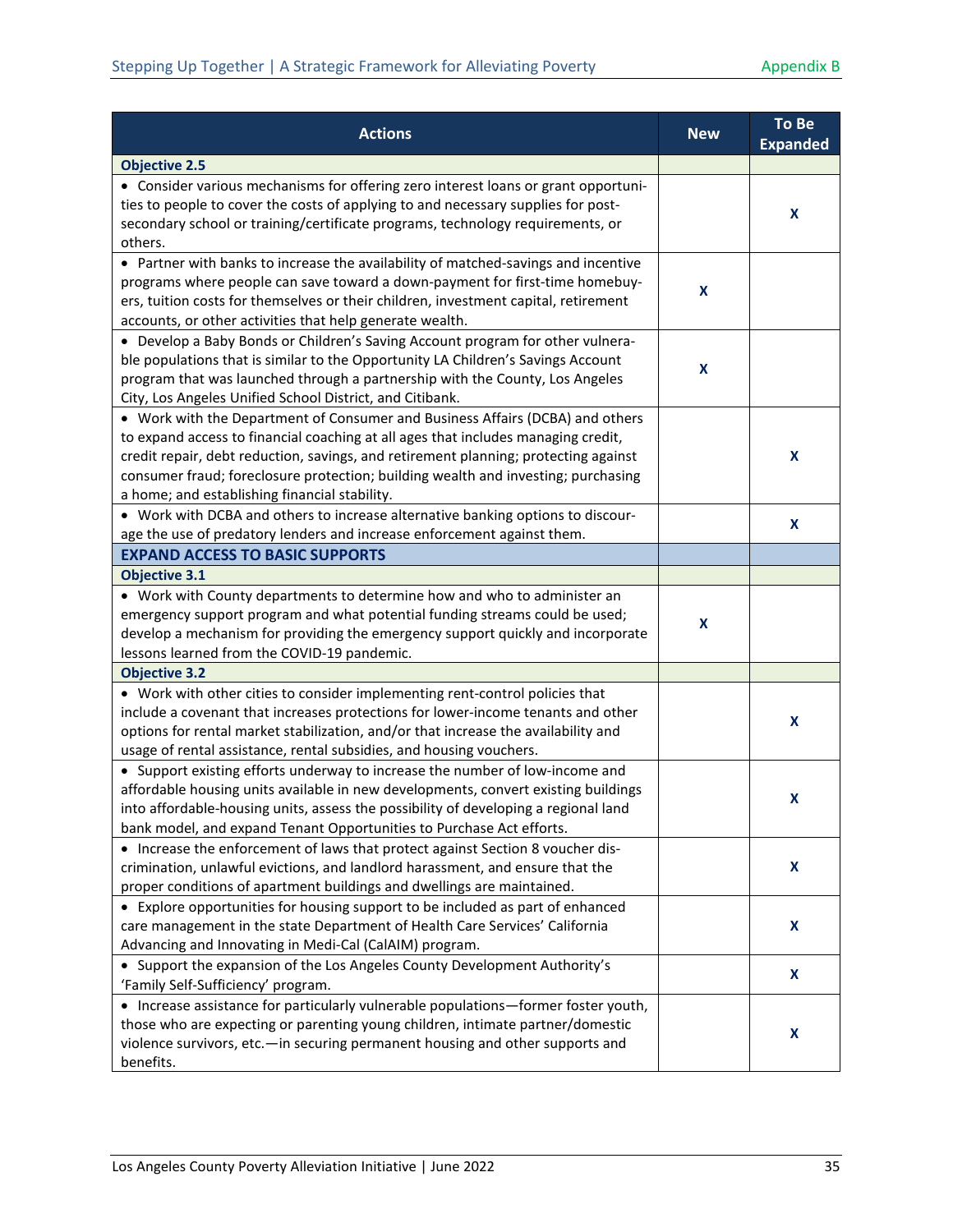| <b>Actions</b>                                                                                                                                                                                                                                                                                                                                                                                  | <b>New</b> | To Be<br><b>Expanded</b> |
|-------------------------------------------------------------------------------------------------------------------------------------------------------------------------------------------------------------------------------------------------------------------------------------------------------------------------------------------------------------------------------------------------|------------|--------------------------|
| <b>Objective 2.5</b>                                                                                                                                                                                                                                                                                                                                                                            |            |                          |
| • Consider various mechanisms for offering zero interest loans or grant opportuni-<br>ties to people to cover the costs of applying to and necessary supplies for post-                                                                                                                                                                                                                         |            | X                        |
| secondary school or training/certificate programs, technology requirements, or<br>others.                                                                                                                                                                                                                                                                                                       |            |                          |
| • Partner with banks to increase the availability of matched-savings and incentive<br>programs where people can save toward a down-payment for first-time homebuy-<br>ers, tuition costs for themselves or their children, investment capital, retirement<br>accounts, or other activities that help generate wealth.                                                                           | X          |                          |
| • Develop a Baby Bonds or Children's Saving Account program for other vulnera-<br>ble populations that is similar to the Opportunity LA Children's Savings Account<br>program that was launched through a partnership with the County, Los Angeles<br>City, Los Angeles Unified School District, and Citibank.                                                                                  | X          |                          |
| • Work with the Department of Consumer and Business Affairs (DCBA) and others<br>to expand access to financial coaching at all ages that includes managing credit,<br>credit repair, debt reduction, savings, and retirement planning; protecting against<br>consumer fraud; foreclosure protection; building wealth and investing; purchasing<br>a home; and establishing financial stability. |            | X                        |
| • Work with DCBA and others to increase alternative banking options to discour-<br>age the use of predatory lenders and increase enforcement against them.                                                                                                                                                                                                                                      |            | X                        |
| <b>EXPAND ACCESS TO BASIC SUPPORTS</b>                                                                                                                                                                                                                                                                                                                                                          |            |                          |
| <b>Objective 3.1</b>                                                                                                                                                                                                                                                                                                                                                                            |            |                          |
| • Work with County departments to determine how and who to administer an<br>emergency support program and what potential funding streams could be used;<br>develop a mechanism for providing the emergency support quickly and incorporate<br>lessons learned from the COVID-19 pandemic.                                                                                                       | X          |                          |
| <b>Objective 3.2</b>                                                                                                                                                                                                                                                                                                                                                                            |            |                          |
| • Work with other cities to consider implementing rent-control policies that<br>include a covenant that increases protections for lower-income tenants and other<br>options for rental market stabilization, and/or that increase the availability and<br>usage of rental assistance, rental subsidies, and housing vouchers.                                                                   |            | X                        |
| • Support existing efforts underway to increase the number of low-income and<br>affordable housing units available in new developments, convert existing buildings<br>into affordable-housing units, assess the possibility of developing a regional land<br>bank model, and expand Tenant Opportunities to Purchase Act efforts.                                                               |            | X                        |
| • Increase the enforcement of laws that protect against Section 8 voucher dis-<br>crimination, unlawful evictions, and landlord harassment, and ensure that the<br>proper conditions of apartment buildings and dwellings are maintained.                                                                                                                                                       |            | X                        |
| • Explore opportunities for housing support to be included as part of enhanced<br>care management in the state Department of Health Care Services' California<br>Advancing and Innovating in Medi-Cal (CalAIM) program.                                                                                                                                                                         |            | X                        |
| • Support the expansion of the Los Angeles County Development Authority's<br>'Family Self-Sufficiency' program.                                                                                                                                                                                                                                                                                 |            | X                        |
| • Increase assistance for particularly vulnerable populations-former foster youth,<br>those who are expecting or parenting young children, intimate partner/domestic<br>violence survivors, etc.-in securing permanent housing and other supports and<br>benefits.                                                                                                                              |            | X                        |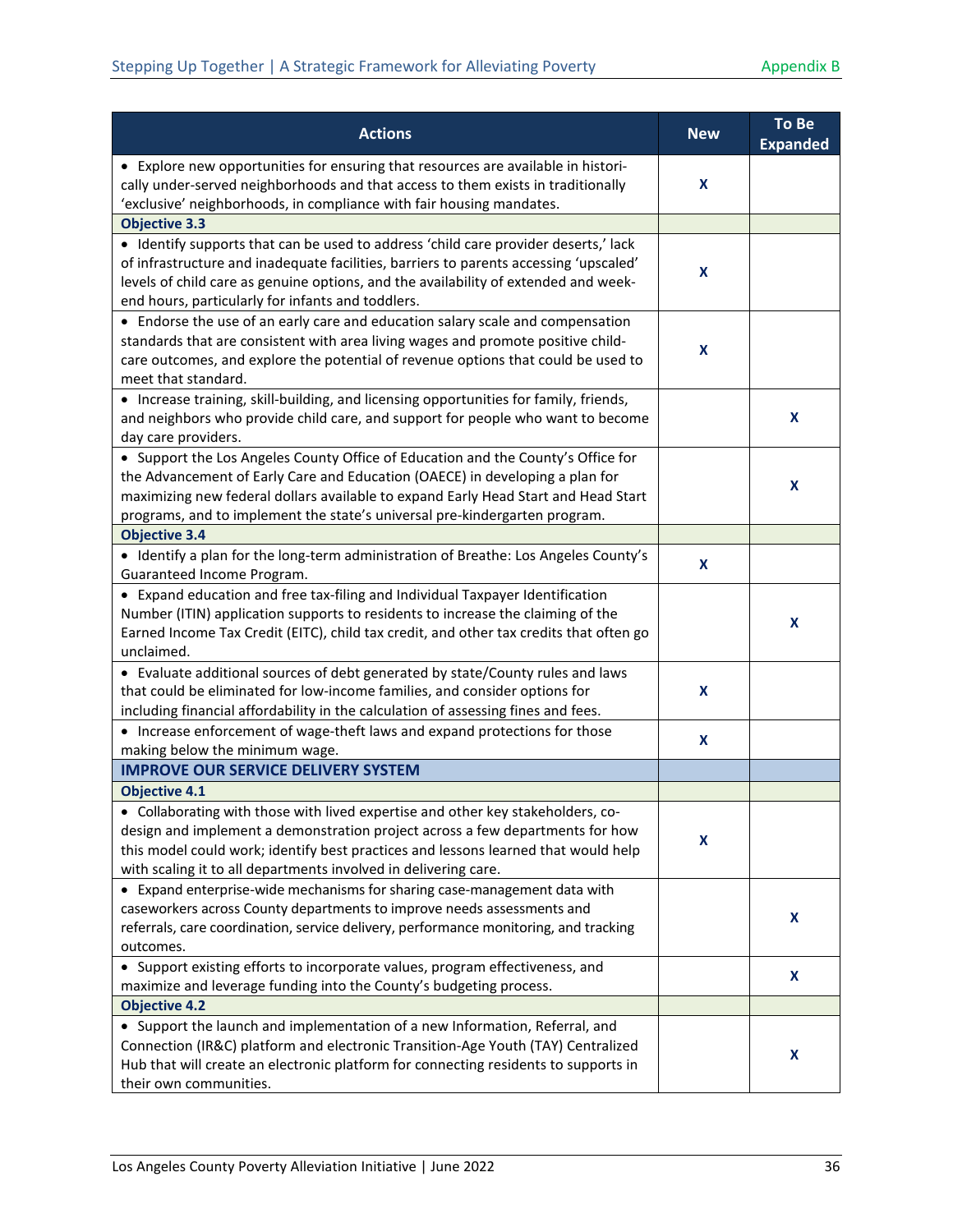| <b>Actions</b>                                                                                                                                                                                                                                                                                                                       | <b>New</b>                | <b>To Be</b><br><b>Expanded</b> |
|--------------------------------------------------------------------------------------------------------------------------------------------------------------------------------------------------------------------------------------------------------------------------------------------------------------------------------------|---------------------------|---------------------------------|
| • Explore new opportunities for ensuring that resources are available in histori-<br>cally under-served neighborhoods and that access to them exists in traditionally<br>'exclusive' neighborhoods, in compliance with fair housing mandates.                                                                                        | X                         |                                 |
| <b>Objective 3.3</b>                                                                                                                                                                                                                                                                                                                 |                           |                                 |
| • Identify supports that can be used to address 'child care provider deserts,' lack<br>of infrastructure and inadequate facilities, barriers to parents accessing 'upscaled'<br>levels of child care as genuine options, and the availability of extended and week-<br>end hours, particularly for infants and toddlers.             | X                         |                                 |
| • Endorse the use of an early care and education salary scale and compensation<br>standards that are consistent with area living wages and promote positive child-<br>care outcomes, and explore the potential of revenue options that could be used to<br>meet that standard.                                                       | X                         |                                 |
| • Increase training, skill-building, and licensing opportunities for family, friends,<br>and neighbors who provide child care, and support for people who want to become<br>day care providers.                                                                                                                                      |                           | X                               |
| • Support the Los Angeles County Office of Education and the County's Office for<br>the Advancement of Early Care and Education (OAECE) in developing a plan for<br>maximizing new federal dollars available to expand Early Head Start and Head Start<br>programs, and to implement the state's universal pre-kindergarten program. |                           | X                               |
| <b>Objective 3.4</b>                                                                                                                                                                                                                                                                                                                 |                           |                                 |
| • Identify a plan for the long-term administration of Breathe: Los Angeles County's<br>Guaranteed Income Program.                                                                                                                                                                                                                    | $\boldsymbol{\mathsf{x}}$ |                                 |
| • Expand education and free tax-filing and Individual Taxpayer Identification<br>Number (ITIN) application supports to residents to increase the claiming of the<br>Earned Income Tax Credit (EITC), child tax credit, and other tax credits that often go<br>unclaimed.                                                             |                           | X                               |
| • Evaluate additional sources of debt generated by state/County rules and laws<br>that could be eliminated for low-income families, and consider options for<br>including financial affordability in the calculation of assessing fines and fees.                                                                                    | X                         |                                 |
| • Increase enforcement of wage-theft laws and expand protections for those<br>making below the minimum wage.                                                                                                                                                                                                                         | X                         |                                 |
| <b>IMPROVE OUR SERVICE DELIVERY SYSTEM</b>                                                                                                                                                                                                                                                                                           |                           |                                 |
| <b>Objective 4.1</b>                                                                                                                                                                                                                                                                                                                 |                           |                                 |
| • Collaborating with those with lived expertise and other key stakeholders, co-<br>design and implement a demonstration project across a few departments for how<br>this model could work; identify best practices and lessons learned that would help<br>with scaling it to all departments involved in delivering care.            | X                         |                                 |
| • Expand enterprise-wide mechanisms for sharing case-management data with<br>caseworkers across County departments to improve needs assessments and<br>referrals, care coordination, service delivery, performance monitoring, and tracking<br>outcomes.                                                                             |                           | X                               |
| • Support existing efforts to incorporate values, program effectiveness, and<br>maximize and leverage funding into the County's budgeting process.                                                                                                                                                                                   |                           | X                               |
| <b>Objective 4.2</b>                                                                                                                                                                                                                                                                                                                 |                           |                                 |
| • Support the launch and implementation of a new Information, Referral, and<br>Connection (IR&C) platform and electronic Transition-Age Youth (TAY) Centralized<br>Hub that will create an electronic platform for connecting residents to supports in<br>their own communities.                                                     |                           | X                               |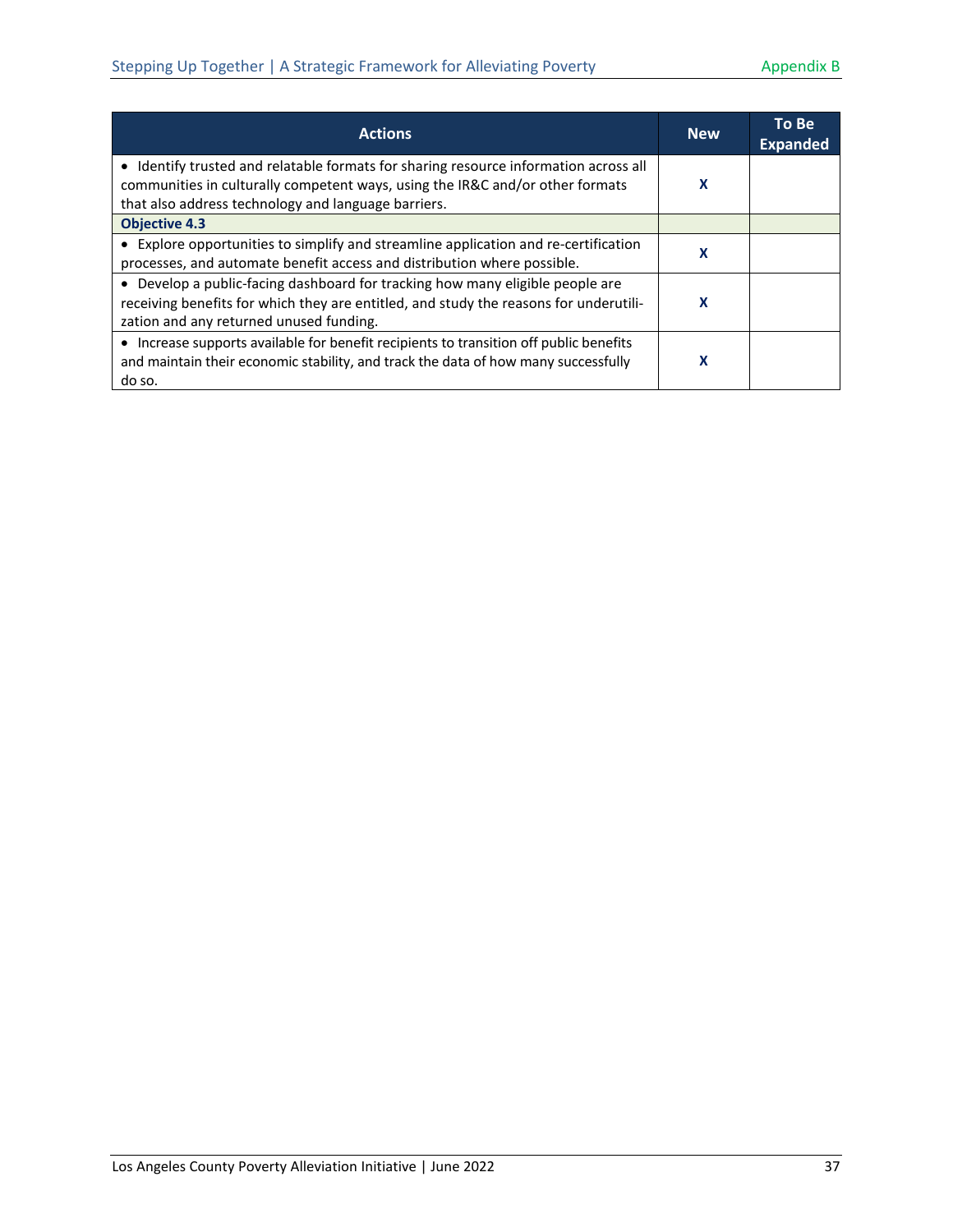| <b>Actions</b>                                                                                                                                                                                                               | <b>New</b> | To Be<br><b>Expanded</b> |
|------------------------------------------------------------------------------------------------------------------------------------------------------------------------------------------------------------------------------|------------|--------------------------|
| • Identify trusted and relatable formats for sharing resource information across all<br>communities in culturally competent ways, using the IR&C and/or other formats<br>that also address technology and language barriers. | x          |                          |
| <b>Objective 4.3</b>                                                                                                                                                                                                         |            |                          |
| • Explore opportunities to simplify and streamline application and re-certification<br>processes, and automate benefit access and distribution where possible.                                                               | x          |                          |
| • Develop a public-facing dashboard for tracking how many eligible people are<br>receiving benefits for which they are entitled, and study the reasons for underutili-<br>zation and any returned unused funding.            | x          |                          |
| Increase supports available for benefit recipients to transition off public benefits<br>and maintain their economic stability, and track the data of how many successfully<br>do so.                                         | x          |                          |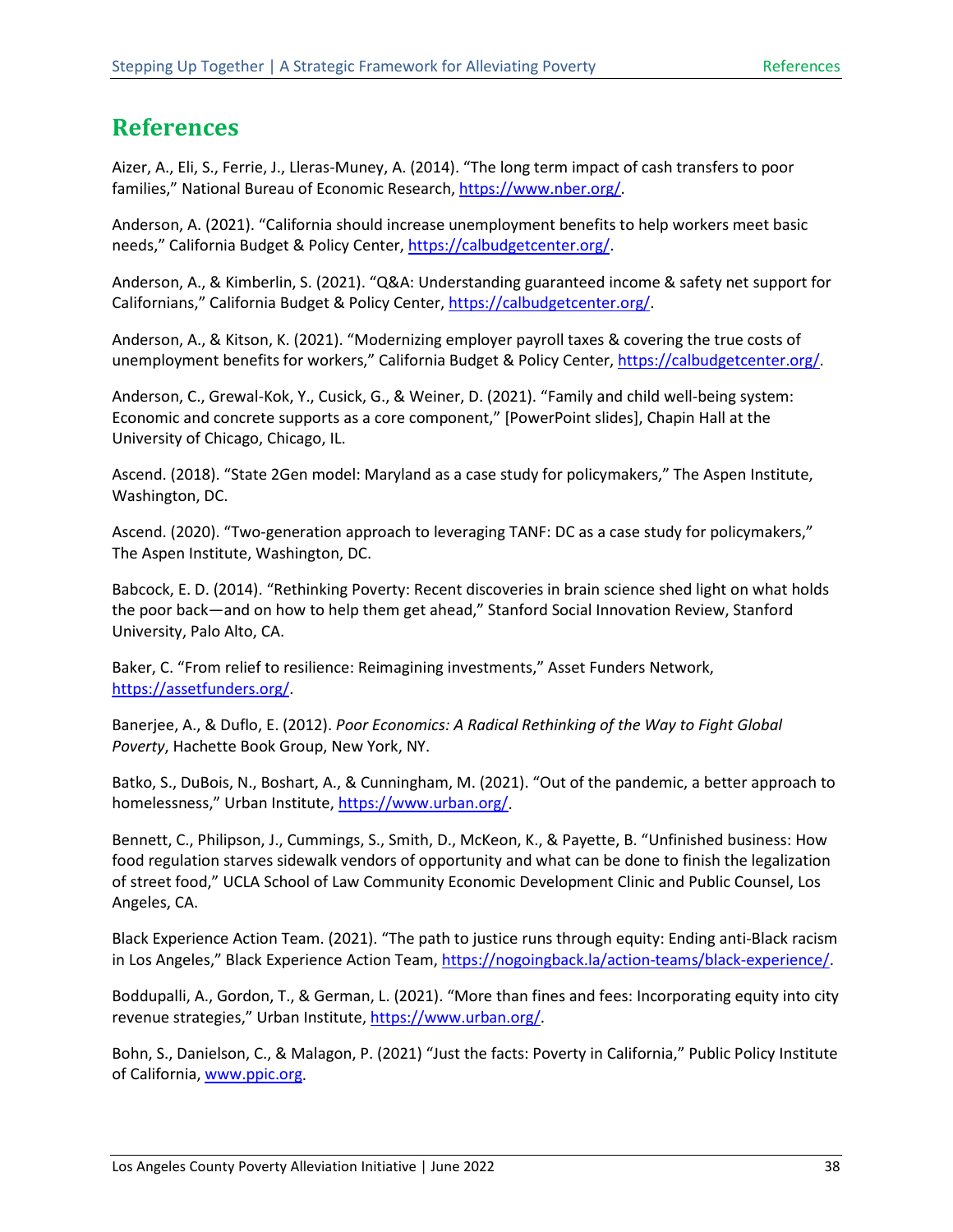## <span id="page-42-0"></span>**References**

Aizer, A., Eli, S., Ferrie, J., Lleras-Muney, A. (2014). "The long term impact of cash transfers to poor families," National Bureau of Economic Research, [https://www.nber.org/.](https://www.nber.org/)

Anderson, A. (2021). "California should increase unemployment benefits to help workers meet basic needs," California Budget & Policy Center, [https://calbudgetcenter.org/.](https://calbudgetcenter.org/)

Anderson, A., & Kimberlin, S. (2021). "Q&A: Understanding guaranteed income & safety net support for Californians," California Budget & Policy Center, [https://calbudgetcenter.org/.](https://calbudgetcenter.org/)

Anderson, A., & Kitson, K. (2021). "Modernizing employer payroll taxes & covering the true costs of unemployment benefits for workers," California Budget & Policy Center, [https://calbudgetcenter.org/.](https://calbudgetcenter.org/)

Anderson, C., Grewal-Kok, Y., Cusick, G., & Weiner, D. (2021). "Family and child well-being system: Economic and concrete supports as a core component," [PowerPoint slides], Chapin Hall at the University of Chicago, Chicago, IL.

Ascend. (2018). "State 2Gen model: Maryland as a case study for policymakers," The Aspen Institute, Washington, DC.

Ascend. (2020). "Two-generation approach to leveraging TANF: DC as a case study for policymakers," The Aspen Institute, Washington, DC.

Babcock, E. D. (2014). "Rethinking Poverty: Recent discoveries in brain science shed light on what holds the poor back—and on how to help them get ahead," Stanford Social Innovation Review, Stanford University, Palo Alto, CA.

Baker, C. "From relief to resilience: Reimagining investments," Asset Funders Network, [https://assetfunders.org/.](https://assetfunders.org/)

Banerjee, A., & Duflo, E. (2012). *Poor Economics: A Radical Rethinking of the Way to Fight Global Poverty*, Hachette Book Group, New York, NY.

Batko, S., DuBois, N., Boshart, A., & Cunningham, M. (2021). "Out of the pandemic, a better approach to homelessness," Urban Institute, [https://www.urban.org/.](https://www.urban.org/)

Bennett, C., Philipson, J., Cummings, S., Smith, D., McKeon, K., & Payette, B. "Unfinished business: How food regulation starves sidewalk vendors of opportunity and what can be done to finish the legalization of street food," UCLA School of Law Community Economic Development Clinic and Public Counsel, Los Angeles, CA.

Black Experience Action Team. (2021). "The path to justice runs through equity: Ending anti-Black racism in Los Angeles," Black Experience Action Team, [https://nogoingback.la/action-teams/black-experience/.](https://nogoingback.la/action-teams/black-experience/)

Boddupalli, A., Gordon, T., & German, L. (2021). "More than fines and fees: Incorporating equity into city revenue strategies," Urban Institute, [https://www.urban.org/.](https://www.urban.org/)

Bohn, S., Danielson, C., & Malagon, P. (2021) "Just the facts: Poverty in California," Public Policy Institute of California[, www.ppic.org.](http://www.ppic.org/)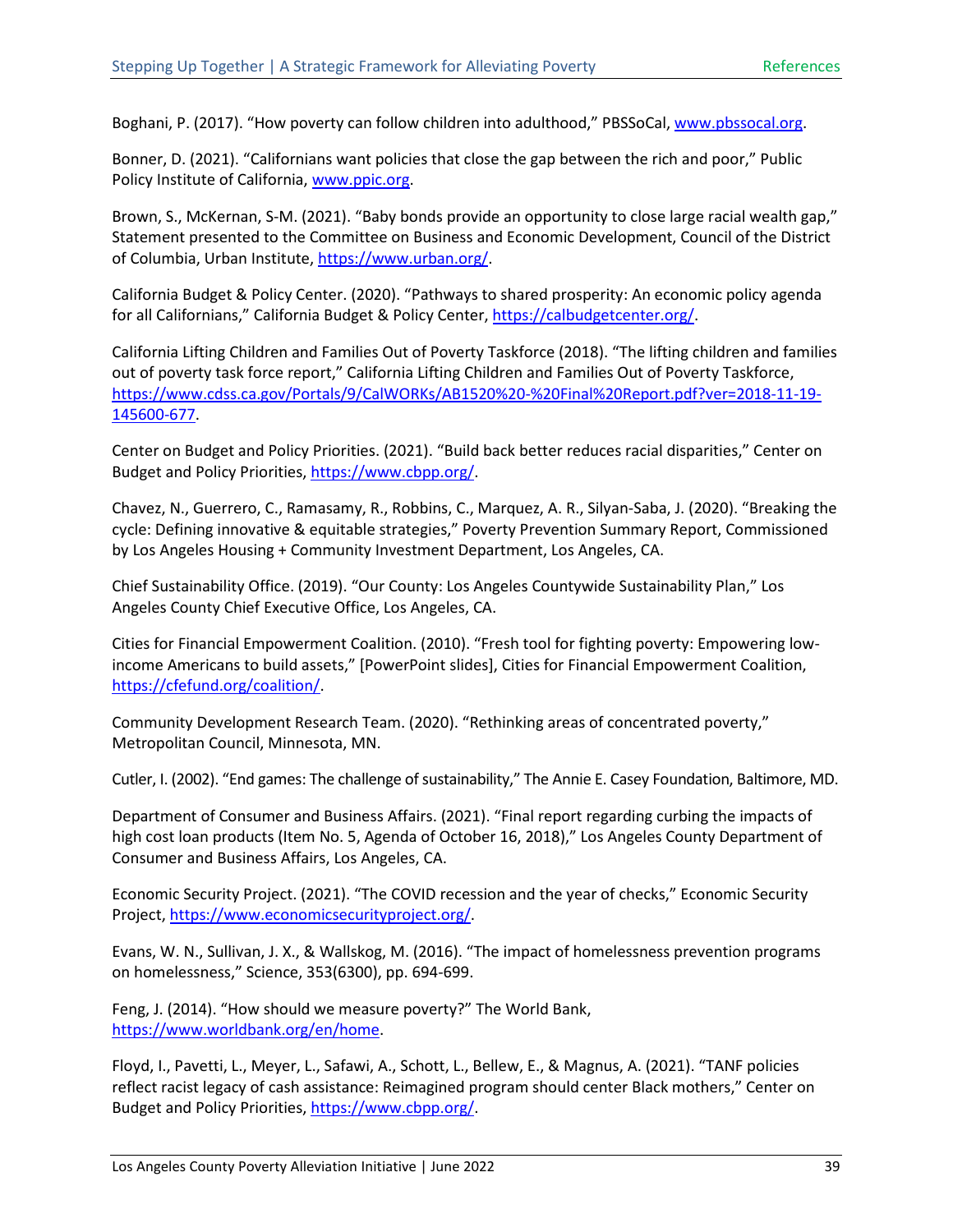Boghani, P. (2017). "How poverty can follow children into adulthood," PBSSoCal, [www.pbssocal.org.](http://www.pbssocal.org/)

Bonner, D. (2021). "Californians want policies that close the gap between the rich and poor," Public Policy Institute of California, [www.ppic.org.](http://www.ppic.org/)

Brown, S., McKernan, S-M. (2021). "Baby bonds provide an opportunity to close large racial wealth gap," Statement presented to the Committee on Business and Economic Development, Council of the District of Columbia, Urban Institute, [https://www.urban.org/.](https://www.urban.org/)

California Budget & Policy Center. (2020). "Pathways to shared prosperity: An economic policy agenda for all Californians," California Budget & Policy Center[, https://calbudgetcenter.org/.](https://calbudgetcenter.org/)

California Lifting Children and Families Out of Poverty Taskforce (2018). "The lifting children and families out of poverty task force report," California Lifting Children and Families Out of Poverty Taskforce, [https://www.cdss.ca.gov/Portals/9/CalWORKs/AB1520%20-%20Final%20Report.pdf?ver=2018-11-19-](https://www.cdss.ca.gov/Portals/9/CalWORKs/AB1520%20-%20Final%20Report.pdf?ver=2018-11-19-145600-677) [145600-677.](https://www.cdss.ca.gov/Portals/9/CalWORKs/AB1520%20-%20Final%20Report.pdf?ver=2018-11-19-145600-677)

Center on Budget and Policy Priorities. (2021). "Build back better reduces racial disparities," Center on Budget and Policy Priorities[, https://www.cbpp.org/.](https://www.cbpp.org/)

Chavez, N., Guerrero, C., Ramasamy, R., Robbins, C., Marquez, A. R., Silyan-Saba, J. (2020). "Breaking the cycle: Defining innovative & equitable strategies," Poverty Prevention Summary Report, Commissioned by Los Angeles Housing + Community Investment Department, Los Angeles, CA.

Chief Sustainability Office. (2019). "Our County: Los Angeles Countywide Sustainability Plan," Los Angeles County Chief Executive Office, Los Angeles, CA.

Cities for Financial Empowerment Coalition. (2010). "Fresh tool for fighting poverty: Empowering lowincome Americans to build assets," [PowerPoint slides], Cities for Financial Empowerment Coalition, [https://cfefund.org/coalition/.](https://cfefund.org/coalition/)

Community Development Research Team. (2020). "Rethinking areas of concentrated poverty," Metropolitan Council, Minnesota, MN.

Cutler, I. (2002). "End games: The challenge of sustainability," The Annie E. Casey Foundation, Baltimore, MD.

Department of Consumer and Business Affairs. (2021). "Final report regarding curbing the impacts of high cost loan products (Item No. 5, Agenda of October 16, 2018)," Los Angeles County Department of Consumer and Business Affairs, Los Angeles, CA.

Economic Security Project. (2021). "The COVID recession and the year of checks," Economic Security Project, [https://www.economicsecurityproject.org/.](https://www.economicsecurityproject.org/)

Evans, W. N., Sullivan, J. X., & Wallskog, M. (2016). "The impact of homelessness prevention programs on homelessness," Science, 353(6300), pp. 694-699.

Feng, J. (2014). "How should we measure poverty?" The World Bank, [https://www.worldbank.org/en/home.](https://www.worldbank.org/en/home)

Floyd, I., Pavetti, L., Meyer, L., Safawi, A., Schott, L., Bellew, E., & Magnus, A. (2021). "TANF policies reflect racist legacy of cash assistance: Reimagined program should center Black mothers," Center on Budget and Policy Priorities[, https://www.cbpp.org/.](https://www.cbpp.org/)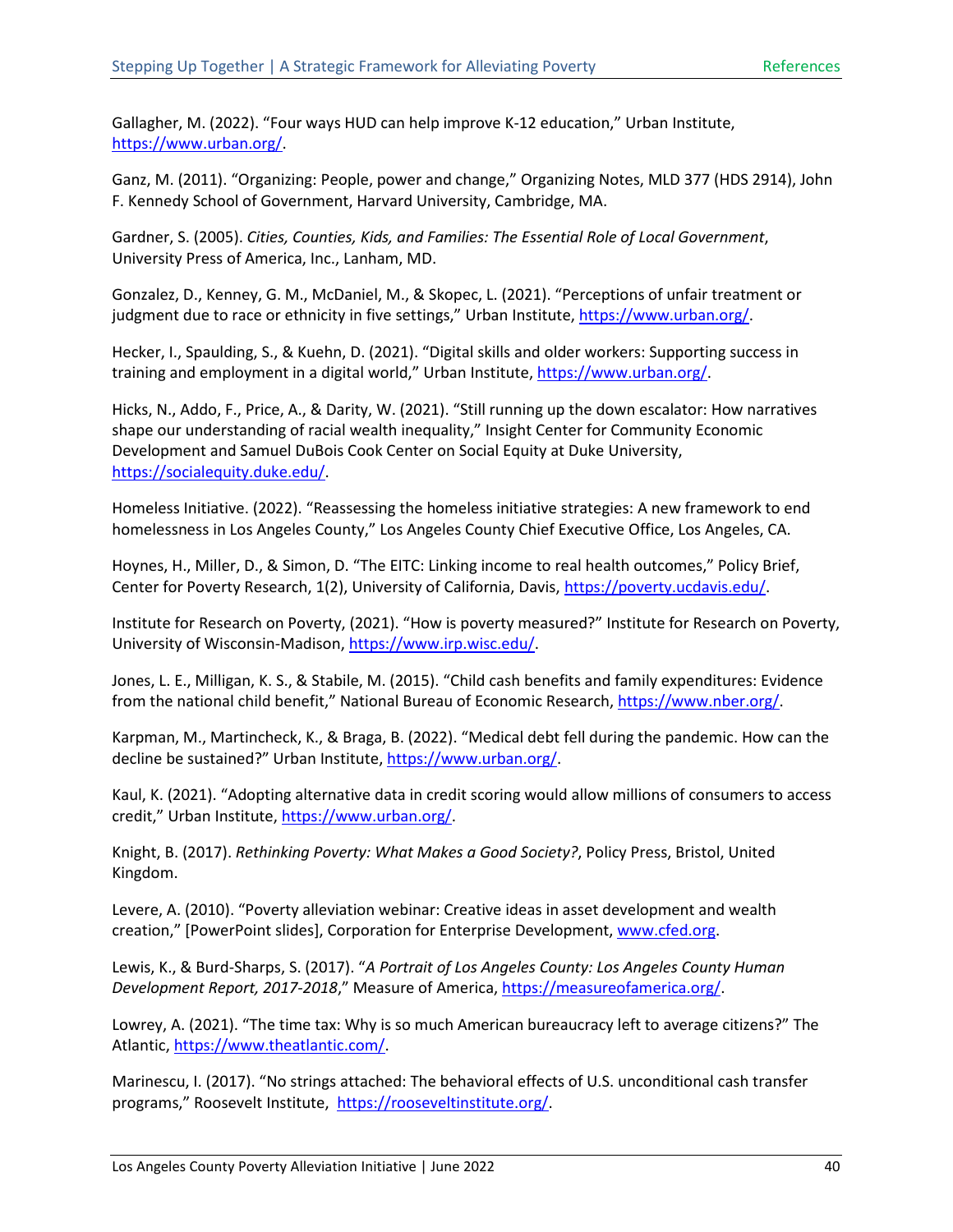Gallagher, M. (2022). "Four ways HUD can help improve K-12 education," Urban Institute, [https://www.urban.org/.](https://www.urban.org/)

Ganz, M. (2011). "Organizing: People, power and change," Organizing Notes, MLD 377 (HDS 2914), John F. Kennedy School of Government, Harvard University, Cambridge, MA.

Gardner, S. (2005). *Cities, Counties, Kids, and Families: The Essential Role of Local Government*, University Press of America, Inc., Lanham, MD.

Gonzalez, D., Kenney, G. M., McDaniel, M., & Skopec, L. (2021). "Perceptions of unfair treatment or judgment due to race or ethnicity in five settings," Urban Institute, [https://www.urban.org/.](https://www.urban.org/)

Hecker, I., Spaulding, S., & Kuehn, D. (2021). "Digital skills and older workers: Supporting success in training and employment in a digital world," Urban Institute, [https://www.urban.org/.](https://www.urban.org/)

Hicks, N., Addo, F., Price, A., & Darity, W. (2021). "Still running up the down escalator: How narratives shape our understanding of racial wealth inequality," Insight Center for Community Economic Development and Samuel DuBois Cook Center on Social Equity at Duke University, [https://socialequity.duke.edu/.](https://socialequity.duke.edu/)

Homeless Initiative. (2022). "Reassessing the homeless initiative strategies: A new framework to end homelessness in Los Angeles County," Los Angeles County Chief Executive Office, Los Angeles, CA.

Hoynes, H., Miller, D., & Simon, D. "The EITC: Linking income to real health outcomes," Policy Brief, Center for Poverty Research, 1(2), University of California, Davis, [https://poverty.ucdavis.edu/.](https://poverty.ucdavis.edu/)

Institute for Research on Poverty, (2021). "How is poverty measured?" Institute for Research on Poverty, University of Wisconsin-Madison, [https://www.irp.wisc.edu/.](https://www.irp.wisc.edu/)

Jones, L. E., Milligan, K. S., & Stabile, M. (2015). "Child cash benefits and family expenditures: Evidence from the national child benefit," National Bureau of Economic Research, [https://www.nber.org/.](https://www.nber.org/)

Karpman, M., Martincheck, K., & Braga, B. (2022). "Medical debt fell during the pandemic. How can the decline be sustained?" Urban Institute[, https://www.urban.org/.](https://www.urban.org/)

Kaul, K. (2021). "Adopting alternative data in credit scoring would allow millions of consumers to access credit," Urban Institute, [https://www.urban.org/.](https://www.urban.org/)

Knight, B. (2017). *Rethinking Poverty: What Makes a Good Society?*, Policy Press, Bristol, United Kingdom.

Levere, A. (2010). "Poverty alleviation webinar: Creative ideas in asset development and wealth creation," [PowerPoint slides], Corporation for Enterprise Development[, www.cfed.org.](http://www.cfed.org/)

Lewis, K., & Burd-Sharps, S. (2017). "*A Portrait of Los Angeles County: Los Angeles County Human Development Report, 2017-2018*," Measure of America[, https://measureofamerica.org/.](https://measureofamerica.org/)

Lowrey, A. (2021). "The time tax: Why is so much American bureaucracy left to average citizens?" The Atlantic[, https://www.theatlantic.com/.](https://www.theatlantic.com/)

Marinescu, I. (2017). "No strings attached: The behavioral effects of U.S. unconditional cash transfer programs," Roosevelt Institute, [https://rooseveltinstitute.org/.](https://rooseveltinstitute.org/)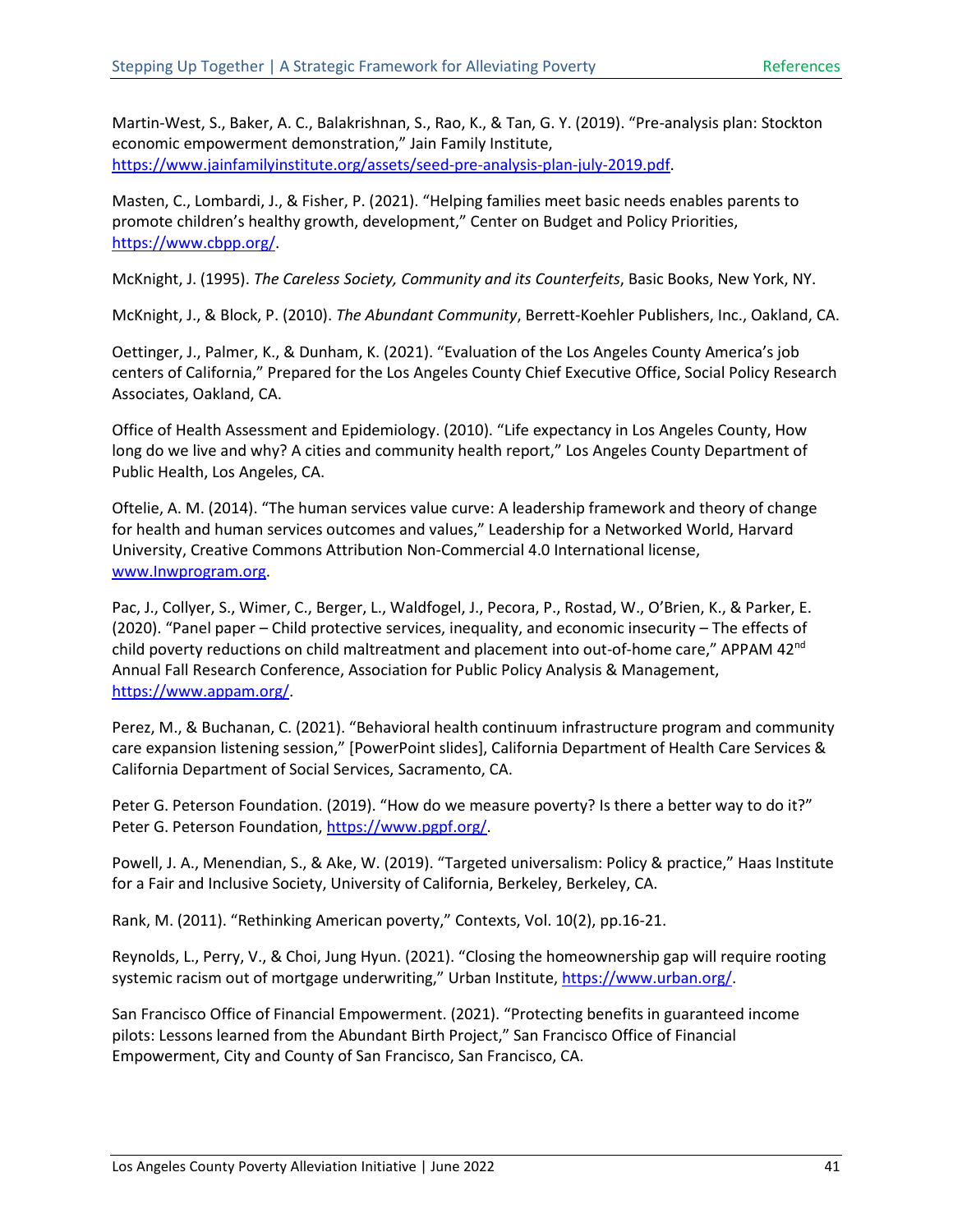Martin-West, S., Baker, A. C., Balakrishnan, S., Rao, K., & Tan, G. Y. (2019). "Pre-analysis plan: Stockton economic empowerment demonstration," Jain Family Institute, [https://www.jainfamilyinstitute.org/assets/seed-pre-analysis-plan-july-2019.pdf.](https://www.jainfamilyinstitute.org/assets/seed-pre-analysis-plan-july-2019.pdf)

Masten, C., Lombardi, J., & Fisher, P. (2021). "Helping families meet basic needs enables parents to promote children's healthy growth, development," Center on Budget and Policy Priorities, [https://www.cbpp.org/.](https://www.cbpp.org/)

McKnight, J. (1995). *The Careless Society, Community and its Counterfeits*, Basic Books, New York, NY.

McKnight, J., & Block, P. (2010). *The Abundant Community*, Berrett-Koehler Publishers, Inc., Oakland, CA.

Oettinger, J., Palmer, K., & Dunham, K. (2021). "Evaluation of the Los Angeles County America's job centers of California," Prepared for the Los Angeles County Chief Executive Office, Social Policy Research Associates, Oakland, CA.

Office of Health Assessment and Epidemiology. (2010). "Life expectancy in Los Angeles County, How long do we live and why? A cities and community health report," Los Angeles County Department of Public Health, Los Angeles, CA.

Oftelie, A. M. (2014). "The human services value curve: A leadership framework and theory of change for health and human services outcomes and values," Leadership for a Networked World, Harvard University, Creative Commons Attribution Non-Commercial 4.0 International license, [www.Inwprogram.org.](http://www.inwprogram.org/)

Pac, J., Collyer, S., Wimer, C., Berger, L., Waldfogel, J., Pecora, P., Rostad, W., O'Brien, K., & Parker, E. (2020). "Panel paper – Child protective services, inequality, and economic insecurity – The effects of child poverty reductions on child maltreatment and placement into out-of-home care," APPAM 42<sup>nd</sup> Annual Fall Research Conference, Association for Public Policy Analysis & Management, [https://www.appam.org/.](https://www.appam.org/)

Perez, M., & Buchanan, C. (2021). "Behavioral health continuum infrastructure program and community care expansion listening session," [PowerPoint slides], California Department of Health Care Services & California Department of Social Services, Sacramento, CA.

Peter G. Peterson Foundation. (2019). "How do we measure poverty? Is there a better way to do it?" Peter G. Peterson Foundation, [https://www.pgpf.org/.](https://www.pgpf.org/)

Powell, J. A., Menendian, S., & Ake, W. (2019). "Targeted universalism: Policy & practice," Haas Institute for a Fair and Inclusive Society, University of California, Berkeley, Berkeley, CA.

Rank, M. (2011). "Rethinking American poverty," Contexts, Vol. 10(2), pp.16-21.

Reynolds, L., Perry, V., & Choi, Jung Hyun. (2021). "Closing the homeownership gap will require rooting systemic racism out of mortgage underwriting," Urban Institute, [https://www.urban.org/.](https://www.urban.org/)

San Francisco Office of Financial Empowerment. (2021). "Protecting benefits in guaranteed income pilots: Lessons learned from the Abundant Birth Project," San Francisco Office of Financial Empowerment, City and County of San Francisco, San Francisco, CA.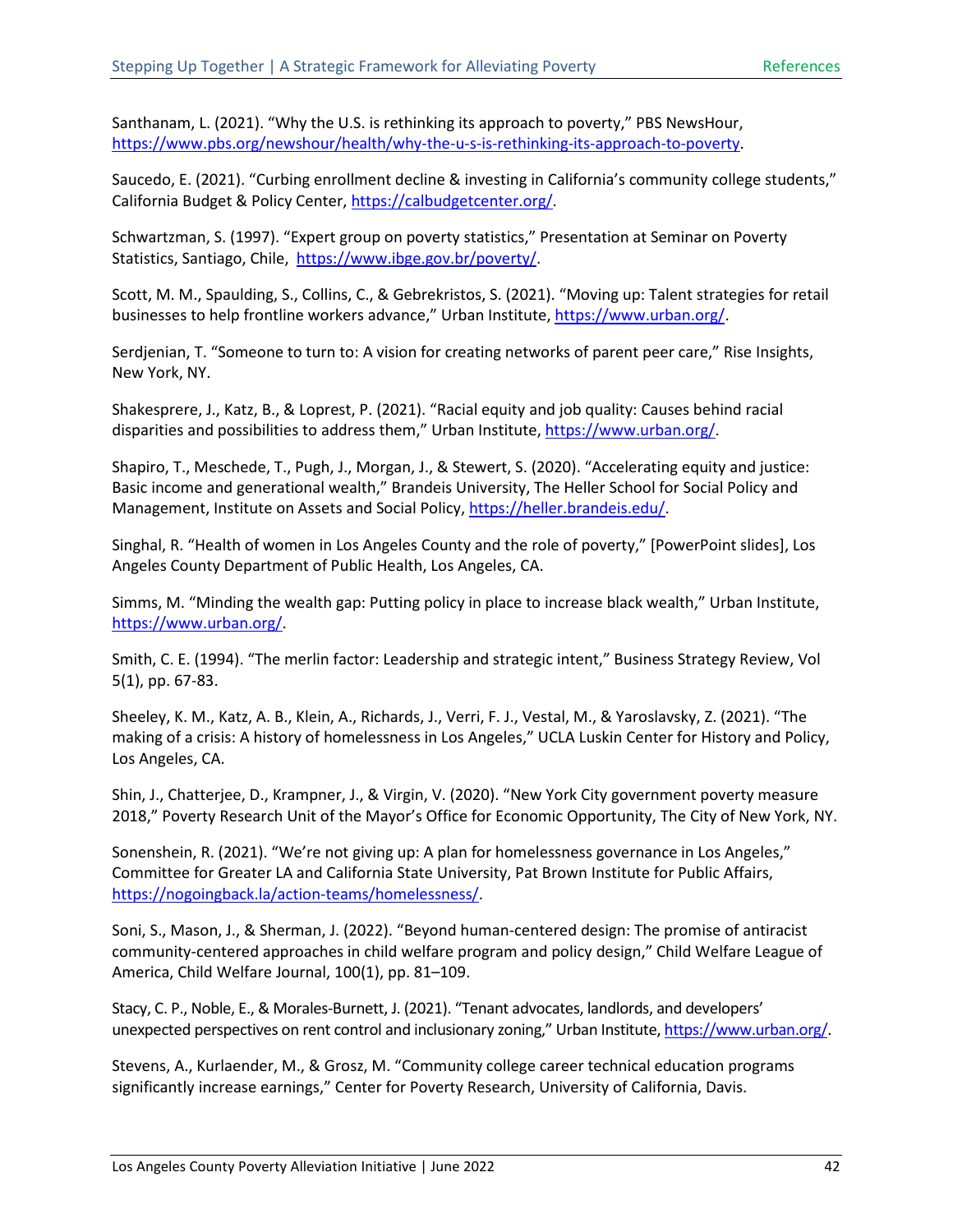Santhanam, L. (2021). "Why the U.S. is rethinking its approach to poverty," PBS NewsHour, [https://www.pbs.org/newshour/health/why-the-u-s-is-rethinking-its-approach-to-poverty.](https://www.pbs.org/newshour/health/why-the-u-s-is-rethinking-its-approach-to-poverty)

Saucedo, E. (2021). "Curbing enrollment decline & investing in California's community college students," California Budget & Policy Center[, https://calbudgetcenter.org/.](https://calbudgetcenter.org/)

Schwartzman, S. (1997). "Expert group on poverty statistics," Presentation at Seminar on Poverty Statistics, Santiago, Chile, [https://www.ibge.gov.br/poverty/.](https://www.ibge.gov.br/poverty/)

Scott, M. M., Spaulding, S., Collins, C., & Gebrekristos, S. (2021). "Moving up: Talent strategies for retail businesses to help frontline workers advance," Urban Institute[, https://www.urban.org/.](https://www.urban.org/)

Serdjenian, T. "Someone to turn to: A vision for creating networks of parent peer care," Rise Insights, New York, NY.

Shakesprere, J., Katz, B., & Loprest, P. (2021). "Racial equity and job quality: Causes behind racial disparities and possibilities to address them," Urban Institute, [https://www.urban.org/.](https://www.urban.org/)

Shapiro, T., Meschede, T., Pugh, J., Morgan, J., & Stewert, S. (2020). "Accelerating equity and justice: Basic income and generational wealth," Brandeis University, The Heller School for Social Policy and Management, Institute on Assets and Social Policy[, https://heller.brandeis.edu/.](https://heller.brandeis.edu/)

Singhal, R. "Health of women in Los Angeles County and the role of poverty," [PowerPoint slides], Los Angeles County Department of Public Health, Los Angeles, CA.

Simms, M. "Minding the wealth gap: Putting policy in place to increase black wealth," Urban Institute, [https://www.urban.org/.](https://www.urban.org/)

Smith, C. E. (1994). "The merlin factor: Leadership and strategic intent," Business Strategy Review, Vol 5(1), pp. 67-83.

Sheeley, K. M., Katz, A. B., Klein, A., Richards, J., Verri, F. J., Vestal, M., & Yaroslavsky, Z. (2021). "The making of a crisis: A history of homelessness in Los Angeles," UCLA Luskin Center for History and Policy, Los Angeles, CA.

Shin, J., Chatterjee, D., Krampner, J., & Virgin, V. (2020). "New York City government poverty measure 2018," Poverty Research Unit of the Mayor's Office for Economic Opportunity, The City of New York, NY.

Sonenshein, R. (2021). "We're not giving up: A plan for homelessness governance in Los Angeles," Committee for Greater LA and California State University, Pat Brown Institute for Public Affairs, [https://nogoingback.la/action-teams/homelessness/.](https://nogoingback.la/action-teams/homelessness/)

Soni, S., Mason, J., & Sherman, J. (2022). "Beyond human-centered design: The promise of antiracist community-centered approaches in child welfare program and policy design," Child Welfare League of America, Child Welfare Journal, 100(1), pp. 81–109.

Stacy, C. P., Noble, E., & Morales-Burnett, J. (2021). "Tenant advocates, landlords, and developers' unexpected perspectives on rent control and inclusionary zoning," Urban Institute, [https://www.urban.org/.](https://www.urban.org/)

Stevens, A., Kurlaender, M., & Grosz, M. "Community college career technical education programs significantly increase earnings," Center for Poverty Research, University of California, Davis.